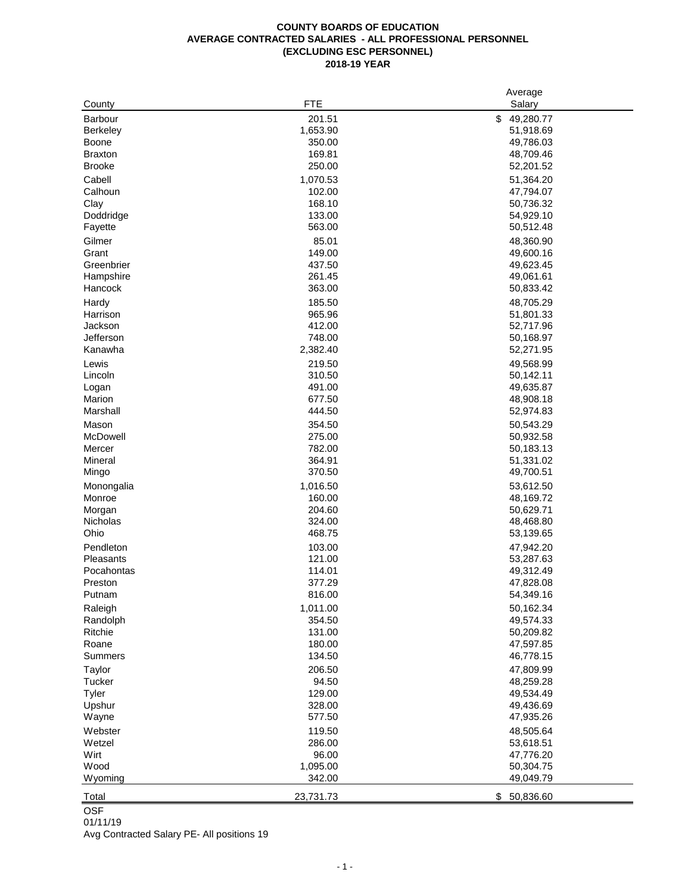|                 |            | Average         |
|-----------------|------------|-----------------|
| County          | <b>FTE</b> | Salary          |
| Barbour         | 201.51     | \$<br>49,280.77 |
| <b>Berkeley</b> | 1,653.90   | 51,918.69       |
| <b>Boone</b>    | 350.00     | 49,786.03       |
| <b>Braxton</b>  | 169.81     | 48,709.46       |
| <b>Brooke</b>   | 250.00     | 52,201.52       |
| Cabell          | 1,070.53   | 51,364.20       |
| Calhoun         | 102.00     | 47,794.07       |
| Clay            | 168.10     | 50,736.32       |
| Doddridge       | 133.00     | 54,929.10       |
| Fayette         | 563.00     | 50,512.48       |
| Gilmer          | 85.01      | 48,360.90       |
| Grant           | 149.00     | 49,600.16       |
| Greenbrier      | 437.50     | 49,623.45       |
| Hampshire       | 261.45     | 49,061.61       |
| Hancock         | 363.00     | 50,833.42       |
| Hardy           | 185.50     | 48,705.29       |
| Harrison        | 965.96     | 51,801.33       |
| Jackson         | 412.00     | 52,717.96       |
| Jefferson       | 748.00     | 50,168.97       |
| Kanawha         | 2,382.40   | 52,271.95       |
|                 |            |                 |
| Lewis           | 219.50     | 49,568.99       |
| Lincoln         | 310.50     | 50,142.11       |
| Logan           | 491.00     | 49,635.87       |
| Marion          | 677.50     | 48,908.18       |
| Marshall        | 444.50     | 52,974.83       |
| Mason           | 354.50     | 50,543.29       |
| McDowell        | 275.00     | 50,932.58       |
| Mercer          | 782.00     | 50,183.13       |
| Mineral         | 364.91     | 51,331.02       |
| Mingo           | 370.50     | 49,700.51       |
| Monongalia      | 1,016.50   | 53,612.50       |
| Monroe          | 160.00     | 48,169.72       |
| Morgan          | 204.60     | 50,629.71       |
| Nicholas        | 324.00     | 48,468.80       |
| Ohio            | 468.75     | 53,139.65       |
| Pendleton       | 103.00     | 47,942.20       |
| Pleasants       | 121.00     | 53,287.63       |
| Pocahontas      | 114.01     | 49,312.49       |
| Preston         | 377.29     | 47,828.08       |
| Putnam          | 816.00     | 54,349.16       |
| Raleigh         | 1,011.00   | 50,162.34       |
| Randolph        | 354.50     | 49,574.33       |
| Ritchie         | 131.00     | 50,209.82       |
| Roane           | 180.00     | 47,597.85       |
| <b>Summers</b>  | 134.50     | 46,778.15       |
| Taylor          | 206.50     | 47,809.99       |
| Tucker          | 94.50      | 48,259.28       |
| Tyler           | 129.00     | 49,534.49       |
| Upshur          | 328.00     | 49,436.69       |
| Wayne           | 577.50     | 47,935.26       |
| Webster         | 119.50     | 48,505.64       |
| Wetzel          | 286.00     | 53,618.51       |
| Wirt            | 96.00      | 47,776.20       |
| Wood            | 1,095.00   | 50,304.75       |
| Wyoming         | 342.00     | 49,049.79       |
|                 |            |                 |
| Total           | 23,731.73  | 50,836.60<br>\$ |

OSF 01/11/19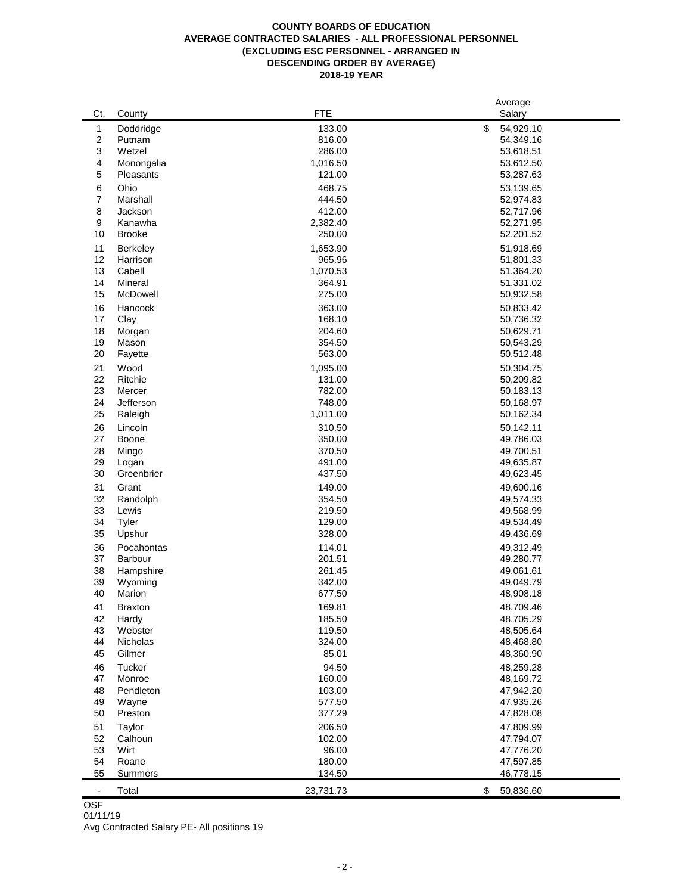#### **COUNTY BOARDS OF EDUCATION AVERAGE CONTRACTED SALARIES - ALL PROFESSIONAL PERSONNEL (EXCLUDING ESC PERSONNEL - ARRANGED IN DESCENDING ORDER BY AVERAGE) 2018-19 YEAR**

|                          |                 |            | Average         |
|--------------------------|-----------------|------------|-----------------|
| Ct.                      | County          | <b>FTE</b> | Salary          |
| 1                        | Doddridge       | 133.00     | \$<br>54,929.10 |
| $\boldsymbol{2}$         | Putnam          | 816.00     | 54,349.16       |
| 3                        | Wetzel          | 286.00     | 53,618.51       |
| 4                        | Monongalia      | 1,016.50   | 53,612.50       |
| 5                        | Pleasants       | 121.00     | 53,287.63       |
|                          |                 |            |                 |
| 6                        | Ohio            | 468.75     | 53,139.65       |
| 7                        | Marshall        | 444.50     | 52,974.83       |
| 8                        | Jackson         | 412.00     | 52,717.96       |
| 9                        | Kanawha         | 2,382.40   | 52,271.95       |
| 10                       | <b>Brooke</b>   | 250.00     | 52,201.52       |
| 11                       | Berkeley        | 1,653.90   | 51,918.69       |
| 12                       | Harrison        | 965.96     | 51,801.33       |
| 13                       | Cabell          | 1,070.53   | 51,364.20       |
| 14                       | Mineral         | 364.91     | 51,331.02       |
| 15                       | McDowell        | 275.00     | 50,932.58       |
|                          |                 |            |                 |
| 16                       | Hancock         | 363.00     | 50,833.42       |
| 17                       | Clay            | 168.10     | 50,736.32       |
| 18                       | Morgan          | 204.60     | 50,629.71       |
| 19                       | Mason           | 354.50     | 50,543.29       |
| 20                       | Fayette         | 563.00     | 50,512.48       |
| 21                       | Wood            | 1,095.00   | 50,304.75       |
| 22                       | Ritchie         | 131.00     | 50,209.82       |
| 23                       | Mercer          | 782.00     | 50,183.13       |
| 24                       | Jefferson       | 748.00     | 50,168.97       |
| 25                       | Raleigh         | 1,011.00   | 50,162.34       |
| 26                       | Lincoln         |            |                 |
| 27                       |                 | 310.50     | 50,142.11       |
|                          | Boone           | 350.00     | 49,786.03       |
| 28                       | Mingo           | 370.50     | 49,700.51       |
| 29                       | Logan           | 491.00     | 49,635.87       |
| 30                       | Greenbrier      | 437.50     | 49,623.45       |
| 31                       | Grant           | 149.00     | 49,600.16       |
| 32                       | Randolph        | 354.50     | 49,574.33       |
| 33                       | Lewis           | 219.50     | 49,568.99       |
| 34                       | Tyler           | 129.00     | 49,534.49       |
| 35                       | Upshur          | 328.00     | 49,436.69       |
| 36                       | Pocahontas      | 114.01     | 49,312.49       |
| 37                       | Barbour         | 201.51     | 49,280.77       |
| 38                       |                 | 261.45     | 49,061.61       |
|                          | Hampshire       |            |                 |
| 39                       | Wyoming         | 342.00     | 49,049.79       |
| 40                       | Marion          | 677.50     | 48,908.18       |
| 41                       | <b>Braxton</b>  | 169.81     | 48,709.46       |
| 42                       | Hardy           | 185.50     | 48,705.29       |
| 43                       | Webster         | 119.50     | 48,505.64       |
| 44                       | <b>Nicholas</b> | 324.00     | 48,468.80       |
| 45                       | Gilmer          | 85.01      | 48,360.90       |
| 46                       | Tucker          | 94.50      | 48,259.28       |
| 47                       | Monroe          | 160.00     | 48,169.72       |
| 48                       | Pendleton       | 103.00     | 47,942.20       |
|                          |                 |            |                 |
| 49                       | Wayne           | 577.50     | 47,935.26       |
| 50                       | Preston         | 377.29     | 47,828.08       |
| 51                       | Taylor          | 206.50     | 47,809.99       |
| 52                       | Calhoun         | 102.00     | 47,794.07       |
| 53                       | Wirt            | 96.00      | 47,776.20       |
| 54                       | Roane           | 180.00     | 47,597.85       |
| 55                       | <b>Summers</b>  | 134.50     | 46,778.15       |
|                          |                 |            |                 |
| $\overline{\phantom{a}}$ | Total           | 23,731.73  | \$<br>50,836.60 |

# **OSF**

01/11/19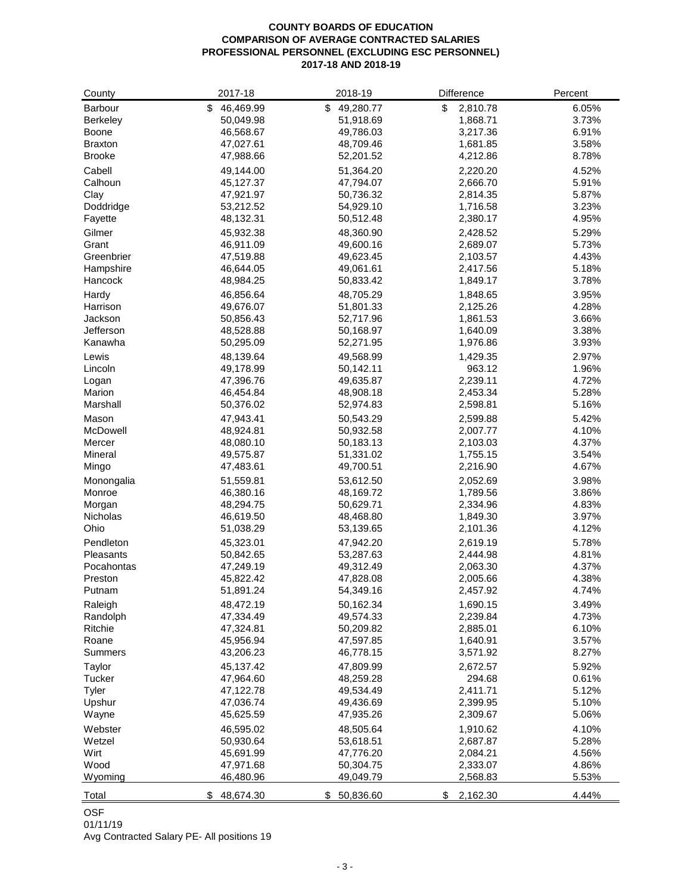# **COUNTY BOARDS OF EDUCATION COMPARISON OF AVERAGE CONTRACTED SALARIES PROFESSIONAL PERSONNEL (EXCLUDING ESC PERSONNEL) 2017-18 AND 2018-19**

| County          | 2017-18                | 2018-19                | Difference           | Percent        |
|-----------------|------------------------|------------------------|----------------------|----------------|
| Barbour         | 46,469.99<br>\$        | 49,280.77<br>\$        | \$<br>2,810.78       | 6.05%          |
| <b>Berkeley</b> | 50,049.98              | 51,918.69              | 1,868.71             | 3.73%          |
| Boone           | 46,568.67              | 49,786.03              | 3,217.36             | 6.91%          |
| <b>Braxton</b>  | 47,027.61              | 48,709.46              | 1,681.85             | 3.58%          |
| <b>Brooke</b>   | 47,988.66              | 52,201.52              | 4,212.86             | 8.78%          |
| Cabell          | 49,144.00              | 51,364.20              | 2,220.20             | 4.52%          |
| Calhoun         | 45,127.37              | 47,794.07              | 2,666.70             | 5.91%          |
| Clay            | 47,921.97              | 50,736.32              | 2,814.35             | 5.87%          |
| Doddridge       | 53,212.52              | 54,929.10              | 1,716.58             | 3.23%          |
| Fayette         | 48,132.31              | 50,512.48              | 2,380.17             | 4.95%          |
| Gilmer          | 45,932.38              | 48,360.90              | 2,428.52             | 5.29%          |
| Grant           | 46,911.09              | 49,600.16              | 2,689.07             | 5.73%          |
| Greenbrier      | 47,519.88              | 49,623.45              | 2,103.57             | 4.43%          |
| Hampshire       | 46,644.05              | 49,061.61              | 2,417.56             | 5.18%          |
| Hancock         | 48,984.25              | 50,833.42              | 1,849.17             | 3.78%          |
| Hardy           | 46,856.64              | 48,705.29              | 1,848.65             | 3.95%          |
| Harrison        | 49,676.07              | 51,801.33              | 2,125.26             | 4.28%          |
| Jackson         | 50,856.43              | 52,717.96              | 1,861.53             | 3.66%          |
| Jefferson       | 48,528.88              | 50,168.97              |                      | 3.38%          |
| Kanawha         | 50,295.09              | 52,271.95              | 1,640.09<br>1,976.86 | 3.93%          |
|                 |                        |                        |                      |                |
| Lewis           | 48,139.64              | 49,568.99              | 1,429.35             | 2.97%          |
| Lincoln         | 49,178.99              | 50,142.11              | 963.12               | 1.96%          |
| Logan<br>Marion | 47,396.76<br>46,454.84 | 49,635.87<br>48,908.18 | 2,239.11             | 4.72%<br>5.28% |
|                 |                        |                        | 2,453.34             | 5.16%          |
| Marshall        | 50,376.02              | 52,974.83              | 2,598.81             |                |
| Mason           | 47,943.41              | 50,543.29              | 2,599.88             | 5.42%          |
| McDowell        | 48,924.81              | 50,932.58              | 2,007.77             | 4.10%          |
| Mercer          | 48,080.10              | 50,183.13              | 2,103.03             | 4.37%          |
| Mineral         | 49,575.87              | 51,331.02              | 1,755.15             | 3.54%          |
| Mingo           | 47,483.61              | 49,700.51              | 2,216.90             | 4.67%          |
| Monongalia      | 51,559.81              | 53,612.50              | 2,052.69             | 3.98%          |
| Monroe          | 46,380.16              | 48,169.72              | 1,789.56             | 3.86%          |
| Morgan          | 48,294.75              | 50,629.71              | 2,334.96             | 4.83%          |
| Nicholas        | 46,619.50              | 48,468.80              | 1,849.30             | 3.97%          |
| Ohio            | 51,038.29              | 53,139.65              | 2,101.36             | 4.12%          |
| Pendleton       | 45,323.01              | 47,942.20              | 2,619.19             | 5.78%          |
| Pleasants       | 50,842.65              | 53,287.63              | 2,444.98             | 4.81%          |
| Pocahontas      | 47,249.19              | 49,312.49              | 2,063.30             | 4.37%          |
| Preston         | 45,822.42              | 47,828.08              | 2,005.66             | 4.38%          |
| Putnam          | 51,891.24              | 54,349.16              | 2,457.92             | 4.74%          |
| Raleigh         | 48,472.19              | 50,162.34              | 1,690.15             | 3.49%          |
| Randolph        | 47,334.49              | 49,574.33              | 2,239.84             | 4.73%          |
| Ritchie         | 47,324.81              | 50,209.82              | 2,885.01             | 6.10%          |
| Roane           | 45,956.94              | 47,597.85              | 1,640.91             | 3.57%          |
| Summers         | 43,206.23              | 46,778.15              | 3,571.92             | 8.27%          |
| Taylor          | 45,137.42              | 47,809.99              | 2,672.57             | 5.92%          |
| Tucker          | 47,964.60              | 48,259.28              | 294.68               | 0.61%          |
| Tyler           | 47,122.78              | 49,534.49              | 2,411.71             | 5.12%          |
| Upshur          | 47,036.74              | 49,436.69              | 2,399.95             | 5.10%          |
| Wayne           | 45,625.59              | 47,935.26              | 2,309.67             | 5.06%          |
| Webster         | 46,595.02              | 48,505.64              | 1,910.62             | 4.10%          |
| Wetzel          | 50,930.64              | 53,618.51              | 2,687.87             | 5.28%          |
| Wirt            | 45,691.99              | 47,776.20              | 2,084.21             | 4.56%          |
| Wood            | 47,971.68              | 50,304.75              | 2,333.07             | 4.86%          |
| Wyoming         | 46,480.96              | 49,049.79              | 2,568.83             | 5.53%          |
| Total           | 48,674.30              | 50,836.60<br>\$        | 2,162.30<br>\$       | 4.44%          |

OSF

01/11/19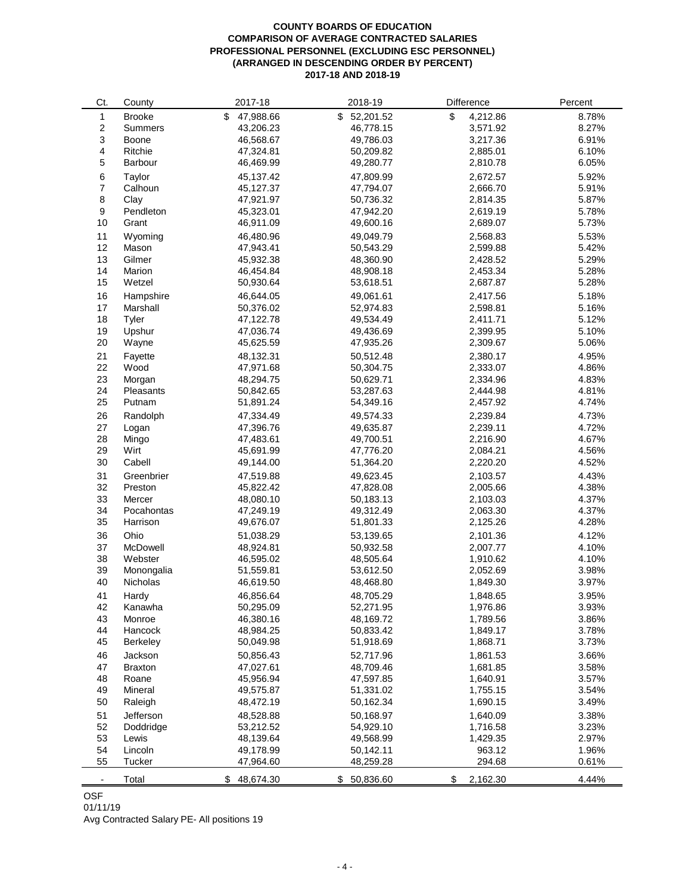#### **COUNTY BOARDS OF EDUCATION COMPARISON OF AVERAGE CONTRACTED SALARIES PROFESSIONAL PERSONNEL (EXCLUDING ESC PERSONNEL) (ARRANGED IN DESCENDING ORDER BY PERCENT) 2017-18 AND 2018-19**

| Ct. | County         | 2017-18         | 2018-19         | Difference     | Percent |
|-----|----------------|-----------------|-----------------|----------------|---------|
| 1   | <b>Brooke</b>  | \$<br>47,988.66 | 52,201.52<br>\$ | \$<br>4,212.86 | 8.78%   |
| 2   | <b>Summers</b> | 43,206.23       | 46,778.15       | 3,571.92       | 8.27%   |
| 3   | Boone          | 46,568.67       | 49,786.03       | 3,217.36       | 6.91%   |
| 4   | Ritchie        | 47,324.81       | 50,209.82       | 2,885.01       | 6.10%   |
| 5   | Barbour        | 46,469.99       | 49,280.77       | 2,810.78       | 6.05%   |
| 6   | Taylor         | 45,137.42       | 47,809.99       | 2,672.57       | 5.92%   |
| 7   | Calhoun        | 45,127.37       | 47,794.07       | 2,666.70       | 5.91%   |
| 8   | Clay           | 47,921.97       | 50,736.32       | 2,814.35       | 5.87%   |
| 9   | Pendleton      | 45,323.01       | 47,942.20       | 2,619.19       | 5.78%   |
| 10  | Grant          | 46,911.09       | 49,600.16       | 2,689.07       | 5.73%   |
| 11  | Wyoming        | 46,480.96       | 49,049.79       | 2,568.83       | 5.53%   |
| 12  | Mason          | 47,943.41       | 50,543.29       | 2,599.88       | 5.42%   |
| 13  | Gilmer         | 45,932.38       | 48,360.90       | 2,428.52       | 5.29%   |
| 14  | Marion         | 46,454.84       | 48,908.18       | 2,453.34       | 5.28%   |
| 15  | Wetzel         | 50,930.64       | 53,618.51       | 2,687.87       | 5.28%   |
| 16  | Hampshire      | 46,644.05       | 49,061.61       | 2,417.56       | 5.18%   |
| 17  | Marshall       | 50,376.02       | 52,974.83       | 2,598.81       | 5.16%   |
| 18  | Tyler          | 47,122.78       | 49,534.49       | 2,411.71       | 5.12%   |
| 19  | Upshur         | 47,036.74       | 49,436.69       | 2,399.95       | 5.10%   |
| 20  | Wayne          | 45,625.59       | 47,935.26       | 2,309.67       | 5.06%   |
|     |                |                 |                 |                |         |
| 21  | Fayette        | 48,132.31       | 50,512.48       | 2,380.17       | 4.95%   |
| 22  | Wood           | 47,971.68       | 50,304.75       | 2,333.07       | 4.86%   |
| 23  | Morgan         | 48,294.75       | 50,629.71       | 2,334.96       | 4.83%   |
| 24  | Pleasants      | 50,842.65       | 53,287.63       | 2,444.98       | 4.81%   |
| 25  | Putnam         | 51,891.24       | 54,349.16       | 2,457.92       | 4.74%   |
| 26  | Randolph       | 47,334.49       | 49.574.33       | 2,239.84       | 4.73%   |
| 27  | Logan          | 47,396.76       | 49,635.87       | 2,239.11       | 4.72%   |
| 28  | Mingo          | 47,483.61       | 49,700.51       | 2,216.90       | 4.67%   |
| 29  | Wirt           | 45,691.99       | 47,776.20       | 2,084.21       | 4.56%   |
| 30  | Cabell         | 49,144.00       | 51,364.20       | 2,220.20       | 4.52%   |
| 31  | Greenbrier     | 47,519.88       | 49,623.45       | 2,103.57       | 4.43%   |
| 32  | Preston        | 45,822.42       | 47,828.08       | 2,005.66       | 4.38%   |
| 33  | Mercer         | 48,080.10       | 50,183.13       | 2,103.03       | 4.37%   |
| 34  | Pocahontas     | 47,249.19       | 49,312.49       | 2,063.30       | 4.37%   |
| 35  | Harrison       | 49,676.07       | 51,801.33       | 2,125.26       | 4.28%   |
| 36  | Ohio           | 51,038.29       | 53,139.65       | 2,101.36       | 4.12%   |
| 37  | McDowell       | 48,924.81       | 50,932.58       | 2,007.77       | 4.10%   |
| 38  | Webster        | 46,595.02       | 48,505.64       | 1,910.62       | 4.10%   |
| 39  | Monongalia     | 51,559.81       | 53,612.50       | 2,052.69       | 3.98%   |
| 40  | Nicholas       | 46,619.50       | 48,468.80       | 1,849.30       | 3.97%   |
| 41  | Hardy          | 46,856.64       | 48,705.29       | 1,848.65       | 3.95%   |
| 42  | Kanawha        | 50,295.09       | 52,271.95       | 1,976.86       | 3.93%   |
| 43  | Monroe         | 46,380.16       | 48,169.72       | 1,789.56       | 3.86%   |
| 44  | Hancock        | 48,984.25       | 50,833.42       | 1,849.17       | 3.78%   |
| 45  | Berkeley       | 50,049.98       | 51,918.69       | 1,868.71       | 3.73%   |
| 46  | Jackson        | 50,856.43       | 52,717.96       | 1,861.53       | 3.66%   |
| 47  | <b>Braxton</b> | 47,027.61       | 48,709.46       | 1,681.85       | 3.58%   |
| 48  | Roane          | 45,956.94       | 47,597.85       | 1,640.91       | 3.57%   |
| 49  | Mineral        | 49,575.87       | 51,331.02       | 1,755.15       | 3.54%   |
| 50  | Raleigh        | 48,472.19       | 50,162.34       | 1,690.15       | 3.49%   |
| 51  | Jefferson      | 48,528.88       | 50,168.97       | 1,640.09       | 3.38%   |
| 52  | Doddridge      | 53,212.52       | 54,929.10       | 1,716.58       | 3.23%   |
| 53  | Lewis          | 48,139.64       | 49,568.99       | 1,429.35       | 2.97%   |
| 54  | Lincoln        | 49,178.99       | 50,142.11       | 963.12         | 1.96%   |
| 55  | Tucker         | 47,964.60       | 48,259.28       | 294.68         | 0.61%   |
|     |                |                 |                 |                |         |
|     | Total          | 48,674.30<br>\$ | 50,836.60<br>\$ | 2,162.30<br>\$ | 4.44%   |

OSF

01/11/19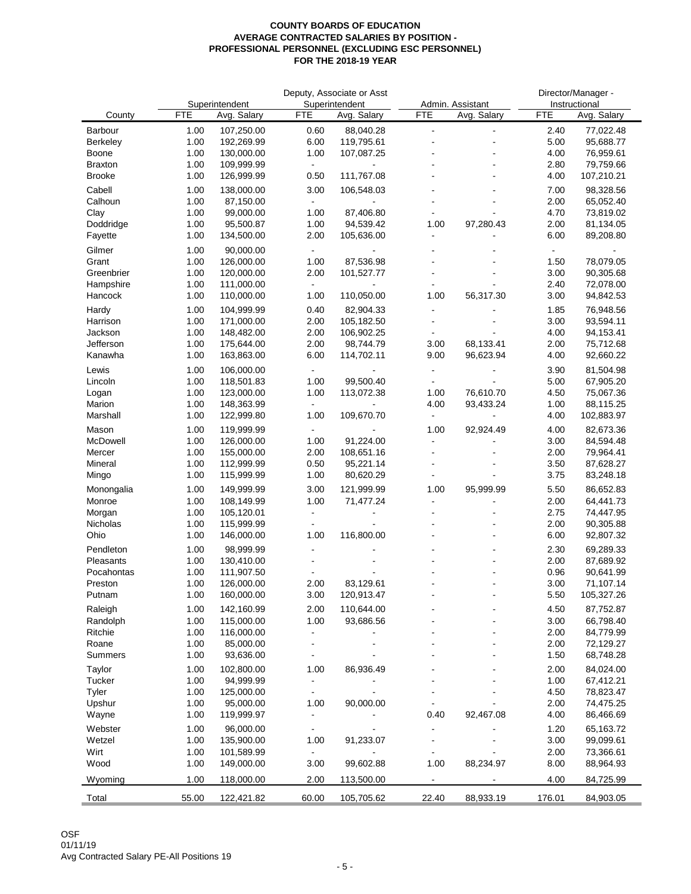|                      |              |                               |                                                          | Deputy, Associate or Asst     |                                  |                                 |                | Director/Manager -           |
|----------------------|--------------|-------------------------------|----------------------------------------------------------|-------------------------------|----------------------------------|---------------------------------|----------------|------------------------------|
| County               | <b>FTE</b>   | Superintendent<br>Avg. Salary | <b>FTE</b>                                               | Superintendent<br>Avg. Salary | <b>FTE</b>                       | Admin. Assistant<br>Avg. Salary | <b>FTE</b>     | Instructional<br>Avg. Salary |
| Barbour              | 1.00         | 107,250.00                    | 0.60                                                     | 88,040.28                     | $\blacksquare$                   | $\blacksquare$                  | 2.40           | 77,022.48                    |
| <b>Berkeley</b>      | 1.00         | 192,269.99                    | 6.00                                                     | 119,795.61                    | ä,                               |                                 | 5.00           | 95,688.77                    |
| Boone                | 1.00         | 130,000.00                    | 1.00                                                     | 107,087.25                    |                                  |                                 | 4.00           | 76,959.61                    |
| <b>Braxton</b>       | 1.00         | 109,999.99                    |                                                          |                               |                                  |                                 | 2.80           | 79,759.66                    |
| <b>Brooke</b>        | 1.00         | 126,999.99                    | 0.50                                                     | 111,767.08                    |                                  |                                 | 4.00           | 107,210.21                   |
| Cabell               | 1.00         | 138,000.00                    | 3.00                                                     | 106,548.03                    |                                  |                                 | 7.00           | 98,328.56                    |
| Calhoun              | 1.00         | 87,150.00                     |                                                          |                               |                                  |                                 | 2.00           | 65,052.40                    |
| Clay<br>Doddridge    | 1.00<br>1.00 | 99,000.00<br>95,500.87        | 1.00<br>1.00                                             | 87,406.80<br>94,539.42        | ä,<br>1.00                       | 97,280.43                       | 4.70<br>2.00   | 73,819.02<br>81,134.05       |
| Fayette              | 1.00         | 134,500.00                    | 2.00                                                     | 105,636.00                    | ä,                               |                                 | 6.00           | 89,208.80                    |
| Gilmer               | 1.00         | 90,000.00                     | $\overline{\phantom{a}}$                                 |                               |                                  |                                 | $\blacksquare$ |                              |
| Grant                | 1.00         | 126,000.00                    | 1.00                                                     | 87,536.98                     |                                  |                                 | 1.50           | 78,079.05                    |
| Greenbrier           | 1.00         | 120,000.00                    | 2.00                                                     | 101,527.77                    | $\overline{a}$                   |                                 | 3.00           | 90,305.68                    |
| Hampshire            | 1.00         | 111,000.00                    |                                                          |                               |                                  |                                 | 2.40           | 72,078.00                    |
| Hancock              | 1.00         | 110,000.00                    | 1.00                                                     | 110,050.00                    | 1.00                             | 56,317.30                       | 3.00           | 94,842.53                    |
| Hardy                | 1.00         | 104,999.99                    | 0.40                                                     | 82,904.33                     |                                  |                                 | 1.85           | 76,948.56                    |
| Harrison             | 1.00         | 171,000.00                    | 2.00                                                     | 105,182.50                    | $\overline{\phantom{0}}$         |                                 | 3.00           | 93,594.11                    |
| Jackson              | 1.00         | 148,482.00                    | 2.00                                                     | 106,902.25                    | $\blacksquare$                   |                                 | 4.00           | 94,153.41                    |
| Jefferson<br>Kanawha | 1.00<br>1.00 | 175,644.00<br>163,863.00      | 2.00<br>6.00                                             | 98,744.79<br>114,702.11       | 3.00<br>9.00                     | 68,133.41<br>96,623.94          | 2.00<br>4.00   | 75,712.68<br>92,660.22       |
|                      |              |                               |                                                          |                               |                                  |                                 |                |                              |
| Lewis<br>Lincoln     | 1.00<br>1.00 | 106,000.00<br>118,501.83      | 1.00                                                     | 99,500.40                     | $\blacksquare$<br>$\blacksquare$ |                                 | 3.90<br>5.00   | 81,504.98<br>67,905.20       |
| Logan                | 1.00         | 123,000.00                    | 1.00                                                     | 113,072.38                    | 1.00                             | 76,610.70                       | 4.50           | 75,067.36                    |
| Marion               | 1.00         | 148,363.99                    |                                                          |                               | 4.00                             | 93,433.24                       | 1.00           | 88,115.25                    |
| Marshall             | 1.00         | 122,999.80                    | 1.00                                                     | 109,670.70                    | $\blacksquare$                   | $\blacksquare$                  | 4.00           | 102,883.97                   |
| Mason                | 1.00         | 119,999.99                    | $\blacksquare$                                           |                               | 1.00                             | 92,924.49                       | 4.00           | 82,673.36                    |
| McDowell             | 1.00         | 126,000.00                    | 1.00                                                     | 91,224.00                     | $\overline{\phantom{a}}$         |                                 | 3.00           | 84,594.48                    |
| Mercer               | 1.00         | 155,000.00                    | 2.00                                                     | 108,651.16                    |                                  |                                 | 2.00           | 79,964.41                    |
| Mineral              | 1.00         | 112,999.99                    | 0.50                                                     | 95,221.14                     | ÷                                |                                 | 3.50           | 87,628.27                    |
| Mingo                | 1.00         | 115,999.99                    | 1.00                                                     | 80,620.29                     | $\blacksquare$                   |                                 | 3.75           | 83,248.18                    |
| Monongalia           | 1.00         | 149,999.99                    | 3.00                                                     | 121,999.99                    | 1.00<br>$\overline{a}$           | 95,999.99                       | 5.50           | 86,652.83                    |
| Monroe<br>Morgan     | 1.00<br>1.00 | 108,149.99<br>105,120.01      | 1.00<br>$\overline{\phantom{a}}$                         | 71,477.24                     | ۰                                |                                 | 2.00<br>2.75   | 64,441.73<br>74,447.95       |
| Nicholas             | 1.00         | 115,999.99                    |                                                          |                               |                                  |                                 | 2.00           | 90,305.88                    |
| Ohio                 | 1.00         | 146,000.00                    | 1.00                                                     | 116,800.00                    |                                  |                                 | 6.00           | 92,807.32                    |
| Pendleton            | 1.00         | 98,999.99                     | $\blacksquare$                                           |                               |                                  |                                 | 2.30           | 69,289.33                    |
| Pleasants            | 1.00         | 130,410.00                    |                                                          |                               |                                  |                                 | 2.00           | 87,689.92                    |
| Pocahontas           | 1.00         | 111,907.50                    |                                                          |                               |                                  |                                 | 0.96           | 90,641.99                    |
| Preston              | 1.00         | 126,000.00                    | 2.00                                                     | 83,129.61                     |                                  |                                 | 3.00           | 71,107.14                    |
| Putnam               | 1.00         | 160,000.00                    | 3.00                                                     | 120,913.47                    |                                  |                                 | 5.50           | 105,327.26                   |
| Raleigh              | 1.00         | 142,160.99                    | 2.00                                                     | 110,644.00                    |                                  |                                 | 4.50           | 87,752.87                    |
| Randolph             | 1.00         | 115,000.00                    | 1.00                                                     | 93,686.56                     |                                  |                                 | 3.00           | 66,798.40                    |
| Ritchie<br>Roane     | 1.00<br>1.00 | 116,000.00<br>85,000.00       | $\overline{\phantom{a}}$<br>$\qquad \qquad \blacksquare$ |                               |                                  |                                 | 2.00<br>2.00   | 84,779.99<br>72,129.27       |
| Summers              | 1.00         | 93,636.00                     | $\blacksquare$                                           |                               |                                  |                                 | 1.50           | 68,748.28                    |
| Taylor               | 1.00         | 102,800.00                    | 1.00                                                     | 86,936.49                     |                                  |                                 | 2.00           | 84,024.00                    |
| Tucker               | 1.00         | 94,999.99                     |                                                          |                               |                                  |                                 | 1.00           | 67,412.21                    |
| Tyler                | 1.00         | 125,000.00                    | $\blacksquare$                                           |                               |                                  |                                 | 4.50           | 78,823.47                    |
| Upshur               | 1.00         | 95,000.00                     | 1.00                                                     | 90,000.00                     |                                  |                                 | 2.00           | 74,475.25                    |
| Wayne                | 1.00         | 119,999.97                    |                                                          |                               | 0.40                             | 92,467.08                       | 4.00           | 86,466.69                    |
| Webster              | 1.00         | 96,000.00                     |                                                          |                               |                                  |                                 | 1.20           | 65,163.72                    |
| Wetzel               | 1.00         | 135,900.00                    | 1.00                                                     | 91,233.07                     | $\overline{\phantom{a}}$         |                                 | 3.00           | 99,099.61                    |
| Wirt                 | 1.00         | 101,589.99                    |                                                          |                               |                                  |                                 | 2.00           | 73,366.61                    |
| Wood                 | 1.00         | 149,000.00                    | 3.00                                                     | 99,602.88                     | 1.00                             | 88,234.97                       | 8.00           | 88,964.93                    |
| Wyoming              | 1.00         | 118,000.00                    | 2.00                                                     | 113,500.00                    | $\blacksquare$                   |                                 | 4.00           | 84,725.99                    |
| Total                | 55.00        | 122,421.82                    | 60.00                                                    | 105,705.62                    | 22.40                            | 88,933.19                       | 176.01         | 84,903.05                    |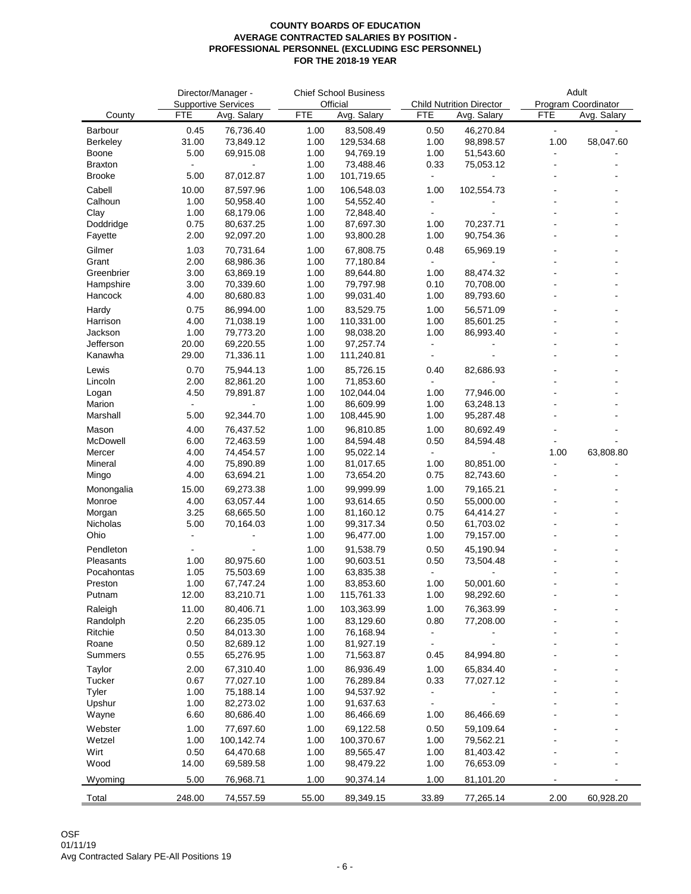|                         |                | Director/Manager -         |              | <b>Chief School Business</b> |                      |                                 | Adult          |                             |  |
|-------------------------|----------------|----------------------------|--------------|------------------------------|----------------------|---------------------------------|----------------|-----------------------------|--|
|                         |                | <b>Supportive Services</b> |              | Official                     |                      | <b>Child Nutrition Director</b> |                | Program Coordinator         |  |
| County                  | <b>FTE</b>     | Avg. Salary                | <b>FTE</b>   | Avg. Salary                  | <b>FTE</b>           | Avg. Salary                     | <b>FTE</b>     | Avg. Salary                 |  |
| Barbour<br>Berkeley     | 0.45<br>31.00  | 76,736.40<br>73,849.12     | 1.00<br>1.00 | 83,508.49<br>129,534.68      | 0.50<br>1.00         | 46,270.84<br>98,898.57          | $\sim$<br>1.00 | $\blacksquare$<br>58,047.60 |  |
| Boone                   | 5.00           | 69,915.08                  | 1.00         | 94,769.19                    | 1.00                 | 51,543.60                       | $\blacksquare$ |                             |  |
| <b>Braxton</b>          |                |                            | 1.00         | 73,488.46                    | 0.33                 | 75,053.12                       |                |                             |  |
| <b>Brooke</b>           | 5.00           | 87,012.87                  | 1.00         | 101,719.65                   | $\blacksquare$       |                                 |                |                             |  |
| Cabell                  | 10.00          | 87,597.96                  | 1.00         | 106,548.03                   | 1.00                 | 102,554.73                      |                |                             |  |
| Calhoun                 | 1.00           | 50,958.40                  | 1.00         | 54,552.40                    | $\sim$               |                                 |                |                             |  |
| Clay                    | 1.00           | 68,179.06                  | 1.00         | 72,848.40                    |                      |                                 |                |                             |  |
| Doddridge               | 0.75           | 80,637.25                  | 1.00         | 87,697.30                    | 1.00                 | 70,237.71                       |                |                             |  |
| Fayette                 | 2.00           | 92,097.20                  | 1.00         | 93,800.28                    | 1.00                 | 90,754.36                       |                |                             |  |
| Gilmer                  | 1.03           | 70,731.64                  | 1.00         | 67,808.75                    | 0.48                 | 65,969.19                       |                |                             |  |
| Grant                   | 2.00           | 68,986.36                  | 1.00         | 77,180.84                    | $\blacksquare$       | $\blacksquare$                  |                |                             |  |
| Greenbrier<br>Hampshire | 3.00<br>3.00   | 63,869.19<br>70,339.60     | 1.00<br>1.00 | 89,644.80<br>79,797.98       | 1.00<br>0.10         | 88,474.32<br>70,708.00          |                |                             |  |
| Hancock                 | 4.00           | 80,680.83                  | 1.00         | 99,031.40                    | 1.00                 | 89,793.60                       |                |                             |  |
|                         |                |                            |              |                              |                      |                                 |                |                             |  |
| Hardy<br>Harrison       | 0.75<br>4.00   | 86,994.00<br>71,038.19     | 1.00<br>1.00 | 83,529.75<br>110,331.00      | 1.00<br>1.00         | 56,571.09<br>85,601.25          |                |                             |  |
| Jackson                 | 1.00           | 79,773.20                  | 1.00         | 98,038.20                    | 1.00                 | 86,993.40                       |                |                             |  |
| Jefferson               | 20.00          | 69,220.55                  | 1.00         | 97,257.74                    | $\blacksquare$       | $\blacksquare$                  |                |                             |  |
| Kanawha                 | 29.00          | 71,336.11                  | 1.00         | 111,240.81                   | $\ddot{\phantom{a}}$ |                                 |                |                             |  |
| Lewis                   | 0.70           | 75,944.13                  | 1.00         | 85,726.15                    | 0.40                 | 82,686.93                       |                |                             |  |
| Lincoln                 | 2.00           | 82,861.20                  | 1.00         | 71,853.60                    | $\blacksquare$       |                                 |                |                             |  |
| Logan                   | 4.50           | 79,891.87                  | 1.00         | 102,044.04                   | 1.00                 | 77,946.00                       |                |                             |  |
| Marion                  |                |                            | 1.00         | 86,609.99                    | 1.00                 | 63,248.13                       |                |                             |  |
| Marshall                | 5.00           | 92,344.70                  | 1.00         | 108,445.90                   | 1.00                 | 95,287.48                       |                |                             |  |
| Mason                   | 4.00           | 76,437.52                  | 1.00         | 96,810.85                    | 1.00                 | 80,692.49                       |                |                             |  |
| McDowell                | 6.00           | 72,463.59                  | 1.00         | 84,594.48                    | 0.50                 | 84,594.48                       |                |                             |  |
| Mercer                  | 4.00           | 74,454.57                  | 1.00         | 95,022.14                    | $\blacksquare$       | $\overline{\phantom{a}}$        | 1.00           | 63,808.80                   |  |
| Mineral                 | 4.00           | 75,890.89                  | 1.00         | 81,017.65                    | 1.00                 | 80,851.00                       |                |                             |  |
| Mingo                   | 4.00           | 63,694.21                  | 1.00         | 73,654.20                    | 0.75                 | 82,743.60                       |                |                             |  |
| Monongalia              | 15.00          | 69,273.38                  | 1.00         | 99,999.99                    | 1.00                 | 79,165.21                       |                |                             |  |
| Monroe<br>Morgan        | 4.00<br>3.25   | 63,057.44<br>68,665.50     | 1.00<br>1.00 | 93,614.65<br>81,160.12       | 0.50<br>0.75         | 55,000.00<br>64,414.27          |                |                             |  |
| Nicholas                | 5.00           | 70,164.03                  | 1.00         | 99,317.34                    | 0.50                 | 61,703.02                       |                |                             |  |
| Ohio                    | $\overline{a}$ |                            | 1.00         | 96,477.00                    | 1.00                 | 79,157.00                       |                |                             |  |
| Pendleton               | $\overline{a}$ |                            | 1.00         | 91,538.79                    | 0.50                 | 45,190.94                       |                |                             |  |
| Pleasants               | 1.00           | 80,975.60                  | 1.00         | 90,603.51                    | 0.50                 | 73,504.48                       |                |                             |  |
| Pocahontas              | 1.05           | 75,503.69                  | 1.00         | 63,835.38                    | $\sim$               |                                 |                |                             |  |
| Preston                 | 1.00           | 67,747.24                  | 1.00         | 83,853.60                    | 1.00                 | 50,001.60                       |                |                             |  |
| Putnam                  | 12.00          | 83,210.71                  | 1.00         | 115,761.33                   | 1.00                 | 98,292.60                       |                |                             |  |
| Raleigh                 | 11.00          | 80,406.71                  | 1.00         | 103,363.99                   | 1.00                 | 76,363.99                       |                |                             |  |
| Randolph                | 2.20           | 66,235.05                  | 1.00         | 83,129.60                    | 0.80                 | 77,208.00                       |                |                             |  |
| Ritchie                 | 0.50           | 84,013.30                  | 1.00         | 76,168.94                    |                      |                                 |                |                             |  |
| Roane                   | 0.50           | 82,689.12                  | 1.00         | 81,927.19                    | $\blacksquare$       |                                 |                |                             |  |
| Summers                 | 0.55           | 65,276.95                  | 1.00         | 71,563.87                    | 0.45                 | 84,994.80                       |                |                             |  |
| Taylor                  | 2.00           | 67,310.40                  | 1.00         | 86,936.49                    | 1.00                 | 65,834.40                       |                |                             |  |
| Tucker                  | 0.67           | 77,027.10                  | 1.00         | 76,289.84                    | 0.33                 | 77,027.12                       |                |                             |  |
| Tyler                   | 1.00           | 75,188.14                  | 1.00         | 94,537.92                    | $\blacksquare$       |                                 |                |                             |  |
| Upshur                  | 1.00           | 82,273.02                  | 1.00         | 91,637.63<br>86,466.69       | $\blacksquare$       |                                 |                |                             |  |
| Wayne                   | 6.60           | 80,686.40                  | 1.00         |                              | 1.00                 | 86,466.69                       |                |                             |  |
| Webster                 | 1.00           | 77,697.60                  | 1.00         | 69,122.58                    | 0.50                 | 59,109.64                       |                |                             |  |
| Wetzel<br>Wirt          | 1.00<br>0.50   | 100,142.74<br>64,470.68    | 1.00<br>1.00 | 100,370.67<br>89,565.47      | 1.00<br>1.00         | 79,562.21<br>81,403.42          |                |                             |  |
| Wood                    | 14.00          | 69,589.58                  | 1.00         | 98,479.22                    | 1.00                 | 76,653.09                       |                |                             |  |
|                         |                |                            |              |                              |                      |                                 |                |                             |  |
| Wyoming                 | 5.00           | 76,968.71                  | 1.00         | 90,374.14                    | 1.00                 | 81,101.20                       | $\blacksquare$ |                             |  |
| Total                   | 248.00         | 74,557.59                  | 55.00        | 89,349.15                    | 33.89                | 77,265.14                       | 2.00           | 60,928.20                   |  |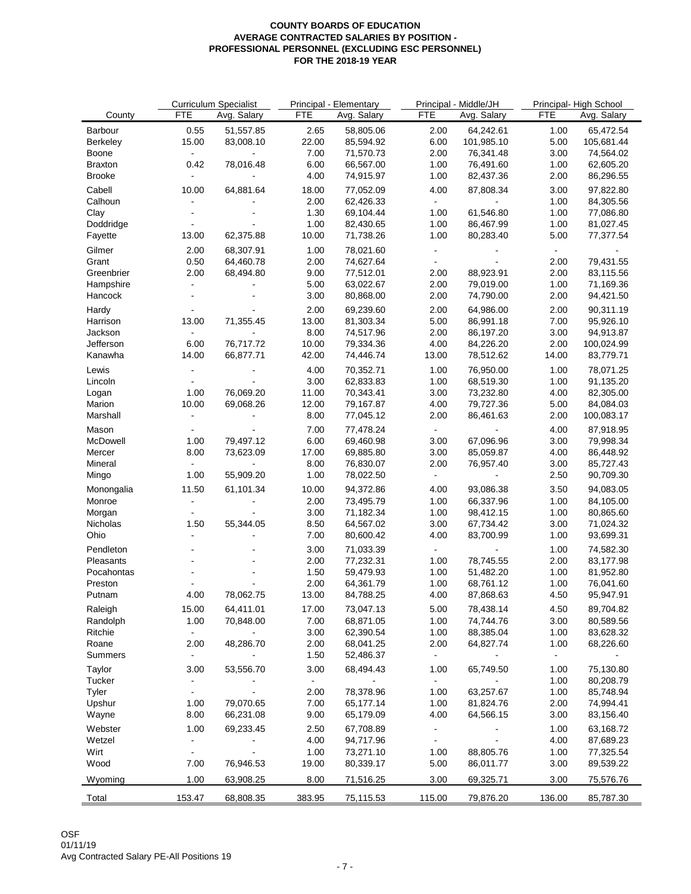|                    |                | <b>Curriculum Specialist</b> |            | Principal - Elementary |                | Principal - Middle/JH  |                | Principal-High School |  |
|--------------------|----------------|------------------------------|------------|------------------------|----------------|------------------------|----------------|-----------------------|--|
| County             | <b>FTE</b>     | Avg. Salary                  | <b>FTE</b> | Avg. Salary            | <b>FTE</b>     | Avg. Salary            | <b>FTE</b>     | Avg. Salary           |  |
| Barbour            | 0.55           | 51,557.85                    | 2.65       | 58,805.06              | 2.00           | 64,242.61              | 1.00           | 65,472.54             |  |
| Berkeley           | 15.00          | 83,008.10                    | 22.00      | 85,594.92              | 6.00           | 101,985.10             | 5.00           | 105,681.44            |  |
| Boone              | $\sim$         | $\blacksquare$               | 7.00       | 71,570.73              | 2.00           | 76,341.48              | 3.00           | 74,564.02             |  |
| <b>Braxton</b>     | 0.42           | 78,016.48                    | 6.00       | 66,567.00              | 1.00           | 76,491.60              | 1.00           | 62,605.20             |  |
| <b>Brooke</b>      | $\sim$         |                              | 4.00       | 74,915.97              | 1.00           | 82,437.36              | 2.00           | 86,296.55             |  |
| Cabell             | 10.00          | 64,881.64                    | 18.00      | 77,052.09              | 4.00           | 87,808.34              | 3.00           | 97,822.80             |  |
| Calhoun            | $\blacksquare$ |                              | 2.00       | 62,426.33              | $\sim 10^4$    |                        | 1.00           | 84,305.56             |  |
|                    | $\overline{a}$ |                              | 1.30       | 69,104.44              | 1.00           | 61,546.80              | 1.00           | 77,086.80             |  |
| Clay<br>Doddridge  | $\blacksquare$ |                              | 1.00       | 82,430.65              | 1.00           |                        | 1.00           | 81,027.45             |  |
|                    |                |                              |            |                        | 1.00           | 86,467.99<br>80,283.40 | 5.00           |                       |  |
| Fayette            | 13.00          | 62,375.88                    | 10.00      | 71,738.26              |                |                        |                | 77,377.54             |  |
| Gilmer             | 2.00           | 68,307.91                    | 1.00       | 78,021.60              | $\blacksquare$ | $\blacksquare$         | $\blacksquare$ | $\sim$                |  |
| Grant              | 0.50           | 64,460.78                    | 2.00       | 74,627.64              | $\blacksquare$ | $\omega$               | 2.00           | 79,431.55             |  |
| Greenbrier         | 2.00           | 68,494.80                    | 9.00       | 77,512.01              | 2.00           | 88,923.91              | 2.00           | 83,115.56             |  |
| Hampshire          | $\blacksquare$ |                              | 5.00       | 63,022.67              | 2.00           | 79,019.00              | 1.00           | 71,169.36             |  |
| Hancock            | $\blacksquare$ |                              | 3.00       | 80,868.00              | 2.00           | 74,790.00              | 2.00           | 94,421.50             |  |
| Hardy              | $\blacksquare$ |                              | 2.00       | 69,239.60              | 2.00           | 64,986.00              | 2.00           | 90,311.19             |  |
| Harrison           | 13.00          | 71,355.45                    | 13.00      | 81,303.34              | 5.00           | 86,991.18              | 7.00           | 95,926.10             |  |
| Jackson            | $\sim$         |                              | 8.00       | 74,517.96              | 2.00           | 86,197.20              | 3.00           | 94,913.87             |  |
| Jefferson          | 6.00           | 76,717.72                    | 10.00      | 79,334.36              | 4.00           | 84,226.20              | 2.00           | 100,024.99            |  |
| Kanawha            | 14.00          | 66,877.71                    | 42.00      | 74,446.74              | 13.00          | 78,512.62              | 14.00          | 83,779.71             |  |
| Lewis              | $\blacksquare$ |                              | 4.00       | 70,352.71              | 1.00           | 76,950.00              | 1.00           | 78,071.25             |  |
| Lincoln            | $\sim$         |                              | 3.00       | 62,833.83              | 1.00           | 68,519.30              | 1.00           | 91,135.20             |  |
|                    | 1.00           | 76,069.20                    | 11.00      | 70,343.41              | 3.00           | 73,232.80              | 4.00           | 82,305.00             |  |
| Logan              |                |                              |            |                        |                |                        |                | 84,084.03             |  |
| Marion<br>Marshall | 10.00          | 69,068.26                    | 12.00      | 79,167.87              | 4.00           | 79,727.36              | 5.00           |                       |  |
|                    | $\blacksquare$ |                              | 8.00       | 77,045.12              | 2.00           | 86,461.63              | 2.00           | 100,083.17            |  |
| Mason              |                |                              | 7.00       | 77,478.24              | $\sim 100$     |                        | 4.00           | 87,918.95             |  |
| McDowell           | 1.00           | 79,497.12                    | 6.00       | 69,460.98              | 3.00           | 67,096.96              | 3.00           | 79,998.34             |  |
| Mercer             | 8.00           | 73,623.09                    | 17.00      | 69,885.80              | 3.00           | 85,059.87              | 4.00           | 86,448.92             |  |
| Mineral            | $\sim$         | $\blacksquare$               | 8.00       | 76,830.07              | 2.00           | 76,957.40              | 3.00           | 85,727.43             |  |
| Mingo              | 1.00           | 55,909.20                    | 1.00       | 78,022.50              | $\sim$         | $\sim$                 | 2.50           | 90,709.30             |  |
| Monongalia         | 11.50          | 61,101.34                    | 10.00      | 94,372.86              | 4.00           | 93,086.38              | 3.50           | 94,083.05             |  |
| Monroe             | $\blacksquare$ | $\blacksquare$               | 2.00       | 73,495.79              | 1.00           | 66,337.96              | 1.00           | 84,105.00             |  |
| Morgan             | $\blacksquare$ |                              | 3.00       | 71,182.34              | 1.00           | 98,412.15              | 1.00           | 80,865.60             |  |
| Nicholas           | 1.50           | 55,344.05                    | 8.50       | 64,567.02              | 3.00           | 67,734.42              | 3.00           | 71,024.32             |  |
| Ohio               | $\overline{a}$ |                              | 7.00       | 80,600.42              | 4.00           | 83,700.99              | 1.00           | 93,699.31             |  |
| Pendleton          |                |                              | 3.00       | 71,033.39              | $\sim 10^{-1}$ | $\blacksquare$         | 1.00           | 74,582.30             |  |
|                    | $\blacksquare$ |                              |            |                        |                |                        |                |                       |  |
| Pleasants          |                |                              | 2.00       | 77,232.31              | 1.00           | 78,745.55              | 2.00           | 83,177.98             |  |
| Pocahontas         |                |                              | 1.50       | 59,479.93              | 1.00           | 51,482.20              | 1.00           | 81,952.80             |  |
| Preston            |                |                              | 2.00       | 64,361.79              | 1.00           | 68,761.12              | 1.00           | 76,041.60             |  |
| Putnam             | 4.00           | 78,062.75                    | 13.00      | 84,788.25              | 4.00           | 87,868.63              | 4.50           | 95,947.91             |  |
| Raleigh            | 15.00          | 64,411.01                    | 17.00      | 73,047.13              | 5.00           | 78,438.14              | 4.50           | 89,704.82             |  |
| Randolph           | 1.00           | 70,848.00                    | 7.00       | 68,871.05              | 1.00           | 74,744.76              | 3.00           | 80,589.56             |  |
| Ritchie            | $\sim$         |                              | 3.00       | 62,390.54              | 1.00           | 88,385.04              | 1.00           | 83,628.32             |  |
| Roane              | 2.00           | 48,286.70                    | 2.00       | 68,041.25              | 2.00           | 64,827.74              | 1.00           | 68,226.60             |  |
| Summers            | $\blacksquare$ |                              | 1.50       | 52,486.37              | $\bullet$ .    |                        | $\blacksquare$ |                       |  |
| Taylor             | 3.00           | 53,556.70                    | 3.00       | 68,494.43              | 1.00           | 65,749.50              | 1.00           | 75,130.80             |  |
| Tucker             |                |                              |            |                        |                |                        | 1.00           | 80,208.79             |  |
| Tyler              | $\blacksquare$ |                              | 2.00       | 78,378.96              | 1.00           | 63,257.67              | 1.00           | 85,748.94             |  |
| Upshur             | 1.00           | 79,070.65                    | 7.00       | 65,177.14              | 1.00           | 81,824.76              | 2.00           | 74,994.41             |  |
| Wayne              | 8.00           | 66,231.08                    | 9.00       | 65,179.09              | 4.00           | 64,566.15              | 3.00           | 83,156.40             |  |
|                    |                |                              |            |                        |                |                        |                |                       |  |
| Webster            | 1.00           | 69,233.45                    | 2.50       | 67,708.89              | $\blacksquare$ |                        | 1.00           | 63,168.72             |  |
| Wetzel             | ۰              |                              | 4.00       | 94,717.96              | $\blacksquare$ | $\blacksquare$         | 4.00           | 87,689.23             |  |
| Wirt               | $\blacksquare$ |                              | 1.00       | 73,271.10              | 1.00           | 88,805.76              | 1.00           | 77,325.54             |  |
| Wood               | 7.00           | 76,946.53                    | 19.00      | 80,339.17              | 5.00           | 86,011.77              | 3.00           | 89,539.22             |  |
| Wyoming            | 1.00           | 63,908.25                    | 8.00       | 71,516.25              | 3.00           | 69,325.71              | 3.00           | 75,576.76             |  |
| Total              | 153.47         | 68,808.35                    | 383.95     | 75,115.53              | 115.00         | 79,876.20              | 136.00         | 85,787.30             |  |
|                    |                |                              |            |                        |                |                        |                |                       |  |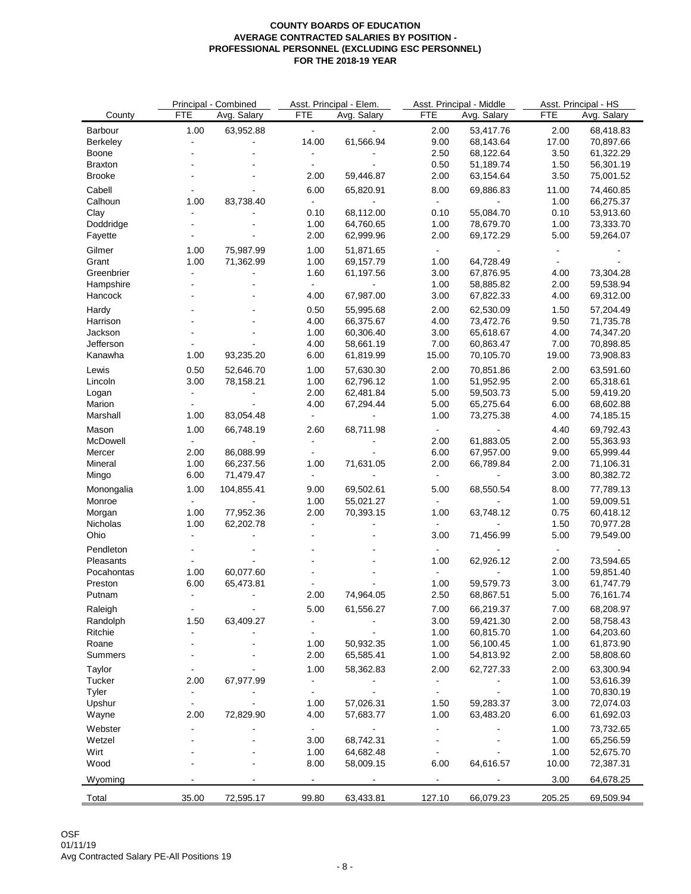| Avg. Salary<br>Avg. Salary<br>Avg. Salary<br>County<br>63,952.88<br>1.00<br>$\omega_{\rm c}$<br>2.00<br>53,417.76<br>2.00<br>68,418.83<br>Barbour<br>$\omega$<br>14.00<br>61,566.94<br>9.00<br>68,143.64<br>17.00<br>Berkeley<br>70,897.66<br>$\blacksquare$<br>$\blacksquare$<br>2.50<br>68,122.64<br>3.50<br>61,322.29<br>Boone<br>$\blacksquare$<br>$\blacksquare$<br>0.50<br>1.50<br>51,189.74<br>56,301.19<br><b>Braxton</b><br>$\blacksquare$<br>2.00<br><b>Brooke</b><br>2.00<br>59,446.87<br>63,154.64<br>3.50<br>75,001.52<br>6.00<br>8.00<br>Cabell<br>65,820.91<br>69,886.83<br>11.00<br>74,460.85<br>83,738.40<br>Calhoun<br>1.00<br>1.00<br>66,275.37<br>$\blacksquare$<br>$\blacksquare$<br>Clay<br>0.10<br>68,112.00<br>0.10<br>55,084.70<br>0.10<br>53,913.60<br>78,679.70<br>1.00<br>Doddridge<br>1.00<br>64,760.65<br>1.00<br>73,333.70<br>$\sim$<br>2.00<br>2.00<br>69,172.29<br>5.00<br>Fayette<br>62,999.96<br>59,264.07<br>$\overline{a}$<br>Gilmer<br>1.00<br>75,987.99<br>1.00<br>51,871.65<br>$\blacksquare$<br>$\blacksquare$<br>$\blacksquare$<br>1.00<br>71,362.99<br>1.00<br>69,157.79<br>1.00<br>64,728.49<br>Grant<br>$\blacksquare$<br>1.60<br>61,197.56<br>3.00<br>67,876.95<br>73,304.28<br>Greenbrier<br>$\overline{a}$<br>4.00<br>$\overline{a}$<br>1.00<br>58,885.82<br>2.00<br>59,538.94<br>Hampshire<br>$\blacksquare$<br>$\overline{a}$<br>$\blacksquare$<br>$\sim$<br>4.00<br>67,987.00<br>3.00<br>67,822.33<br>4.00<br>69,312.00<br>Hancock<br>$\overline{a}$<br>0.50<br>2.00<br>62,530.09<br>57,204.49<br>Hardy<br>55,995.68<br>1.50<br>4.00<br>4.00<br>73,472.76<br>9.50<br>66,375.67<br>71,735.78<br>Harrison<br>65,618.67<br>Jackson<br>1.00<br>60,306.40<br>3.00<br>4.00<br>74,347.20<br>Jefferson<br>4.00<br>58,661.19<br>7.00<br>60,863.47<br>7.00<br>70,898.85<br>$\blacksquare$<br>$\sim$<br>93,235.20<br>6.00<br>61,819.99<br>15.00<br>70,105.70<br>19.00<br>73,908.83<br>Kanawha<br>1.00<br>2.00<br>Lewis<br>0.50<br>52,646.70<br>1.00<br>57,630.30<br>2.00<br>70,851.86<br>63,591.60<br>3.00<br>78,158.21<br>62,796.12<br>1.00<br>51,952.95<br>2.00<br>Lincoln<br>1.00<br>65,318.61<br>59,503.73<br>2.00<br>62,481.84<br>5.00<br>5.00<br>59,419.20<br>Logan<br>$\blacksquare$<br>$\blacksquare$<br>Marion<br>4.00<br>67,294.44<br>5.00<br>65,275.64<br>6.00<br>68,602.88<br>$\blacksquare$<br>$\blacksquare$<br>Marshall<br>83,054.48<br>1.00<br>73,275.38<br>4.00<br>1.00<br>74,185.15<br>$\blacksquare$<br>$\blacksquare$<br>66,748.19<br>68,711.98<br>4.40<br>69,792.43<br>Mason<br>1.00<br>2.60<br>$\blacksquare$<br>61,883.05<br>McDowell<br>2.00<br>2.00<br>55,363.93<br>$\blacksquare$<br>$\mathbf{r}$<br>$\blacksquare$<br>$\blacksquare$<br>Mercer<br>2.00<br>86,088.99<br>6.00<br>67,957.00<br>9.00<br>65,999.44<br>$\blacksquare$<br>$\blacksquare$<br>1.00<br>71,631.05<br>2.00<br>1.00<br>66,237.56<br>66,789.84<br>2.00<br>71,106.31<br>Mineral<br>6.00<br>71,479.47<br>3.00<br>80,382.72<br>Mingo<br>$\blacksquare$<br>$\blacksquare$<br>$\sim$<br>$\blacksquare$<br>104,855.41<br>68,550.54<br>1.00<br>9.00<br>69,502.61<br>5.00<br>8.00<br>77,789.13<br>Monongalia<br>55,021.27<br>Monroe<br>1.00<br>1.00<br>59,009.51<br>$\blacksquare$<br>$\blacksquare$<br>$\blacksquare$<br>1.00<br>77,952.36<br>2.00<br>70,393.15<br>1.00<br>63,748.12<br>0.75<br>60,418.12<br>Morgan<br>Nicholas<br>1.00<br>62,202.78<br>1.50<br>70,977.28<br>$\overline{\phantom{a}}$<br>3.00<br>5.00<br>Ohio<br>71,456.99<br>79,549.00<br>$\blacksquare$<br>Pendleton<br>$\blacksquare$<br>$\sim$<br>$\blacksquare$<br>$\blacksquare$<br>Pleasants<br>1.00<br>62,926.12<br>2.00<br>73,594.65<br>$\blacksquare$<br>$\blacksquare$<br>1.00<br>60,077.60<br>1.00<br>59,851.40<br>Pocahontas<br>$\sim$<br>6.00<br>65,473.81<br>1.00<br>59,579.73<br>3.00<br>Preston<br>61,747.79<br>2.00<br>2.50<br>68,867.51<br>5.00<br>Putnam<br>$\blacksquare$<br>74,964.05<br>76,161.74<br>$\blacksquare$<br>5.00<br>61,556.27<br>7.00<br>66,219.37<br>7.00<br>68,208.97<br>Raleigh<br>$\blacksquare$<br>$\blacksquare$<br>Randolph<br>1.50<br>63,409.27<br>3.00<br>59,421.30<br>2.00<br>58,758.43<br>$\blacksquare$<br>Ritchie<br>1.00<br>60,815.70<br>1.00<br>64,203.60<br>$\blacksquare$<br>$\blacksquare$<br>Roane<br>50,932.35<br>1.00<br>56,100.45<br>1.00<br>1.00<br>61,873.90<br>÷,<br>2.00<br>65,585.41<br>1.00<br>2.00<br>Summers<br>54,813.92<br>58,808.60<br>Taylor<br>1.00<br>58,362.83<br>2.00<br>62,727.33<br>2.00<br>63,300.94<br>$\overline{\phantom{a}}$<br>$\qquad \qquad \blacksquare$<br>Tucker<br>67,977.99<br>1.00<br>2.00<br>53,616.39<br>Tyler<br>$\omega$<br>$\bar{\phantom{a}}$<br>1.00<br>70,830.19<br>$\blacksquare$<br>$\blacksquare$<br>$\blacksquare$<br>Upshur<br>3.00<br>1.00<br>57,026.31<br>1.50<br>59,283.37<br>72,074.03<br>$\ddot{\phantom{a}}$<br>$\blacksquare$<br>72,829.90<br>2.00<br>4.00<br>57,683.77<br>1.00<br>63,483.20<br>6.00<br>Wayne<br>61,692.03<br>Webster<br>1.00<br>73,732.65<br>$\blacksquare$<br>$\blacksquare$<br>$\blacksquare$<br>$\overline{\phantom{a}}$<br>Wetzel<br>68,742.31<br>1.00<br>65,256.59<br>3.00<br>Wirt<br>64,682.48<br>1.00<br>1.00<br>52,675.70<br>8.00<br>58,009.15<br>6.00<br>64,616.57<br>10.00<br>72,387.31<br>Wood<br>3.00<br>64,678.25<br>Wyoming<br>$\blacksquare$<br>$\blacksquare$<br>$\mathbf{r}$<br>35.00<br>72,595.17<br>99.80<br>63,433.81<br>127.10<br>66,079.23<br>205.25<br>69,509.94<br>Total |            | Principal - Combined |            | Asst. Principal - Elem. |            | Asst. Principal - Middle | Asst. Principal - HS |  |
|-----------------------------------------------------------------------------------------------------------------------------------------------------------------------------------------------------------------------------------------------------------------------------------------------------------------------------------------------------------------------------------------------------------------------------------------------------------------------------------------------------------------------------------------------------------------------------------------------------------------------------------------------------------------------------------------------------------------------------------------------------------------------------------------------------------------------------------------------------------------------------------------------------------------------------------------------------------------------------------------------------------------------------------------------------------------------------------------------------------------------------------------------------------------------------------------------------------------------------------------------------------------------------------------------------------------------------------------------------------------------------------------------------------------------------------------------------------------------------------------------------------------------------------------------------------------------------------------------------------------------------------------------------------------------------------------------------------------------------------------------------------------------------------------------------------------------------------------------------------------------------------------------------------------------------------------------------------------------------------------------------------------------------------------------------------------------------------------------------------------------------------------------------------------------------------------------------------------------------------------------------------------------------------------------------------------------------------------------------------------------------------------------------------------------------------------------------------------------------------------------------------------------------------------------------------------------------------------------------------------------------------------------------------------------------------------------------------------------------------------------------------------------------------------------------------------------------------------------------------------------------------------------------------------------------------------------------------------------------------------------------------------------------------------------------------------------------------------------------------------------------------------------------------------------------------------------------------------------------------------------------------------------------------------------------------------------------------------------------------------------------------------------------------------------------------------------------------------------------------------------------------------------------------------------------------------------------------------------------------------------------------------------------------------------------------------------------------------------------------------------------------------------------------------------------------------------------------------------------------------------------------------------------------------------------------------------------------------------------------------------------------------------------------------------------------------------------------------------------------------------------------------------------------------------------------------------------------------------------------------------------------------------------------------------------------------------------------------------------------------------------------------------------------------------------------------------------------------------------------------------------------------------------------------------------------------------------------------------------------------------------------------------------------------------------------------------------------------------------------------------------------------------------------------------------------------------------------------------------------------------------------------------------------------------------------------------------------------------------------------------------------------------------------------------------------------------------------------------------------------------------------------------------------------------------------------------------------------------------------------------------------------------------------------------------------------------------------------------------------------------------------------------------------------------------|------------|----------------------|------------|-------------------------|------------|--------------------------|----------------------|--|
|                                                                                                                                                                                                                                                                                                                                                                                                                                                                                                                                                                                                                                                                                                                                                                                                                                                                                                                                                                                                                                                                                                                                                                                                                                                                                                                                                                                                                                                                                                                                                                                                                                                                                                                                                                                                                                                                                                                                                                                                                                                                                                                                                                                                                                                                                                                                                                                                                                                                                                                                                                                                                                                                                                                                                                                                                                                                                                                                                                                                                                                                                                                                                                                                                                                                                                                                                                                                                                                                                                                                                                                                                                                                                                                                                                                                                                                                                                                                                                                                                                                                                                                                                                                                                                                                                                                                                                                                                                                                                                                                                                                                                                                                                                                                                                                                                                                                                                                                                                                                                                                                                                                                                                                                                                                                                                                                                                                                                             | <b>FTE</b> |                      | <b>FTE</b> | Avg. Salary             | <b>FTE</b> |                          | <b>FTE</b>           |  |
|                                                                                                                                                                                                                                                                                                                                                                                                                                                                                                                                                                                                                                                                                                                                                                                                                                                                                                                                                                                                                                                                                                                                                                                                                                                                                                                                                                                                                                                                                                                                                                                                                                                                                                                                                                                                                                                                                                                                                                                                                                                                                                                                                                                                                                                                                                                                                                                                                                                                                                                                                                                                                                                                                                                                                                                                                                                                                                                                                                                                                                                                                                                                                                                                                                                                                                                                                                                                                                                                                                                                                                                                                                                                                                                                                                                                                                                                                                                                                                                                                                                                                                                                                                                                                                                                                                                                                                                                                                                                                                                                                                                                                                                                                                                                                                                                                                                                                                                                                                                                                                                                                                                                                                                                                                                                                                                                                                                                                             |            |                      |            |                         |            |                          |                      |  |
|                                                                                                                                                                                                                                                                                                                                                                                                                                                                                                                                                                                                                                                                                                                                                                                                                                                                                                                                                                                                                                                                                                                                                                                                                                                                                                                                                                                                                                                                                                                                                                                                                                                                                                                                                                                                                                                                                                                                                                                                                                                                                                                                                                                                                                                                                                                                                                                                                                                                                                                                                                                                                                                                                                                                                                                                                                                                                                                                                                                                                                                                                                                                                                                                                                                                                                                                                                                                                                                                                                                                                                                                                                                                                                                                                                                                                                                                                                                                                                                                                                                                                                                                                                                                                                                                                                                                                                                                                                                                                                                                                                                                                                                                                                                                                                                                                                                                                                                                                                                                                                                                                                                                                                                                                                                                                                                                                                                                                             |            |                      |            |                         |            |                          |                      |  |
|                                                                                                                                                                                                                                                                                                                                                                                                                                                                                                                                                                                                                                                                                                                                                                                                                                                                                                                                                                                                                                                                                                                                                                                                                                                                                                                                                                                                                                                                                                                                                                                                                                                                                                                                                                                                                                                                                                                                                                                                                                                                                                                                                                                                                                                                                                                                                                                                                                                                                                                                                                                                                                                                                                                                                                                                                                                                                                                                                                                                                                                                                                                                                                                                                                                                                                                                                                                                                                                                                                                                                                                                                                                                                                                                                                                                                                                                                                                                                                                                                                                                                                                                                                                                                                                                                                                                                                                                                                                                                                                                                                                                                                                                                                                                                                                                                                                                                                                                                                                                                                                                                                                                                                                                                                                                                                                                                                                                                             |            |                      |            |                         |            |                          |                      |  |
|                                                                                                                                                                                                                                                                                                                                                                                                                                                                                                                                                                                                                                                                                                                                                                                                                                                                                                                                                                                                                                                                                                                                                                                                                                                                                                                                                                                                                                                                                                                                                                                                                                                                                                                                                                                                                                                                                                                                                                                                                                                                                                                                                                                                                                                                                                                                                                                                                                                                                                                                                                                                                                                                                                                                                                                                                                                                                                                                                                                                                                                                                                                                                                                                                                                                                                                                                                                                                                                                                                                                                                                                                                                                                                                                                                                                                                                                                                                                                                                                                                                                                                                                                                                                                                                                                                                                                                                                                                                                                                                                                                                                                                                                                                                                                                                                                                                                                                                                                                                                                                                                                                                                                                                                                                                                                                                                                                                                                             |            |                      |            |                         |            |                          |                      |  |
|                                                                                                                                                                                                                                                                                                                                                                                                                                                                                                                                                                                                                                                                                                                                                                                                                                                                                                                                                                                                                                                                                                                                                                                                                                                                                                                                                                                                                                                                                                                                                                                                                                                                                                                                                                                                                                                                                                                                                                                                                                                                                                                                                                                                                                                                                                                                                                                                                                                                                                                                                                                                                                                                                                                                                                                                                                                                                                                                                                                                                                                                                                                                                                                                                                                                                                                                                                                                                                                                                                                                                                                                                                                                                                                                                                                                                                                                                                                                                                                                                                                                                                                                                                                                                                                                                                                                                                                                                                                                                                                                                                                                                                                                                                                                                                                                                                                                                                                                                                                                                                                                                                                                                                                                                                                                                                                                                                                                                             |            |                      |            |                         |            |                          |                      |  |
|                                                                                                                                                                                                                                                                                                                                                                                                                                                                                                                                                                                                                                                                                                                                                                                                                                                                                                                                                                                                                                                                                                                                                                                                                                                                                                                                                                                                                                                                                                                                                                                                                                                                                                                                                                                                                                                                                                                                                                                                                                                                                                                                                                                                                                                                                                                                                                                                                                                                                                                                                                                                                                                                                                                                                                                                                                                                                                                                                                                                                                                                                                                                                                                                                                                                                                                                                                                                                                                                                                                                                                                                                                                                                                                                                                                                                                                                                                                                                                                                                                                                                                                                                                                                                                                                                                                                                                                                                                                                                                                                                                                                                                                                                                                                                                                                                                                                                                                                                                                                                                                                                                                                                                                                                                                                                                                                                                                                                             |            |                      |            |                         |            |                          |                      |  |
|                                                                                                                                                                                                                                                                                                                                                                                                                                                                                                                                                                                                                                                                                                                                                                                                                                                                                                                                                                                                                                                                                                                                                                                                                                                                                                                                                                                                                                                                                                                                                                                                                                                                                                                                                                                                                                                                                                                                                                                                                                                                                                                                                                                                                                                                                                                                                                                                                                                                                                                                                                                                                                                                                                                                                                                                                                                                                                                                                                                                                                                                                                                                                                                                                                                                                                                                                                                                                                                                                                                                                                                                                                                                                                                                                                                                                                                                                                                                                                                                                                                                                                                                                                                                                                                                                                                                                                                                                                                                                                                                                                                                                                                                                                                                                                                                                                                                                                                                                                                                                                                                                                                                                                                                                                                                                                                                                                                                                             |            |                      |            |                         |            |                          |                      |  |
|                                                                                                                                                                                                                                                                                                                                                                                                                                                                                                                                                                                                                                                                                                                                                                                                                                                                                                                                                                                                                                                                                                                                                                                                                                                                                                                                                                                                                                                                                                                                                                                                                                                                                                                                                                                                                                                                                                                                                                                                                                                                                                                                                                                                                                                                                                                                                                                                                                                                                                                                                                                                                                                                                                                                                                                                                                                                                                                                                                                                                                                                                                                                                                                                                                                                                                                                                                                                                                                                                                                                                                                                                                                                                                                                                                                                                                                                                                                                                                                                                                                                                                                                                                                                                                                                                                                                                                                                                                                                                                                                                                                                                                                                                                                                                                                                                                                                                                                                                                                                                                                                                                                                                                                                                                                                                                                                                                                                                             |            |                      |            |                         |            |                          |                      |  |
|                                                                                                                                                                                                                                                                                                                                                                                                                                                                                                                                                                                                                                                                                                                                                                                                                                                                                                                                                                                                                                                                                                                                                                                                                                                                                                                                                                                                                                                                                                                                                                                                                                                                                                                                                                                                                                                                                                                                                                                                                                                                                                                                                                                                                                                                                                                                                                                                                                                                                                                                                                                                                                                                                                                                                                                                                                                                                                                                                                                                                                                                                                                                                                                                                                                                                                                                                                                                                                                                                                                                                                                                                                                                                                                                                                                                                                                                                                                                                                                                                                                                                                                                                                                                                                                                                                                                                                                                                                                                                                                                                                                                                                                                                                                                                                                                                                                                                                                                                                                                                                                                                                                                                                                                                                                                                                                                                                                                                             |            |                      |            |                         |            |                          |                      |  |
|                                                                                                                                                                                                                                                                                                                                                                                                                                                                                                                                                                                                                                                                                                                                                                                                                                                                                                                                                                                                                                                                                                                                                                                                                                                                                                                                                                                                                                                                                                                                                                                                                                                                                                                                                                                                                                                                                                                                                                                                                                                                                                                                                                                                                                                                                                                                                                                                                                                                                                                                                                                                                                                                                                                                                                                                                                                                                                                                                                                                                                                                                                                                                                                                                                                                                                                                                                                                                                                                                                                                                                                                                                                                                                                                                                                                                                                                                                                                                                                                                                                                                                                                                                                                                                                                                                                                                                                                                                                                                                                                                                                                                                                                                                                                                                                                                                                                                                                                                                                                                                                                                                                                                                                                                                                                                                                                                                                                                             |            |                      |            |                         |            |                          |                      |  |
|                                                                                                                                                                                                                                                                                                                                                                                                                                                                                                                                                                                                                                                                                                                                                                                                                                                                                                                                                                                                                                                                                                                                                                                                                                                                                                                                                                                                                                                                                                                                                                                                                                                                                                                                                                                                                                                                                                                                                                                                                                                                                                                                                                                                                                                                                                                                                                                                                                                                                                                                                                                                                                                                                                                                                                                                                                                                                                                                                                                                                                                                                                                                                                                                                                                                                                                                                                                                                                                                                                                                                                                                                                                                                                                                                                                                                                                                                                                                                                                                                                                                                                                                                                                                                                                                                                                                                                                                                                                                                                                                                                                                                                                                                                                                                                                                                                                                                                                                                                                                                                                                                                                                                                                                                                                                                                                                                                                                                             |            |                      |            |                         |            |                          |                      |  |
|                                                                                                                                                                                                                                                                                                                                                                                                                                                                                                                                                                                                                                                                                                                                                                                                                                                                                                                                                                                                                                                                                                                                                                                                                                                                                                                                                                                                                                                                                                                                                                                                                                                                                                                                                                                                                                                                                                                                                                                                                                                                                                                                                                                                                                                                                                                                                                                                                                                                                                                                                                                                                                                                                                                                                                                                                                                                                                                                                                                                                                                                                                                                                                                                                                                                                                                                                                                                                                                                                                                                                                                                                                                                                                                                                                                                                                                                                                                                                                                                                                                                                                                                                                                                                                                                                                                                                                                                                                                                                                                                                                                                                                                                                                                                                                                                                                                                                                                                                                                                                                                                                                                                                                                                                                                                                                                                                                                                                             |            |                      |            |                         |            |                          |                      |  |
|                                                                                                                                                                                                                                                                                                                                                                                                                                                                                                                                                                                                                                                                                                                                                                                                                                                                                                                                                                                                                                                                                                                                                                                                                                                                                                                                                                                                                                                                                                                                                                                                                                                                                                                                                                                                                                                                                                                                                                                                                                                                                                                                                                                                                                                                                                                                                                                                                                                                                                                                                                                                                                                                                                                                                                                                                                                                                                                                                                                                                                                                                                                                                                                                                                                                                                                                                                                                                                                                                                                                                                                                                                                                                                                                                                                                                                                                                                                                                                                                                                                                                                                                                                                                                                                                                                                                                                                                                                                                                                                                                                                                                                                                                                                                                                                                                                                                                                                                                                                                                                                                                                                                                                                                                                                                                                                                                                                                                             |            |                      |            |                         |            |                          |                      |  |
|                                                                                                                                                                                                                                                                                                                                                                                                                                                                                                                                                                                                                                                                                                                                                                                                                                                                                                                                                                                                                                                                                                                                                                                                                                                                                                                                                                                                                                                                                                                                                                                                                                                                                                                                                                                                                                                                                                                                                                                                                                                                                                                                                                                                                                                                                                                                                                                                                                                                                                                                                                                                                                                                                                                                                                                                                                                                                                                                                                                                                                                                                                                                                                                                                                                                                                                                                                                                                                                                                                                                                                                                                                                                                                                                                                                                                                                                                                                                                                                                                                                                                                                                                                                                                                                                                                                                                                                                                                                                                                                                                                                                                                                                                                                                                                                                                                                                                                                                                                                                                                                                                                                                                                                                                                                                                                                                                                                                                             |            |                      |            |                         |            |                          |                      |  |
|                                                                                                                                                                                                                                                                                                                                                                                                                                                                                                                                                                                                                                                                                                                                                                                                                                                                                                                                                                                                                                                                                                                                                                                                                                                                                                                                                                                                                                                                                                                                                                                                                                                                                                                                                                                                                                                                                                                                                                                                                                                                                                                                                                                                                                                                                                                                                                                                                                                                                                                                                                                                                                                                                                                                                                                                                                                                                                                                                                                                                                                                                                                                                                                                                                                                                                                                                                                                                                                                                                                                                                                                                                                                                                                                                                                                                                                                                                                                                                                                                                                                                                                                                                                                                                                                                                                                                                                                                                                                                                                                                                                                                                                                                                                                                                                                                                                                                                                                                                                                                                                                                                                                                                                                                                                                                                                                                                                                                             |            |                      |            |                         |            |                          |                      |  |
|                                                                                                                                                                                                                                                                                                                                                                                                                                                                                                                                                                                                                                                                                                                                                                                                                                                                                                                                                                                                                                                                                                                                                                                                                                                                                                                                                                                                                                                                                                                                                                                                                                                                                                                                                                                                                                                                                                                                                                                                                                                                                                                                                                                                                                                                                                                                                                                                                                                                                                                                                                                                                                                                                                                                                                                                                                                                                                                                                                                                                                                                                                                                                                                                                                                                                                                                                                                                                                                                                                                                                                                                                                                                                                                                                                                                                                                                                                                                                                                                                                                                                                                                                                                                                                                                                                                                                                                                                                                                                                                                                                                                                                                                                                                                                                                                                                                                                                                                                                                                                                                                                                                                                                                                                                                                                                                                                                                                                             |            |                      |            |                         |            |                          |                      |  |
|                                                                                                                                                                                                                                                                                                                                                                                                                                                                                                                                                                                                                                                                                                                                                                                                                                                                                                                                                                                                                                                                                                                                                                                                                                                                                                                                                                                                                                                                                                                                                                                                                                                                                                                                                                                                                                                                                                                                                                                                                                                                                                                                                                                                                                                                                                                                                                                                                                                                                                                                                                                                                                                                                                                                                                                                                                                                                                                                                                                                                                                                                                                                                                                                                                                                                                                                                                                                                                                                                                                                                                                                                                                                                                                                                                                                                                                                                                                                                                                                                                                                                                                                                                                                                                                                                                                                                                                                                                                                                                                                                                                                                                                                                                                                                                                                                                                                                                                                                                                                                                                                                                                                                                                                                                                                                                                                                                                                                             |            |                      |            |                         |            |                          |                      |  |
|                                                                                                                                                                                                                                                                                                                                                                                                                                                                                                                                                                                                                                                                                                                                                                                                                                                                                                                                                                                                                                                                                                                                                                                                                                                                                                                                                                                                                                                                                                                                                                                                                                                                                                                                                                                                                                                                                                                                                                                                                                                                                                                                                                                                                                                                                                                                                                                                                                                                                                                                                                                                                                                                                                                                                                                                                                                                                                                                                                                                                                                                                                                                                                                                                                                                                                                                                                                                                                                                                                                                                                                                                                                                                                                                                                                                                                                                                                                                                                                                                                                                                                                                                                                                                                                                                                                                                                                                                                                                                                                                                                                                                                                                                                                                                                                                                                                                                                                                                                                                                                                                                                                                                                                                                                                                                                                                                                                                                             |            |                      |            |                         |            |                          |                      |  |
|                                                                                                                                                                                                                                                                                                                                                                                                                                                                                                                                                                                                                                                                                                                                                                                                                                                                                                                                                                                                                                                                                                                                                                                                                                                                                                                                                                                                                                                                                                                                                                                                                                                                                                                                                                                                                                                                                                                                                                                                                                                                                                                                                                                                                                                                                                                                                                                                                                                                                                                                                                                                                                                                                                                                                                                                                                                                                                                                                                                                                                                                                                                                                                                                                                                                                                                                                                                                                                                                                                                                                                                                                                                                                                                                                                                                                                                                                                                                                                                                                                                                                                                                                                                                                                                                                                                                                                                                                                                                                                                                                                                                                                                                                                                                                                                                                                                                                                                                                                                                                                                                                                                                                                                                                                                                                                                                                                                                                             |            |                      |            |                         |            |                          |                      |  |
|                                                                                                                                                                                                                                                                                                                                                                                                                                                                                                                                                                                                                                                                                                                                                                                                                                                                                                                                                                                                                                                                                                                                                                                                                                                                                                                                                                                                                                                                                                                                                                                                                                                                                                                                                                                                                                                                                                                                                                                                                                                                                                                                                                                                                                                                                                                                                                                                                                                                                                                                                                                                                                                                                                                                                                                                                                                                                                                                                                                                                                                                                                                                                                                                                                                                                                                                                                                                                                                                                                                                                                                                                                                                                                                                                                                                                                                                                                                                                                                                                                                                                                                                                                                                                                                                                                                                                                                                                                                                                                                                                                                                                                                                                                                                                                                                                                                                                                                                                                                                                                                                                                                                                                                                                                                                                                                                                                                                                             |            |                      |            |                         |            |                          |                      |  |
|                                                                                                                                                                                                                                                                                                                                                                                                                                                                                                                                                                                                                                                                                                                                                                                                                                                                                                                                                                                                                                                                                                                                                                                                                                                                                                                                                                                                                                                                                                                                                                                                                                                                                                                                                                                                                                                                                                                                                                                                                                                                                                                                                                                                                                                                                                                                                                                                                                                                                                                                                                                                                                                                                                                                                                                                                                                                                                                                                                                                                                                                                                                                                                                                                                                                                                                                                                                                                                                                                                                                                                                                                                                                                                                                                                                                                                                                                                                                                                                                                                                                                                                                                                                                                                                                                                                                                                                                                                                                                                                                                                                                                                                                                                                                                                                                                                                                                                                                                                                                                                                                                                                                                                                                                                                                                                                                                                                                                             |            |                      |            |                         |            |                          |                      |  |
|                                                                                                                                                                                                                                                                                                                                                                                                                                                                                                                                                                                                                                                                                                                                                                                                                                                                                                                                                                                                                                                                                                                                                                                                                                                                                                                                                                                                                                                                                                                                                                                                                                                                                                                                                                                                                                                                                                                                                                                                                                                                                                                                                                                                                                                                                                                                                                                                                                                                                                                                                                                                                                                                                                                                                                                                                                                                                                                                                                                                                                                                                                                                                                                                                                                                                                                                                                                                                                                                                                                                                                                                                                                                                                                                                                                                                                                                                                                                                                                                                                                                                                                                                                                                                                                                                                                                                                                                                                                                                                                                                                                                                                                                                                                                                                                                                                                                                                                                                                                                                                                                                                                                                                                                                                                                                                                                                                                                                             |            |                      |            |                         |            |                          |                      |  |
|                                                                                                                                                                                                                                                                                                                                                                                                                                                                                                                                                                                                                                                                                                                                                                                                                                                                                                                                                                                                                                                                                                                                                                                                                                                                                                                                                                                                                                                                                                                                                                                                                                                                                                                                                                                                                                                                                                                                                                                                                                                                                                                                                                                                                                                                                                                                                                                                                                                                                                                                                                                                                                                                                                                                                                                                                                                                                                                                                                                                                                                                                                                                                                                                                                                                                                                                                                                                                                                                                                                                                                                                                                                                                                                                                                                                                                                                                                                                                                                                                                                                                                                                                                                                                                                                                                                                                                                                                                                                                                                                                                                                                                                                                                                                                                                                                                                                                                                                                                                                                                                                                                                                                                                                                                                                                                                                                                                                                             |            |                      |            |                         |            |                          |                      |  |
|                                                                                                                                                                                                                                                                                                                                                                                                                                                                                                                                                                                                                                                                                                                                                                                                                                                                                                                                                                                                                                                                                                                                                                                                                                                                                                                                                                                                                                                                                                                                                                                                                                                                                                                                                                                                                                                                                                                                                                                                                                                                                                                                                                                                                                                                                                                                                                                                                                                                                                                                                                                                                                                                                                                                                                                                                                                                                                                                                                                                                                                                                                                                                                                                                                                                                                                                                                                                                                                                                                                                                                                                                                                                                                                                                                                                                                                                                                                                                                                                                                                                                                                                                                                                                                                                                                                                                                                                                                                                                                                                                                                                                                                                                                                                                                                                                                                                                                                                                                                                                                                                                                                                                                                                                                                                                                                                                                                                                             |            |                      |            |                         |            |                          |                      |  |
|                                                                                                                                                                                                                                                                                                                                                                                                                                                                                                                                                                                                                                                                                                                                                                                                                                                                                                                                                                                                                                                                                                                                                                                                                                                                                                                                                                                                                                                                                                                                                                                                                                                                                                                                                                                                                                                                                                                                                                                                                                                                                                                                                                                                                                                                                                                                                                                                                                                                                                                                                                                                                                                                                                                                                                                                                                                                                                                                                                                                                                                                                                                                                                                                                                                                                                                                                                                                                                                                                                                                                                                                                                                                                                                                                                                                                                                                                                                                                                                                                                                                                                                                                                                                                                                                                                                                                                                                                                                                                                                                                                                                                                                                                                                                                                                                                                                                                                                                                                                                                                                                                                                                                                                                                                                                                                                                                                                                                             |            |                      |            |                         |            |                          |                      |  |
|                                                                                                                                                                                                                                                                                                                                                                                                                                                                                                                                                                                                                                                                                                                                                                                                                                                                                                                                                                                                                                                                                                                                                                                                                                                                                                                                                                                                                                                                                                                                                                                                                                                                                                                                                                                                                                                                                                                                                                                                                                                                                                                                                                                                                                                                                                                                                                                                                                                                                                                                                                                                                                                                                                                                                                                                                                                                                                                                                                                                                                                                                                                                                                                                                                                                                                                                                                                                                                                                                                                                                                                                                                                                                                                                                                                                                                                                                                                                                                                                                                                                                                                                                                                                                                                                                                                                                                                                                                                                                                                                                                                                                                                                                                                                                                                                                                                                                                                                                                                                                                                                                                                                                                                                                                                                                                                                                                                                                             |            |                      |            |                         |            |                          |                      |  |
|                                                                                                                                                                                                                                                                                                                                                                                                                                                                                                                                                                                                                                                                                                                                                                                                                                                                                                                                                                                                                                                                                                                                                                                                                                                                                                                                                                                                                                                                                                                                                                                                                                                                                                                                                                                                                                                                                                                                                                                                                                                                                                                                                                                                                                                                                                                                                                                                                                                                                                                                                                                                                                                                                                                                                                                                                                                                                                                                                                                                                                                                                                                                                                                                                                                                                                                                                                                                                                                                                                                                                                                                                                                                                                                                                                                                                                                                                                                                                                                                                                                                                                                                                                                                                                                                                                                                                                                                                                                                                                                                                                                                                                                                                                                                                                                                                                                                                                                                                                                                                                                                                                                                                                                                                                                                                                                                                                                                                             |            |                      |            |                         |            |                          |                      |  |
|                                                                                                                                                                                                                                                                                                                                                                                                                                                                                                                                                                                                                                                                                                                                                                                                                                                                                                                                                                                                                                                                                                                                                                                                                                                                                                                                                                                                                                                                                                                                                                                                                                                                                                                                                                                                                                                                                                                                                                                                                                                                                                                                                                                                                                                                                                                                                                                                                                                                                                                                                                                                                                                                                                                                                                                                                                                                                                                                                                                                                                                                                                                                                                                                                                                                                                                                                                                                                                                                                                                                                                                                                                                                                                                                                                                                                                                                                                                                                                                                                                                                                                                                                                                                                                                                                                                                                                                                                                                                                                                                                                                                                                                                                                                                                                                                                                                                                                                                                                                                                                                                                                                                                                                                                                                                                                                                                                                                                             |            |                      |            |                         |            |                          |                      |  |
|                                                                                                                                                                                                                                                                                                                                                                                                                                                                                                                                                                                                                                                                                                                                                                                                                                                                                                                                                                                                                                                                                                                                                                                                                                                                                                                                                                                                                                                                                                                                                                                                                                                                                                                                                                                                                                                                                                                                                                                                                                                                                                                                                                                                                                                                                                                                                                                                                                                                                                                                                                                                                                                                                                                                                                                                                                                                                                                                                                                                                                                                                                                                                                                                                                                                                                                                                                                                                                                                                                                                                                                                                                                                                                                                                                                                                                                                                                                                                                                                                                                                                                                                                                                                                                                                                                                                                                                                                                                                                                                                                                                                                                                                                                                                                                                                                                                                                                                                                                                                                                                                                                                                                                                                                                                                                                                                                                                                                             |            |                      |            |                         |            |                          |                      |  |
|                                                                                                                                                                                                                                                                                                                                                                                                                                                                                                                                                                                                                                                                                                                                                                                                                                                                                                                                                                                                                                                                                                                                                                                                                                                                                                                                                                                                                                                                                                                                                                                                                                                                                                                                                                                                                                                                                                                                                                                                                                                                                                                                                                                                                                                                                                                                                                                                                                                                                                                                                                                                                                                                                                                                                                                                                                                                                                                                                                                                                                                                                                                                                                                                                                                                                                                                                                                                                                                                                                                                                                                                                                                                                                                                                                                                                                                                                                                                                                                                                                                                                                                                                                                                                                                                                                                                                                                                                                                                                                                                                                                                                                                                                                                                                                                                                                                                                                                                                                                                                                                                                                                                                                                                                                                                                                                                                                                                                             |            |                      |            |                         |            |                          |                      |  |
|                                                                                                                                                                                                                                                                                                                                                                                                                                                                                                                                                                                                                                                                                                                                                                                                                                                                                                                                                                                                                                                                                                                                                                                                                                                                                                                                                                                                                                                                                                                                                                                                                                                                                                                                                                                                                                                                                                                                                                                                                                                                                                                                                                                                                                                                                                                                                                                                                                                                                                                                                                                                                                                                                                                                                                                                                                                                                                                                                                                                                                                                                                                                                                                                                                                                                                                                                                                                                                                                                                                                                                                                                                                                                                                                                                                                                                                                                                                                                                                                                                                                                                                                                                                                                                                                                                                                                                                                                                                                                                                                                                                                                                                                                                                                                                                                                                                                                                                                                                                                                                                                                                                                                                                                                                                                                                                                                                                                                             |            |                      |            |                         |            |                          |                      |  |
|                                                                                                                                                                                                                                                                                                                                                                                                                                                                                                                                                                                                                                                                                                                                                                                                                                                                                                                                                                                                                                                                                                                                                                                                                                                                                                                                                                                                                                                                                                                                                                                                                                                                                                                                                                                                                                                                                                                                                                                                                                                                                                                                                                                                                                                                                                                                                                                                                                                                                                                                                                                                                                                                                                                                                                                                                                                                                                                                                                                                                                                                                                                                                                                                                                                                                                                                                                                                                                                                                                                                                                                                                                                                                                                                                                                                                                                                                                                                                                                                                                                                                                                                                                                                                                                                                                                                                                                                                                                                                                                                                                                                                                                                                                                                                                                                                                                                                                                                                                                                                                                                                                                                                                                                                                                                                                                                                                                                                             |            |                      |            |                         |            |                          |                      |  |
|                                                                                                                                                                                                                                                                                                                                                                                                                                                                                                                                                                                                                                                                                                                                                                                                                                                                                                                                                                                                                                                                                                                                                                                                                                                                                                                                                                                                                                                                                                                                                                                                                                                                                                                                                                                                                                                                                                                                                                                                                                                                                                                                                                                                                                                                                                                                                                                                                                                                                                                                                                                                                                                                                                                                                                                                                                                                                                                                                                                                                                                                                                                                                                                                                                                                                                                                                                                                                                                                                                                                                                                                                                                                                                                                                                                                                                                                                                                                                                                                                                                                                                                                                                                                                                                                                                                                                                                                                                                                                                                                                                                                                                                                                                                                                                                                                                                                                                                                                                                                                                                                                                                                                                                                                                                                                                                                                                                                                             |            |                      |            |                         |            |                          |                      |  |
|                                                                                                                                                                                                                                                                                                                                                                                                                                                                                                                                                                                                                                                                                                                                                                                                                                                                                                                                                                                                                                                                                                                                                                                                                                                                                                                                                                                                                                                                                                                                                                                                                                                                                                                                                                                                                                                                                                                                                                                                                                                                                                                                                                                                                                                                                                                                                                                                                                                                                                                                                                                                                                                                                                                                                                                                                                                                                                                                                                                                                                                                                                                                                                                                                                                                                                                                                                                                                                                                                                                                                                                                                                                                                                                                                                                                                                                                                                                                                                                                                                                                                                                                                                                                                                                                                                                                                                                                                                                                                                                                                                                                                                                                                                                                                                                                                                                                                                                                                                                                                                                                                                                                                                                                                                                                                                                                                                                                                             |            |                      |            |                         |            |                          |                      |  |
|                                                                                                                                                                                                                                                                                                                                                                                                                                                                                                                                                                                                                                                                                                                                                                                                                                                                                                                                                                                                                                                                                                                                                                                                                                                                                                                                                                                                                                                                                                                                                                                                                                                                                                                                                                                                                                                                                                                                                                                                                                                                                                                                                                                                                                                                                                                                                                                                                                                                                                                                                                                                                                                                                                                                                                                                                                                                                                                                                                                                                                                                                                                                                                                                                                                                                                                                                                                                                                                                                                                                                                                                                                                                                                                                                                                                                                                                                                                                                                                                                                                                                                                                                                                                                                                                                                                                                                                                                                                                                                                                                                                                                                                                                                                                                                                                                                                                                                                                                                                                                                                                                                                                                                                                                                                                                                                                                                                                                             |            |                      |            |                         |            |                          |                      |  |
|                                                                                                                                                                                                                                                                                                                                                                                                                                                                                                                                                                                                                                                                                                                                                                                                                                                                                                                                                                                                                                                                                                                                                                                                                                                                                                                                                                                                                                                                                                                                                                                                                                                                                                                                                                                                                                                                                                                                                                                                                                                                                                                                                                                                                                                                                                                                                                                                                                                                                                                                                                                                                                                                                                                                                                                                                                                                                                                                                                                                                                                                                                                                                                                                                                                                                                                                                                                                                                                                                                                                                                                                                                                                                                                                                                                                                                                                                                                                                                                                                                                                                                                                                                                                                                                                                                                                                                                                                                                                                                                                                                                                                                                                                                                                                                                                                                                                                                                                                                                                                                                                                                                                                                                                                                                                                                                                                                                                                             |            |                      |            |                         |            |                          |                      |  |
|                                                                                                                                                                                                                                                                                                                                                                                                                                                                                                                                                                                                                                                                                                                                                                                                                                                                                                                                                                                                                                                                                                                                                                                                                                                                                                                                                                                                                                                                                                                                                                                                                                                                                                                                                                                                                                                                                                                                                                                                                                                                                                                                                                                                                                                                                                                                                                                                                                                                                                                                                                                                                                                                                                                                                                                                                                                                                                                                                                                                                                                                                                                                                                                                                                                                                                                                                                                                                                                                                                                                                                                                                                                                                                                                                                                                                                                                                                                                                                                                                                                                                                                                                                                                                                                                                                                                                                                                                                                                                                                                                                                                                                                                                                                                                                                                                                                                                                                                                                                                                                                                                                                                                                                                                                                                                                                                                                                                                             |            |                      |            |                         |            |                          |                      |  |
|                                                                                                                                                                                                                                                                                                                                                                                                                                                                                                                                                                                                                                                                                                                                                                                                                                                                                                                                                                                                                                                                                                                                                                                                                                                                                                                                                                                                                                                                                                                                                                                                                                                                                                                                                                                                                                                                                                                                                                                                                                                                                                                                                                                                                                                                                                                                                                                                                                                                                                                                                                                                                                                                                                                                                                                                                                                                                                                                                                                                                                                                                                                                                                                                                                                                                                                                                                                                                                                                                                                                                                                                                                                                                                                                                                                                                                                                                                                                                                                                                                                                                                                                                                                                                                                                                                                                                                                                                                                                                                                                                                                                                                                                                                                                                                                                                                                                                                                                                                                                                                                                                                                                                                                                                                                                                                                                                                                                                             |            |                      |            |                         |            |                          |                      |  |
|                                                                                                                                                                                                                                                                                                                                                                                                                                                                                                                                                                                                                                                                                                                                                                                                                                                                                                                                                                                                                                                                                                                                                                                                                                                                                                                                                                                                                                                                                                                                                                                                                                                                                                                                                                                                                                                                                                                                                                                                                                                                                                                                                                                                                                                                                                                                                                                                                                                                                                                                                                                                                                                                                                                                                                                                                                                                                                                                                                                                                                                                                                                                                                                                                                                                                                                                                                                                                                                                                                                                                                                                                                                                                                                                                                                                                                                                                                                                                                                                                                                                                                                                                                                                                                                                                                                                                                                                                                                                                                                                                                                                                                                                                                                                                                                                                                                                                                                                                                                                                                                                                                                                                                                                                                                                                                                                                                                                                             |            |                      |            |                         |            |                          |                      |  |
|                                                                                                                                                                                                                                                                                                                                                                                                                                                                                                                                                                                                                                                                                                                                                                                                                                                                                                                                                                                                                                                                                                                                                                                                                                                                                                                                                                                                                                                                                                                                                                                                                                                                                                                                                                                                                                                                                                                                                                                                                                                                                                                                                                                                                                                                                                                                                                                                                                                                                                                                                                                                                                                                                                                                                                                                                                                                                                                                                                                                                                                                                                                                                                                                                                                                                                                                                                                                                                                                                                                                                                                                                                                                                                                                                                                                                                                                                                                                                                                                                                                                                                                                                                                                                                                                                                                                                                                                                                                                                                                                                                                                                                                                                                                                                                                                                                                                                                                                                                                                                                                                                                                                                                                                                                                                                                                                                                                                                             |            |                      |            |                         |            |                          |                      |  |
|                                                                                                                                                                                                                                                                                                                                                                                                                                                                                                                                                                                                                                                                                                                                                                                                                                                                                                                                                                                                                                                                                                                                                                                                                                                                                                                                                                                                                                                                                                                                                                                                                                                                                                                                                                                                                                                                                                                                                                                                                                                                                                                                                                                                                                                                                                                                                                                                                                                                                                                                                                                                                                                                                                                                                                                                                                                                                                                                                                                                                                                                                                                                                                                                                                                                                                                                                                                                                                                                                                                                                                                                                                                                                                                                                                                                                                                                                                                                                                                                                                                                                                                                                                                                                                                                                                                                                                                                                                                                                                                                                                                                                                                                                                                                                                                                                                                                                                                                                                                                                                                                                                                                                                                                                                                                                                                                                                                                                             |            |                      |            |                         |            |                          |                      |  |
|                                                                                                                                                                                                                                                                                                                                                                                                                                                                                                                                                                                                                                                                                                                                                                                                                                                                                                                                                                                                                                                                                                                                                                                                                                                                                                                                                                                                                                                                                                                                                                                                                                                                                                                                                                                                                                                                                                                                                                                                                                                                                                                                                                                                                                                                                                                                                                                                                                                                                                                                                                                                                                                                                                                                                                                                                                                                                                                                                                                                                                                                                                                                                                                                                                                                                                                                                                                                                                                                                                                                                                                                                                                                                                                                                                                                                                                                                                                                                                                                                                                                                                                                                                                                                                                                                                                                                                                                                                                                                                                                                                                                                                                                                                                                                                                                                                                                                                                                                                                                                                                                                                                                                                                                                                                                                                                                                                                                                             |            |                      |            |                         |            |                          |                      |  |
|                                                                                                                                                                                                                                                                                                                                                                                                                                                                                                                                                                                                                                                                                                                                                                                                                                                                                                                                                                                                                                                                                                                                                                                                                                                                                                                                                                                                                                                                                                                                                                                                                                                                                                                                                                                                                                                                                                                                                                                                                                                                                                                                                                                                                                                                                                                                                                                                                                                                                                                                                                                                                                                                                                                                                                                                                                                                                                                                                                                                                                                                                                                                                                                                                                                                                                                                                                                                                                                                                                                                                                                                                                                                                                                                                                                                                                                                                                                                                                                                                                                                                                                                                                                                                                                                                                                                                                                                                                                                                                                                                                                                                                                                                                                                                                                                                                                                                                                                                                                                                                                                                                                                                                                                                                                                                                                                                                                                                             |            |                      |            |                         |            |                          |                      |  |
|                                                                                                                                                                                                                                                                                                                                                                                                                                                                                                                                                                                                                                                                                                                                                                                                                                                                                                                                                                                                                                                                                                                                                                                                                                                                                                                                                                                                                                                                                                                                                                                                                                                                                                                                                                                                                                                                                                                                                                                                                                                                                                                                                                                                                                                                                                                                                                                                                                                                                                                                                                                                                                                                                                                                                                                                                                                                                                                                                                                                                                                                                                                                                                                                                                                                                                                                                                                                                                                                                                                                                                                                                                                                                                                                                                                                                                                                                                                                                                                                                                                                                                                                                                                                                                                                                                                                                                                                                                                                                                                                                                                                                                                                                                                                                                                                                                                                                                                                                                                                                                                                                                                                                                                                                                                                                                                                                                                                                             |            |                      |            |                         |            |                          |                      |  |
|                                                                                                                                                                                                                                                                                                                                                                                                                                                                                                                                                                                                                                                                                                                                                                                                                                                                                                                                                                                                                                                                                                                                                                                                                                                                                                                                                                                                                                                                                                                                                                                                                                                                                                                                                                                                                                                                                                                                                                                                                                                                                                                                                                                                                                                                                                                                                                                                                                                                                                                                                                                                                                                                                                                                                                                                                                                                                                                                                                                                                                                                                                                                                                                                                                                                                                                                                                                                                                                                                                                                                                                                                                                                                                                                                                                                                                                                                                                                                                                                                                                                                                                                                                                                                                                                                                                                                                                                                                                                                                                                                                                                                                                                                                                                                                                                                                                                                                                                                                                                                                                                                                                                                                                                                                                                                                                                                                                                                             |            |                      |            |                         |            |                          |                      |  |
|                                                                                                                                                                                                                                                                                                                                                                                                                                                                                                                                                                                                                                                                                                                                                                                                                                                                                                                                                                                                                                                                                                                                                                                                                                                                                                                                                                                                                                                                                                                                                                                                                                                                                                                                                                                                                                                                                                                                                                                                                                                                                                                                                                                                                                                                                                                                                                                                                                                                                                                                                                                                                                                                                                                                                                                                                                                                                                                                                                                                                                                                                                                                                                                                                                                                                                                                                                                                                                                                                                                                                                                                                                                                                                                                                                                                                                                                                                                                                                                                                                                                                                                                                                                                                                                                                                                                                                                                                                                                                                                                                                                                                                                                                                                                                                                                                                                                                                                                                                                                                                                                                                                                                                                                                                                                                                                                                                                                                             |            |                      |            |                         |            |                          |                      |  |
|                                                                                                                                                                                                                                                                                                                                                                                                                                                                                                                                                                                                                                                                                                                                                                                                                                                                                                                                                                                                                                                                                                                                                                                                                                                                                                                                                                                                                                                                                                                                                                                                                                                                                                                                                                                                                                                                                                                                                                                                                                                                                                                                                                                                                                                                                                                                                                                                                                                                                                                                                                                                                                                                                                                                                                                                                                                                                                                                                                                                                                                                                                                                                                                                                                                                                                                                                                                                                                                                                                                                                                                                                                                                                                                                                                                                                                                                                                                                                                                                                                                                                                                                                                                                                                                                                                                                                                                                                                                                                                                                                                                                                                                                                                                                                                                                                                                                                                                                                                                                                                                                                                                                                                                                                                                                                                                                                                                                                             |            |                      |            |                         |            |                          |                      |  |
|                                                                                                                                                                                                                                                                                                                                                                                                                                                                                                                                                                                                                                                                                                                                                                                                                                                                                                                                                                                                                                                                                                                                                                                                                                                                                                                                                                                                                                                                                                                                                                                                                                                                                                                                                                                                                                                                                                                                                                                                                                                                                                                                                                                                                                                                                                                                                                                                                                                                                                                                                                                                                                                                                                                                                                                                                                                                                                                                                                                                                                                                                                                                                                                                                                                                                                                                                                                                                                                                                                                                                                                                                                                                                                                                                                                                                                                                                                                                                                                                                                                                                                                                                                                                                                                                                                                                                                                                                                                                                                                                                                                                                                                                                                                                                                                                                                                                                                                                                                                                                                                                                                                                                                                                                                                                                                                                                                                                                             |            |                      |            |                         |            |                          |                      |  |
|                                                                                                                                                                                                                                                                                                                                                                                                                                                                                                                                                                                                                                                                                                                                                                                                                                                                                                                                                                                                                                                                                                                                                                                                                                                                                                                                                                                                                                                                                                                                                                                                                                                                                                                                                                                                                                                                                                                                                                                                                                                                                                                                                                                                                                                                                                                                                                                                                                                                                                                                                                                                                                                                                                                                                                                                                                                                                                                                                                                                                                                                                                                                                                                                                                                                                                                                                                                                                                                                                                                                                                                                                                                                                                                                                                                                                                                                                                                                                                                                                                                                                                                                                                                                                                                                                                                                                                                                                                                                                                                                                                                                                                                                                                                                                                                                                                                                                                                                                                                                                                                                                                                                                                                                                                                                                                                                                                                                                             |            |                      |            |                         |            |                          |                      |  |
|                                                                                                                                                                                                                                                                                                                                                                                                                                                                                                                                                                                                                                                                                                                                                                                                                                                                                                                                                                                                                                                                                                                                                                                                                                                                                                                                                                                                                                                                                                                                                                                                                                                                                                                                                                                                                                                                                                                                                                                                                                                                                                                                                                                                                                                                                                                                                                                                                                                                                                                                                                                                                                                                                                                                                                                                                                                                                                                                                                                                                                                                                                                                                                                                                                                                                                                                                                                                                                                                                                                                                                                                                                                                                                                                                                                                                                                                                                                                                                                                                                                                                                                                                                                                                                                                                                                                                                                                                                                                                                                                                                                                                                                                                                                                                                                                                                                                                                                                                                                                                                                                                                                                                                                                                                                                                                                                                                                                                             |            |                      |            |                         |            |                          |                      |  |
|                                                                                                                                                                                                                                                                                                                                                                                                                                                                                                                                                                                                                                                                                                                                                                                                                                                                                                                                                                                                                                                                                                                                                                                                                                                                                                                                                                                                                                                                                                                                                                                                                                                                                                                                                                                                                                                                                                                                                                                                                                                                                                                                                                                                                                                                                                                                                                                                                                                                                                                                                                                                                                                                                                                                                                                                                                                                                                                                                                                                                                                                                                                                                                                                                                                                                                                                                                                                                                                                                                                                                                                                                                                                                                                                                                                                                                                                                                                                                                                                                                                                                                                                                                                                                                                                                                                                                                                                                                                                                                                                                                                                                                                                                                                                                                                                                                                                                                                                                                                                                                                                                                                                                                                                                                                                                                                                                                                                                             |            |                      |            |                         |            |                          |                      |  |
|                                                                                                                                                                                                                                                                                                                                                                                                                                                                                                                                                                                                                                                                                                                                                                                                                                                                                                                                                                                                                                                                                                                                                                                                                                                                                                                                                                                                                                                                                                                                                                                                                                                                                                                                                                                                                                                                                                                                                                                                                                                                                                                                                                                                                                                                                                                                                                                                                                                                                                                                                                                                                                                                                                                                                                                                                                                                                                                                                                                                                                                                                                                                                                                                                                                                                                                                                                                                                                                                                                                                                                                                                                                                                                                                                                                                                                                                                                                                                                                                                                                                                                                                                                                                                                                                                                                                                                                                                                                                                                                                                                                                                                                                                                                                                                                                                                                                                                                                                                                                                                                                                                                                                                                                                                                                                                                                                                                                                             |            |                      |            |                         |            |                          |                      |  |
|                                                                                                                                                                                                                                                                                                                                                                                                                                                                                                                                                                                                                                                                                                                                                                                                                                                                                                                                                                                                                                                                                                                                                                                                                                                                                                                                                                                                                                                                                                                                                                                                                                                                                                                                                                                                                                                                                                                                                                                                                                                                                                                                                                                                                                                                                                                                                                                                                                                                                                                                                                                                                                                                                                                                                                                                                                                                                                                                                                                                                                                                                                                                                                                                                                                                                                                                                                                                                                                                                                                                                                                                                                                                                                                                                                                                                                                                                                                                                                                                                                                                                                                                                                                                                                                                                                                                                                                                                                                                                                                                                                                                                                                                                                                                                                                                                                                                                                                                                                                                                                                                                                                                                                                                                                                                                                                                                                                                                             |            |                      |            |                         |            |                          |                      |  |
|                                                                                                                                                                                                                                                                                                                                                                                                                                                                                                                                                                                                                                                                                                                                                                                                                                                                                                                                                                                                                                                                                                                                                                                                                                                                                                                                                                                                                                                                                                                                                                                                                                                                                                                                                                                                                                                                                                                                                                                                                                                                                                                                                                                                                                                                                                                                                                                                                                                                                                                                                                                                                                                                                                                                                                                                                                                                                                                                                                                                                                                                                                                                                                                                                                                                                                                                                                                                                                                                                                                                                                                                                                                                                                                                                                                                                                                                                                                                                                                                                                                                                                                                                                                                                                                                                                                                                                                                                                                                                                                                                                                                                                                                                                                                                                                                                                                                                                                                                                                                                                                                                                                                                                                                                                                                                                                                                                                                                             |            |                      |            |                         |            |                          |                      |  |
|                                                                                                                                                                                                                                                                                                                                                                                                                                                                                                                                                                                                                                                                                                                                                                                                                                                                                                                                                                                                                                                                                                                                                                                                                                                                                                                                                                                                                                                                                                                                                                                                                                                                                                                                                                                                                                                                                                                                                                                                                                                                                                                                                                                                                                                                                                                                                                                                                                                                                                                                                                                                                                                                                                                                                                                                                                                                                                                                                                                                                                                                                                                                                                                                                                                                                                                                                                                                                                                                                                                                                                                                                                                                                                                                                                                                                                                                                                                                                                                                                                                                                                                                                                                                                                                                                                                                                                                                                                                                                                                                                                                                                                                                                                                                                                                                                                                                                                                                                                                                                                                                                                                                                                                                                                                                                                                                                                                                                             |            |                      |            |                         |            |                          |                      |  |
|                                                                                                                                                                                                                                                                                                                                                                                                                                                                                                                                                                                                                                                                                                                                                                                                                                                                                                                                                                                                                                                                                                                                                                                                                                                                                                                                                                                                                                                                                                                                                                                                                                                                                                                                                                                                                                                                                                                                                                                                                                                                                                                                                                                                                                                                                                                                                                                                                                                                                                                                                                                                                                                                                                                                                                                                                                                                                                                                                                                                                                                                                                                                                                                                                                                                                                                                                                                                                                                                                                                                                                                                                                                                                                                                                                                                                                                                                                                                                                                                                                                                                                                                                                                                                                                                                                                                                                                                                                                                                                                                                                                                                                                                                                                                                                                                                                                                                                                                                                                                                                                                                                                                                                                                                                                                                                                                                                                                                             |            |                      |            |                         |            |                          |                      |  |
|                                                                                                                                                                                                                                                                                                                                                                                                                                                                                                                                                                                                                                                                                                                                                                                                                                                                                                                                                                                                                                                                                                                                                                                                                                                                                                                                                                                                                                                                                                                                                                                                                                                                                                                                                                                                                                                                                                                                                                                                                                                                                                                                                                                                                                                                                                                                                                                                                                                                                                                                                                                                                                                                                                                                                                                                                                                                                                                                                                                                                                                                                                                                                                                                                                                                                                                                                                                                                                                                                                                                                                                                                                                                                                                                                                                                                                                                                                                                                                                                                                                                                                                                                                                                                                                                                                                                                                                                                                                                                                                                                                                                                                                                                                                                                                                                                                                                                                                                                                                                                                                                                                                                                                                                                                                                                                                                                                                                                             |            |                      |            |                         |            |                          |                      |  |
|                                                                                                                                                                                                                                                                                                                                                                                                                                                                                                                                                                                                                                                                                                                                                                                                                                                                                                                                                                                                                                                                                                                                                                                                                                                                                                                                                                                                                                                                                                                                                                                                                                                                                                                                                                                                                                                                                                                                                                                                                                                                                                                                                                                                                                                                                                                                                                                                                                                                                                                                                                                                                                                                                                                                                                                                                                                                                                                                                                                                                                                                                                                                                                                                                                                                                                                                                                                                                                                                                                                                                                                                                                                                                                                                                                                                                                                                                                                                                                                                                                                                                                                                                                                                                                                                                                                                                                                                                                                                                                                                                                                                                                                                                                                                                                                                                                                                                                                                                                                                                                                                                                                                                                                                                                                                                                                                                                                                                             |            |                      |            |                         |            |                          |                      |  |
|                                                                                                                                                                                                                                                                                                                                                                                                                                                                                                                                                                                                                                                                                                                                                                                                                                                                                                                                                                                                                                                                                                                                                                                                                                                                                                                                                                                                                                                                                                                                                                                                                                                                                                                                                                                                                                                                                                                                                                                                                                                                                                                                                                                                                                                                                                                                                                                                                                                                                                                                                                                                                                                                                                                                                                                                                                                                                                                                                                                                                                                                                                                                                                                                                                                                                                                                                                                                                                                                                                                                                                                                                                                                                                                                                                                                                                                                                                                                                                                                                                                                                                                                                                                                                                                                                                                                                                                                                                                                                                                                                                                                                                                                                                                                                                                                                                                                                                                                                                                                                                                                                                                                                                                                                                                                                                                                                                                                                             |            |                      |            |                         |            |                          |                      |  |
|                                                                                                                                                                                                                                                                                                                                                                                                                                                                                                                                                                                                                                                                                                                                                                                                                                                                                                                                                                                                                                                                                                                                                                                                                                                                                                                                                                                                                                                                                                                                                                                                                                                                                                                                                                                                                                                                                                                                                                                                                                                                                                                                                                                                                                                                                                                                                                                                                                                                                                                                                                                                                                                                                                                                                                                                                                                                                                                                                                                                                                                                                                                                                                                                                                                                                                                                                                                                                                                                                                                                                                                                                                                                                                                                                                                                                                                                                                                                                                                                                                                                                                                                                                                                                                                                                                                                                                                                                                                                                                                                                                                                                                                                                                                                                                                                                                                                                                                                                                                                                                                                                                                                                                                                                                                                                                                                                                                                                             |            |                      |            |                         |            |                          |                      |  |
|                                                                                                                                                                                                                                                                                                                                                                                                                                                                                                                                                                                                                                                                                                                                                                                                                                                                                                                                                                                                                                                                                                                                                                                                                                                                                                                                                                                                                                                                                                                                                                                                                                                                                                                                                                                                                                                                                                                                                                                                                                                                                                                                                                                                                                                                                                                                                                                                                                                                                                                                                                                                                                                                                                                                                                                                                                                                                                                                                                                                                                                                                                                                                                                                                                                                                                                                                                                                                                                                                                                                                                                                                                                                                                                                                                                                                                                                                                                                                                                                                                                                                                                                                                                                                                                                                                                                                                                                                                                                                                                                                                                                                                                                                                                                                                                                                                                                                                                                                                                                                                                                                                                                                                                                                                                                                                                                                                                                                             |            |                      |            |                         |            |                          |                      |  |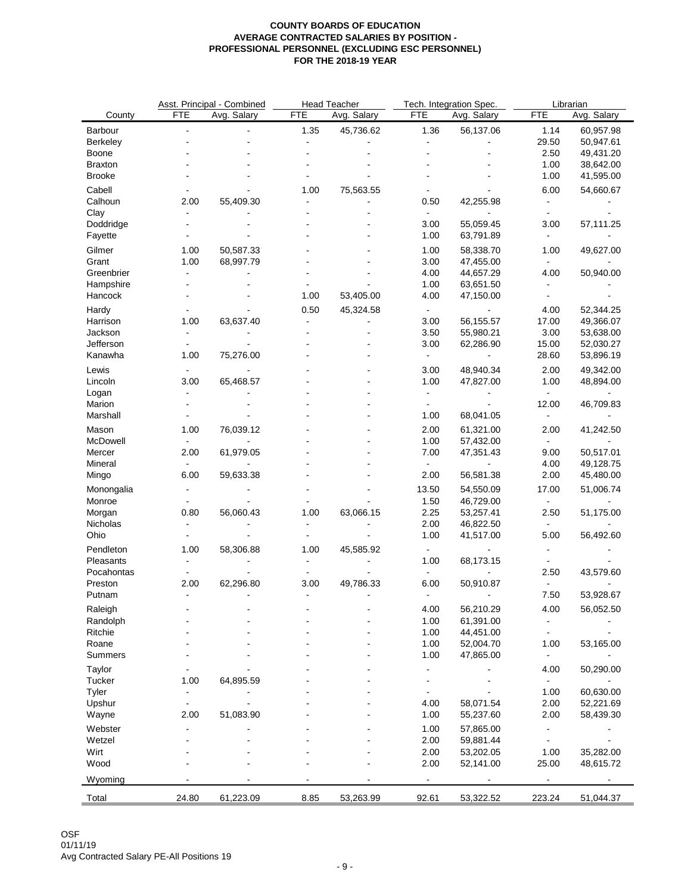|                |                              | Asst. Principal - Combined |                | <b>Head Teacher</b> |                          | Tech. Integration Spec. | Librarian                |                          |  |
|----------------|------------------------------|----------------------------|----------------|---------------------|--------------------------|-------------------------|--------------------------|--------------------------|--|
| County         | <b>FTE</b>                   | Avg. Salary                | <b>FTE</b>     | Avg. Salary         | <b>FTE</b>               | Avg. Salary             | <b>FTE</b>               | Avg. Salary              |  |
| Barbour        | $\blacksquare$               | $\overline{a}$             | 1.35           | 45,736.62           | 1.36                     | 56,137.06               | 1.14                     | 60,957.98                |  |
| Berkeley       |                              |                            | $\blacksquare$ |                     | $\blacksquare$           | $\blacksquare$          | 29.50                    | 50,947.61                |  |
| Boone          |                              |                            |                |                     |                          |                         | 2.50                     | 49,431.20                |  |
| <b>Braxton</b> |                              |                            |                |                     |                          |                         | 1.00                     | 38,642.00                |  |
| <b>Brooke</b>  |                              |                            |                |                     |                          |                         | 1.00                     | 41,595.00                |  |
| Cabell         |                              |                            | 1.00           | 75,563.55           |                          |                         | 6.00                     | 54,660.67                |  |
| Calhoun        | 2.00                         | 55,409.30                  | $\blacksquare$ |                     | 0.50                     | 42,255.98               | $\blacksquare$           | $\overline{\phantom{a}}$ |  |
|                |                              |                            |                |                     |                          |                         |                          |                          |  |
| Clay           |                              |                            |                |                     |                          | 55,059.45               |                          |                          |  |
| Doddridge      |                              |                            |                |                     | 3.00                     |                         | 3.00                     | 57,111.25                |  |
| Fayette        |                              |                            |                |                     | 1.00                     | 63,791.89               | $\blacksquare$           | $\blacksquare$           |  |
| Gilmer         | 1.00                         | 50,587.33                  |                |                     | 1.00                     | 58,338.70               | 1.00                     | 49,627.00                |  |
| Grant          | 1.00                         | 68,997.79                  |                |                     | 3.00                     | 47,455.00               | $\blacksquare$           | $\sim$                   |  |
| Greenbrier     | $\blacksquare$               |                            |                |                     | 4.00                     | 44,657.29               | 4.00                     | 50,940.00                |  |
| Hampshire      |                              |                            |                |                     | 1.00                     | 63,651.50               | $\blacksquare$           |                          |  |
| Hancock        |                              |                            | 1.00           | 53,405.00           | 4.00                     | 47,150.00               | ÷,                       |                          |  |
| Hardy          |                              |                            | 0.50           | 45,324.58           | $\blacksquare$           | $\blacksquare$          | 4.00                     | 52,344.25                |  |
| Harrison       | 1.00                         | 63,637.40                  | $\sim$         |                     | 3.00                     | 56,155.57               | 17.00                    | 49,366.07                |  |
| Jackson        | $\blacksquare$               |                            |                |                     | 3.50                     | 55,980.21               | 3.00                     | 53,638.00                |  |
| Jefferson      | $\overline{a}$               |                            |                |                     | 3.00                     | 62,286.90               | 15.00                    | 52,030.27                |  |
| Kanawha        | 1.00                         | 75,276.00                  |                |                     | $\blacksquare$           | $\blacksquare$          | 28.60                    | 53,896.19                |  |
|                |                              |                            |                |                     |                          |                         |                          |                          |  |
| Lewis          | $\blacksquare$               |                            |                |                     | 3.00                     | 48,940.34               | 2.00                     | 49,342.00                |  |
| Lincoln        | 3.00                         | 65,468.57                  |                |                     | 1.00                     | 47,827.00               | 1.00                     | 48,894.00                |  |
| Logan          | $\blacksquare$               |                            |                |                     | $\blacksquare$           | $\blacksquare$          | $\sim$                   | $\blacksquare$           |  |
| Marion         | $\blacksquare$               |                            |                |                     | $\blacksquare$           | $\blacksquare$          | 12.00                    | 46,709.83                |  |
| Marshall       |                              |                            |                |                     | 1.00                     | 68,041.05               | $\blacksquare$           |                          |  |
| Mason          | 1.00                         | 76,039.12                  |                |                     | 2.00                     | 61,321.00               | 2.00                     | 41,242.50                |  |
| McDowell       | $\blacksquare$               |                            |                |                     | 1.00                     | 57,432.00               | $\blacksquare$           |                          |  |
| Mercer         | 2.00                         | 61,979.05                  |                |                     | 7.00                     | 47,351.43               | 9.00                     | 50,517.01                |  |
| Mineral        | $\blacksquare$               | $\blacksquare$             |                |                     | $\blacksquare$           | $\blacksquare$          | 4.00                     | 49,128.75                |  |
| Mingo          | 6.00                         | 59,633.38                  |                |                     | 2.00                     | 56,581.38               | 2.00                     | 45,480.00                |  |
|                |                              |                            |                |                     |                          |                         |                          |                          |  |
| Monongalia     | $\overline{\phantom{a}}$     |                            |                |                     | 13.50                    | 54,550.09               | 17.00                    | 51,006.74                |  |
| Monroe         | $\blacksquare$               |                            |                |                     | 1.50                     | 46,729.00               | $\blacksquare$           | $\blacksquare$           |  |
| Morgan         | 0.80                         | 56,060.43                  | 1.00           | 63,066.15           | 2.25                     | 53,257.41               | 2.50                     | 51,175.00                |  |
| Nicholas       |                              |                            |                |                     | 2.00                     | 46,822.50               | $\blacksquare$           |                          |  |
| Ohio           | $\blacksquare$               |                            | $\blacksquare$ | $\overline{a}$      | 1.00                     | 41,517.00               | 5.00                     | 56,492.60                |  |
| Pendleton      | 1.00                         | 58,306.88                  | 1.00           | 45,585.92           | $\blacksquare$           |                         |                          |                          |  |
| Pleasants      | $\blacksquare$               |                            | $\blacksquare$ | $\blacksquare$      | 1.00                     | 68,173.15               |                          |                          |  |
| Pocahontas     | $\overline{\phantom{a}}$     |                            | $\blacksquare$ |                     | $\blacksquare$           | $\blacksquare$          | 2.50                     | 43,579.60                |  |
| Preston        | 2.00                         | 62,296.80                  | 3.00           | 49,786.33           | 6.00                     | 50,910.87               | $\blacksquare$           | $\blacksquare$           |  |
| Putnam         | $\blacksquare$               | $\blacksquare$             | $\blacksquare$ | $\blacksquare$      | $\overline{\phantom{a}}$ | $\blacksquare$          | 7.50                     | 53,928.67                |  |
|                |                              |                            |                |                     |                          |                         |                          |                          |  |
| Raleigh        |                              |                            |                |                     | 4.00                     | 56,210.29               | 4.00                     | 56,052.50                |  |
| Randolph       |                              |                            |                |                     | 1.00                     | 61,391.00               | $\overline{\phantom{a}}$ |                          |  |
| Ritchie        |                              |                            |                |                     | 1.00                     | 44,451.00               |                          |                          |  |
| Roane          |                              |                            |                |                     | 1.00                     | 52,004.70               | 1.00                     | 53,165.00                |  |
| Summers        |                              |                            |                |                     | 1.00                     | 47,865.00               | $\blacksquare$           |                          |  |
| Taylor         |                              |                            |                |                     |                          |                         | 4.00                     | 50,290.00                |  |
| Tucker         | 1.00                         | 64,895.59                  |                |                     |                          |                         |                          |                          |  |
| Tyler          | $\overline{\phantom{a}}$     |                            |                |                     |                          |                         | 1.00                     | 60,630.00                |  |
| Upshur         | $\overline{a}$               |                            |                |                     | 4.00                     | 58,071.54               | 2.00                     | 52,221.69                |  |
| Wayne          | 2.00                         | 51,083.90                  |                |                     | 1.00                     | 55,237.60               | 2.00                     | 58,439.30                |  |
| Webster        | $\qquad \qquad \blacksquare$ |                            |                |                     | 1.00                     | 57,865.00               | $\blacksquare$           |                          |  |
| Wetzel         |                              |                            |                |                     |                          |                         |                          |                          |  |
|                |                              |                            |                |                     | 2.00                     | 59,881.44               |                          |                          |  |
| Wirt           |                              |                            |                |                     | 2.00                     | 53,202.05               | 1.00                     | 35,282.00                |  |
| Wood           |                              |                            |                |                     | 2.00                     | 52,141.00               | 25.00                    | 48,615.72                |  |
| Wyoming        |                              |                            |                |                     |                          |                         |                          |                          |  |
|                |                              |                            |                |                     |                          |                         |                          |                          |  |
| Total          | 24.80                        | 61,223.09                  | 8.85           | 53,263.99           | 92.61                    | 53,322.52               | 223.24                   | 51,044.37                |  |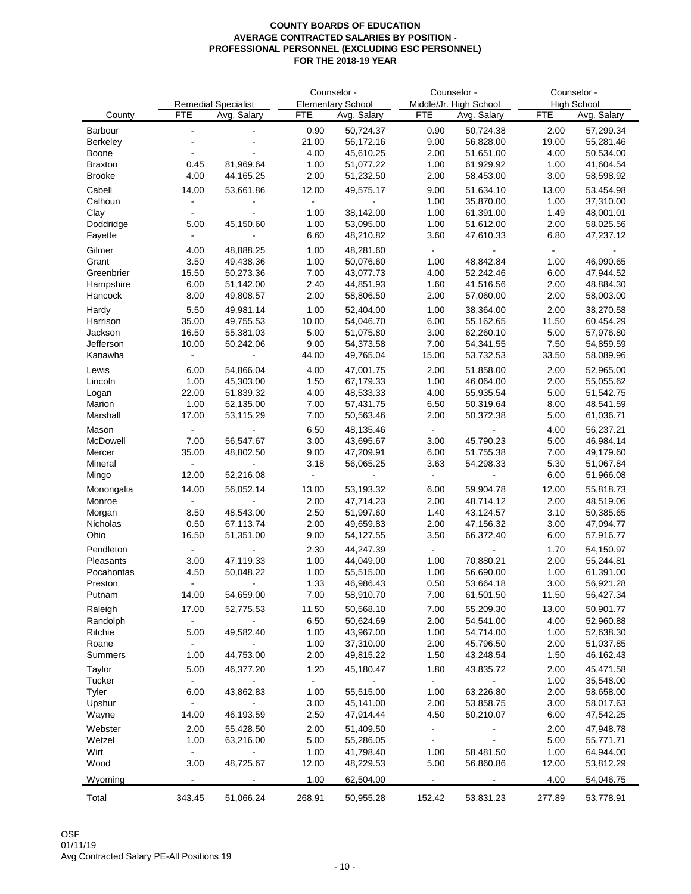|                      |                         |                             | Counselor -    |                          | Counselor -    |                        | Counselor -  |                        |
|----------------------|-------------------------|-----------------------------|----------------|--------------------------|----------------|------------------------|--------------|------------------------|
|                      |                         | <b>Remedial Specialist</b>  |                | <b>Elementary School</b> |                | Middle/Jr. High School |              | <b>High School</b>     |
| County               | <b>FTE</b>              | Avg. Salary                 | <b>FTE</b>     | Avg. Salary              | <b>FTE</b>     | Avg. Salary            | <b>FTE</b>   | Avg. Salary            |
| Barbour              | $\blacksquare$          | ä,                          | 0.90           | 50,724.37                | 0.90           | 50,724.38              | 2.00         | 57,299.34              |
| Berkeley             | $\blacksquare$          |                             | 21.00          | 56,172.16                | 9.00           | 56,828.00              | 19.00        | 55,281.46              |
| Boone<br>Braxton     | 0.45                    | 81,969.64                   | 4.00<br>1.00   | 45,610.25<br>51,077.22   | 2.00<br>1.00   | 51,651.00              | 4.00<br>1.00 | 50,534.00              |
| <b>Brooke</b>        | 4.00                    | 44,165.25                   | 2.00           | 51,232.50                | 2.00           | 61,929.92<br>58,453.00 | 3.00         | 41,604.54<br>58,598.92 |
|                      |                         |                             |                |                          |                |                        |              |                        |
| Cabell               | 14.00                   | 53,661.86                   | 12.00          | 49,575.17                | 9.00           | 51,634.10              | 13.00        | 53,454.98              |
| Calhoun              |                         |                             |                |                          | 1.00           | 35,870.00              | 1.00         | 37,310.00              |
| Clay                 | $\blacksquare$          | 45,150.60                   | 1.00           | 38,142.00                | 1.00           | 61,391.00              | 1.49         | 48,001.01              |
| Doddridge<br>Fayette | 5.00<br>$\blacksquare$  | $\blacksquare$              | 1.00<br>6.60   | 53,095.00<br>48,210.82   | 1.00<br>3.60   | 51,612.00<br>47,610.33 | 2.00<br>6.80 | 58,025.56<br>47,237.12 |
|                      |                         |                             |                |                          |                |                        |              |                        |
| Gilmer               | 4.00                    | 48,888.25                   | 1.00           | 48,281.60                | $\sim$         |                        | $\sim$       |                        |
| Grant<br>Greenbrier  | 3.50<br>15.50           | 49,438.36<br>50,273.36      | 1.00<br>7.00   | 50,076.60<br>43,077.73   | 1.00<br>4.00   | 48,842.84<br>52,242.46 | 1.00         | 46,990.65              |
| Hampshire            | 6.00                    | 51,142.00                   | 2.40           | 44,851.93                | 1.60           | 41,516.56              | 6.00<br>2.00 | 47,944.52<br>48,884.30 |
| Hancock              | 8.00                    | 49,808.57                   | 2.00           | 58,806.50                | 2.00           | 57,060.00              | 2.00         | 58,003.00              |
|                      |                         |                             |                |                          |                |                        |              |                        |
| Hardy                | 5.50                    | 49,981.14                   | 1.00           | 52,404.00                | 1.00           | 38,364.00              | 2.00         | 38,270.58              |
| Harrison             | 35.00                   | 49,755.53                   | 10.00          | 54,046.70                | 6.00           | 55,162.65              | 11.50        | 60,454.29              |
| Jackson              | 16.50                   | 55,381.03                   | 5.00           | 51,075.80                | 3.00           | 62,260.10              | 5.00         | 57,976.80              |
| Jefferson            | 10.00<br>$\blacksquare$ | 50,242.06<br>$\blacksquare$ | 9.00           | 54,373.58                | 7.00           | 54,341.55              | 7.50         | 54,859.59<br>58,089.96 |
| Kanawha              |                         |                             | 44.00          | 49,765.04                | 15.00          | 53,732.53              | 33.50        |                        |
| Lewis                | 6.00                    | 54,866.04                   | 4.00           | 47,001.75                | 2.00           | 51,858.00              | 2.00         | 52,965.00              |
| Lincoln              | 1.00                    | 45,303.00                   | 1.50           | 67,179.33                | 1.00           | 46,064.00              | 2.00         | 55,055.62              |
| Logan                | 22.00                   | 51,839.32                   | 4.00           | 48,533.33                | 4.00           | 55,935.54              | 5.00         | 51,542.75              |
| Marion               | 1.00                    | 52,135.00                   | 7.00           | 57,431.75                | 6.50           | 50,319.64              | 8.00         | 48,541.59              |
| Marshall             | 17.00                   | 53,115.29                   | 7.00           | 50,563.46                | 2.00           | 50,372.38              | 5.00         | 61,036.71              |
| Mason                | $\blacksquare$          | $\blacksquare$              | 6.50           | 48,135.46                | $\sim$         |                        | 4.00         | 56,237.21              |
| McDowell             | 7.00                    | 56,547.67                   | 3.00           | 43,695.67                | 3.00           | 45,790.23              | 5.00         | 46,984.14              |
| Mercer               | 35.00                   | 48,802.50                   | 9.00           | 47,209.91                | 6.00           | 51,755.38              | 7.00         | 49,179.60              |
| Mineral              | $\sim$                  | $\blacksquare$              | 3.18           | 56,065.25                | 3.63           | 54,298.33              | 5.30         | 51,067.84              |
| Mingo                | 12.00                   | 52,216.08                   | $\blacksquare$ | $\blacksquare$           | $\sim$         |                        | 6.00         | 51,966.08              |
| Monongalia           | 14.00                   | 56,052.14                   | 13.00          | 53,193.32                | 6.00           | 59,904.78              | 12.00        | 55,818.73              |
| Monroe               |                         |                             | 2.00           | 47,714.23                | 2.00           | 48,714.12              | 2.00         | 48,519.06              |
| Morgan               | 8.50                    | 48,543.00                   | 2.50           | 51,997.60                | 1.40           | 43,124.57              | 3.10         | 50,385.65              |
| Nicholas             | 0.50                    | 67,113.74                   | 2.00           | 49,659.83                | 2.00           | 47,156.32              | 3.00         | 47,094.77              |
| Ohio                 | 16.50                   | 51,351.00                   | 9.00           | 54,127.55                | 3.50           | 66,372.40              | 6.00         | 57,916.77              |
| Pendleton            | $\blacksquare$          |                             | 2.30           | 44,247.39                | $\sim$         |                        | 1.70         | 54,150.97              |
| Pleasants            | 3.00                    | 47,119.33                   | 1.00           | 44,049.00                | 1.00           | 70,880.21              | 2.00         | 55,244.81              |
| Pocahontas           | 4.50                    | 50,048.22                   | 1.00           | 55,515.00                | 1.00           | 56,690.00              | 1.00         | 61,391.00              |
| Preston              | $\sim$                  | $\blacksquare$              | 1.33           | 46,986.43                | 0.50           | 53,664.18              | 3.00         | 56,921.28              |
| Putnam               | 14.00                   | 54,659.00                   | 7.00           | 58,910.70                | 7.00           | 61,501.50              | 11.50        | 56,427.34              |
| Raleigh              | 17.00                   | 52,775.53                   | 11.50          | 50,568.10                | 7.00           | 55,209.30              | 13.00        | 50,901.77              |
| Randolph             | $\blacksquare$          |                             | 6.50           | 50,624.69                | 2.00           | 54,541.00              | 4.00         | 52,960.88              |
| Ritchie              | 5.00                    | 49,582.40                   | 1.00           | 43,967.00                | 1.00           | 54,714.00              | 1.00         | 52,638.30              |
| Roane                | $\blacksquare$          |                             | 1.00           | 37,310.00                | 2.00           | 45,796.50              | 2.00         | 51,037.85              |
| Summers              | 1.00                    | 44,753.00                   | 2.00           | 49,815.22                | 1.50           | 43,248.54              | 1.50         | 46,162.43              |
| Taylor               | 5.00                    | 46,377.20                   | 1.20           | 45,180.47                | 1.80           | 43,835.72              | 2.00         | 45,471.58              |
| Tucker               | $\blacksquare$          |                             | $\sim$         |                          | $\sim$         |                        | 1.00         | 35,548.00              |
| Tyler                | 6.00                    | 43,862.83                   | 1.00           | 55,515.00                | 1.00           | 63,226.80              | 2.00         | 58,658.00              |
| Upshur               | $\blacksquare$          |                             | 3.00           | 45,141.00                | 2.00           | 53,858.75              | 3.00         | 58,017.63              |
| Wayne                | 14.00                   | 46,193.59                   | 2.50           | 47,914.44                | 4.50           | 50,210.07              | 6.00         | 47,542.25              |
| Webster              | 2.00                    | 55,428.50                   | 2.00           | 51,409.50                | $\blacksquare$ |                        | 2.00         | 47,948.78              |
| Wetzel               | 1.00                    | 63,216.00                   | 5.00           | 55,286.05                | $\blacksquare$ |                        | 5.00         | 55,771.71              |
| Wirt                 | $\blacksquare$          |                             | 1.00           | 41,798.40                | 1.00           | 58,481.50              | 1.00         | 64,944.00              |
| Wood                 | 3.00                    | 48,725.67                   | 12.00          | 48,229.53                | 5.00           | 56,860.86              | 12.00        | 53,812.29              |
| Wyoming              | $\blacksquare$          | $\blacksquare$              | 1.00           | 62,504.00                | $\blacksquare$ |                        | 4.00         | 54,046.75              |
|                      |                         |                             |                |                          |                |                        |              |                        |
| Total                | 343.45                  | 51,066.24                   | 268.91         | 50,955.28                | 152.42         | 53,831.23              | 277.89       | 53,778.91              |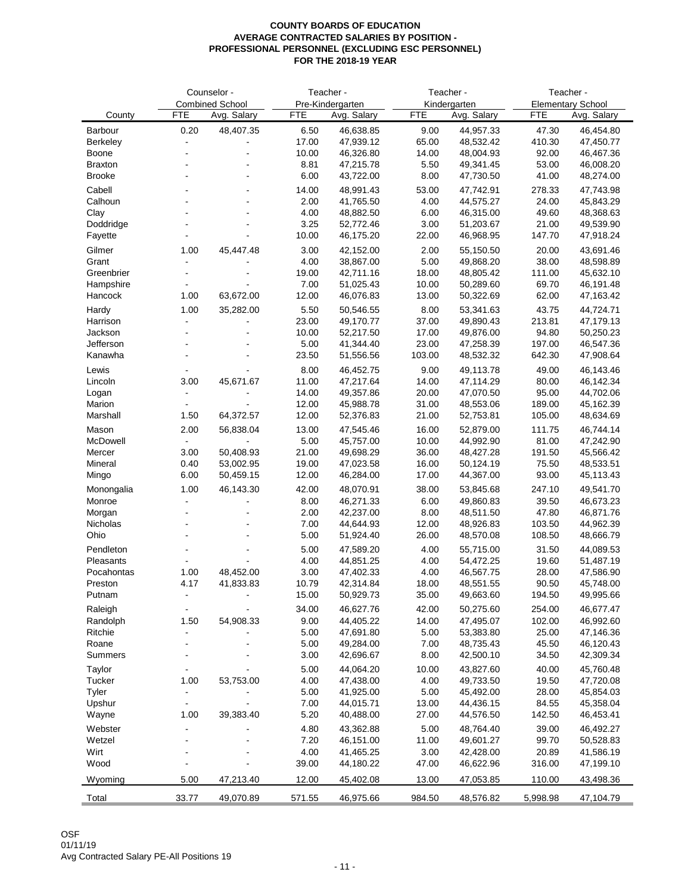|                    |                      | Counselor -              |                | Teacher -              |                | Teacher -              | Teacher -       |                          |  |  |
|--------------------|----------------------|--------------------------|----------------|------------------------|----------------|------------------------|-----------------|--------------------------|--|--|
|                    |                      | <b>Combined School</b>   |                | Pre-Kindergarten       |                | Kindergarten           |                 | <b>Elementary School</b> |  |  |
| County             | <b>FTE</b>           | Avg. Salary              | <b>FTE</b>     | Avg. Salary            | <b>FTE</b>     | Avg. Salary            | <b>FTE</b>      | Avg. Salary              |  |  |
| Barbour            | 0.20                 | 48,407.35                | 6.50           | 46,638.85              | 9.00           | 44,957.33              | 47.30           | 46,454.80                |  |  |
| Berkeley<br>Boone  | $\blacksquare$       | $\blacksquare$           | 17.00<br>10.00 | 47,939.12<br>46,326.80 | 65.00<br>14.00 | 48,532.42<br>48,004.93 | 410.30<br>92.00 | 47,450.77<br>46,467.36   |  |  |
| <b>Braxton</b>     |                      |                          | 8.81           | 47,215.78              | 5.50           | 49,341.45              | 53.00           | 46,008.20                |  |  |
| <b>Brooke</b>      | $\overline{a}$       | $\blacksquare$           | 6.00           | 43,722.00              | 8.00           | 47,730.50              | 41.00           | 48,274.00                |  |  |
| Cabell             |                      |                          | 14.00          | 48,991.43              | 53.00          | 47,742.91              | 278.33          | 47,743.98                |  |  |
| Calhoun            |                      |                          | 2.00           | 41,765.50              | 4.00           | 44,575.27              | 24.00           | 45,843.29                |  |  |
| Clay               |                      |                          | 4.00           | 48,882.50              | 6.00           | 46,315.00              | 49.60           | 48,368.63                |  |  |
| Doddridge          |                      |                          | 3.25           | 52,772.46              | 3.00           | 51,203.67              | 21.00           | 49,539.90                |  |  |
| Fayette            | $\blacksquare$       | $\blacksquare$           | 10.00          | 46,175.20              | 22.00          | 46,968.95              | 147.70          | 47,918.24                |  |  |
| Gilmer             | 1.00                 | 45,447.48                | 3.00           | 42,152.00              | 2.00           | 55,150.50              | 20.00           | 43,691.46                |  |  |
| Grant              | $\ddot{\phantom{a}}$ | ÷,                       | 4.00           | 38,867.00              | 5.00           | 49,868.20              | 38.00           | 48,598.89                |  |  |
| Greenbrier         | $\blacksquare$       | ÷,                       | 19.00          | 42,711.16              | 18.00          | 48,805.42              | 111.00          | 45,632.10                |  |  |
| Hampshire          | $\blacksquare$       | $\blacksquare$           | 7.00           | 51,025.43              | 10.00          | 50,289.60              | 69.70           | 46,191.48                |  |  |
| Hancock            | 1.00                 | 63,672.00                | 12.00          | 46,076.83              | 13.00          | 50,322.69              | 62.00           | 47,163.42                |  |  |
| Hardy              | 1.00                 | 35,282.00                | 5.50           | 50,546.55              | 8.00           | 53,341.63              | 43.75           | 44,724.71                |  |  |
| Harrison           | $\blacksquare$       | $\blacksquare$           | 23.00          | 49,170.77              | 37.00          | 49,890.43              | 213.81          | 47,179.13                |  |  |
| Jackson            |                      |                          | 10.00          | 52,217.50              | 17.00          | 49,876.00              | 94.80           | 50,250.23                |  |  |
| Jefferson          | $\ddot{\phantom{a}}$ |                          | 5.00           | 41,344.40              | 23.00          | 47,258.39              | 197.00          | 46,547.36                |  |  |
| Kanawha            |                      |                          | 23.50          | 51,556.56              | 103.00         | 48,532.32              | 642.30          | 47,908.64                |  |  |
| Lewis              |                      | $\overline{a}$           | 8.00           | 46,452.75              | 9.00           | 49,113.78              | 49.00           | 46,143.46                |  |  |
| Lincoln            | 3.00                 | 45,671.67                | 11.00          | 47,217.64              | 14.00          | 47,114.29              | 80.00           | 46,142.34                |  |  |
| Logan              | $\blacksquare$       | $\blacksquare$           | 14.00          | 49,357.86              | 20.00          | 47,070.50              | 95.00           | 44,702.06                |  |  |
| Marion             | $\sim$               |                          | 12.00          | 45,988.78              | 31.00          | 48,553.06              | 189.00          | 45,162.39                |  |  |
| Marshall           | 1.50                 | 64,372.57                | 12.00          | 52,376.83              | 21.00          | 52,753.81              | 105.00          | 48,634.69                |  |  |
| Mason              | 2.00                 | 56,838.04                | 13.00          | 47,545.46              | 16.00          | 52,879.00              | 111.75          | 46,744.14                |  |  |
| McDowell           | $\omega$             | $\mathbf{r}$             | 5.00           | 45,757.00              | 10.00          | 44,992.90              | 81.00           | 47,242.90                |  |  |
| Mercer             | 3.00                 | 50,408.93                | 21.00          | 49,698.29              | 36.00          | 48,427.28              | 191.50          | 45,566.42                |  |  |
| Mineral<br>Mingo   | 0.40<br>6.00         | 53,002.95<br>50,459.15   | 19.00<br>12.00 | 47,023.58<br>46,284.00 | 16.00<br>17.00 | 50,124.19<br>44,367.00 | 75.50<br>93.00  | 48,533.51<br>45,113.43   |  |  |
|                    |                      |                          |                |                        |                |                        |                 |                          |  |  |
| Monongalia         | 1.00                 | 46,143.30                | 42.00          | 48,070.91              | 38.00          | 53,845.68              | 247.10          | 49,541.70                |  |  |
| Monroe             | $\blacksquare$       | $\blacksquare$           | 8.00<br>2.00   | 46,271.33<br>42,237.00 | 6.00<br>8.00   | 49,860.83              | 39.50<br>47.80  | 46,673.23<br>46,871.76   |  |  |
| Morgan<br>Nicholas |                      |                          | 7.00           | 44,644.93              | 12.00          | 48,511.50<br>48,926.83 | 103.50          | 44,962.39                |  |  |
| Ohio               |                      |                          | 5.00           | 51,924.40              | 26.00          | 48,570.08              | 108.50          | 48,666.79                |  |  |
| Pendleton          |                      |                          |                |                        |                |                        |                 |                          |  |  |
| Pleasants          | $\blacksquare$       | $\blacksquare$           | 5.00<br>4.00   | 47,589.20<br>44,851.25 | 4.00<br>4.00   | 55,715.00<br>54,472.25 | 31.50<br>19.60  | 44,089.53<br>51,487.19   |  |  |
| Pocahontas         | 1.00                 | 48,452.00                | 3.00           | 47,402.33              | 4.00           | 46,567.75              | 28.00           | 47,586.90                |  |  |
| Preston            | 4.17                 | 41,833.83                | 10.79          | 42,314.84              | 18.00          | 48,551.55              | 90.50           | 45,748.00                |  |  |
| Putnam             |                      | $\overline{a}$           | 15.00          | 50,929.73              | 35.00          | 49,663.60              | 194.50          | 49,995.66                |  |  |
| Raleigh            |                      |                          | 34.00          | 46,627.76              | 42.00          | 50,275.60              | 254.00          | 46,677.47                |  |  |
| Randolph           | 1.50                 | 54,908.33                | 9.00           | 44,405.22              | 14.00          | 47,495.07              | 102.00          | 46,992.60                |  |  |
| Ritchie            | $\blacksquare$       |                          | 5.00           | 47,691.80              | 5.00           | 53,383.80              | 25.00           | 47,146.36                |  |  |
| Roane              |                      |                          | 5.00           | 49,284.00              | 7.00           | 48,735.43              | 45.50           | 46,120.43                |  |  |
| Summers            |                      |                          | 3.00           | 42,696.67              | 8.00           | 42,500.10              | 34.50           | 42,309.34                |  |  |
| Taylor             | $\blacksquare$       |                          | 5.00           | 44,064.20              | 10.00          | 43,827.60              | 40.00           | 45,760.48                |  |  |
| Tucker             | 1.00                 | 53,753.00                | 4.00           | 47,438.00              | 4.00           | 49,733.50              | 19.50           | 47,720.08                |  |  |
| Tyler              | $\blacksquare$       | $\overline{\phantom{a}}$ | 5.00           | 41,925.00              | 5.00           | 45,492.00              | 28.00           | 45,854.03                |  |  |
| Upshur             | $\blacksquare$       | $\overline{a}$           | 7.00           | 44,015.71              | 13.00          | 44,436.15              | 84.55           | 45,358.04                |  |  |
| Wayne              | 1.00                 | 39,383.40                | 5.20           | 40,488.00              | 27.00          | 44,576.50              | 142.50          | 46,453.41                |  |  |
| Webster            | $\blacksquare$       |                          | 4.80           | 43,362.88              | 5.00           | 48,764.40              | 39.00           | 46,492.27                |  |  |
| Wetzel             |                      |                          | 7.20           | 46,151.00              | 11.00          | 49,601.27              | 99.70           | 50,528.83                |  |  |
| Wirt               |                      |                          | 4.00           | 41,465.25              | 3.00           | 42,428.00              | 20.89           | 41,586.19                |  |  |
| Wood               |                      |                          | 39.00          | 44,180.22              | 47.00          | 46,622.96              | 316.00          | 47,199.10                |  |  |
| Wyoming            | 5.00                 | 47,213.40                | 12.00          | 45,402.08              | 13.00          | 47,053.85              | 110.00          | 43,498.36                |  |  |
|                    |                      |                          |                |                        |                |                        |                 |                          |  |  |
| Total              | 33.77                | 49,070.89                | 571.55         | 46,975.66              | 984.50         | 48,576.82              | 5,998.98        | 47,104.79                |  |  |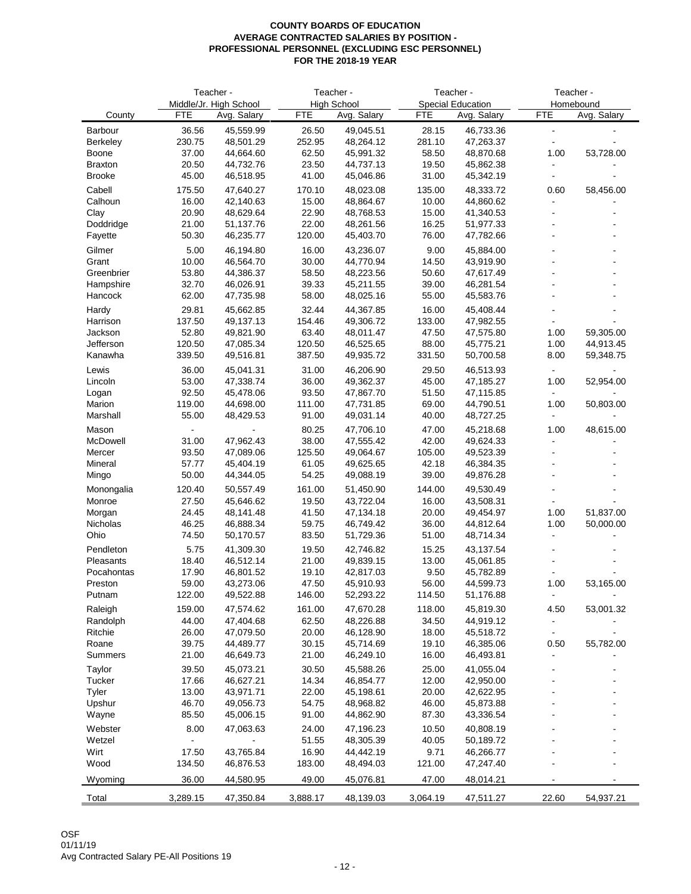|                      |                 | Teacher -                             |                 | Teacher -                         |                 | Teacher -                               | Teacher -<br>Homebound |                          |  |
|----------------------|-----------------|---------------------------------------|-----------------|-----------------------------------|-----------------|-----------------------------------------|------------------------|--------------------------|--|
| County               | <b>FTE</b>      | Middle/Jr. High School<br>Avg. Salary | <b>FTE</b>      | <b>High School</b><br>Avg. Salary | <b>FTE</b>      | <b>Special Education</b><br>Avg. Salary | <b>FTE</b>             | Avg. Salary              |  |
| Barbour              | 36.56           | 45,559.99                             | 26.50           | 49,045.51                         | 28.15           | 46,733.36                               | $\blacksquare$         |                          |  |
| Berkeley             | 230.75          | 48,501.29                             | 252.95          | 48,264.12                         | 281.10          | 47,263.37                               | ÷                      |                          |  |
| Boone                | 37.00           | 44,664.60                             | 62.50           | 45,991.32                         | 58.50           | 48,870.68                               | 1.00                   | 53,728.00                |  |
| <b>Braxton</b>       | 20.50           | 44,732.76                             | 23.50           | 44,737.13                         | 19.50           | 45,862.38                               | ÷                      |                          |  |
| <b>Brooke</b>        | 45.00           | 46,518.95                             | 41.00           | 45,046.86                         | 31.00           | 45,342.19                               | ÷                      |                          |  |
| Cabell               | 175.50          | 47,640.27                             | 170.10          | 48,023.08                         | 135.00          | 48,333.72                               | 0.60                   | 58,456.00                |  |
| Calhoun              | 16.00           | 42,140.63                             | 15.00           | 48,864.67                         | 10.00           | 44,860.62                               |                        |                          |  |
| Clay                 | 20.90           | 48,629.64                             | 22.90           | 48,768.53                         | 15.00           | 41,340.53                               |                        |                          |  |
| Doddridge<br>Fayette | 21.00<br>50.30  | 51,137.76<br>46,235.77                | 22.00<br>120.00 | 48,261.56<br>45,403.70            | 16.25<br>76.00  | 51,977.33<br>47,782.66                  |                        |                          |  |
| Gilmer               | 5.00            | 46,194.80                             | 16.00           | 43,236.07                         | 9.00            | 45,884.00                               |                        |                          |  |
| Grant                | 10.00           | 46,564.70                             | 30.00           | 44,770.94                         | 14.50           | 43,919.90                               |                        |                          |  |
| Greenbrier           | 53.80           | 44,386.37                             | 58.50           | 48,223.56                         | 50.60           | 47,617.49                               |                        |                          |  |
| Hampshire            | 32.70           | 46,026.91                             | 39.33           | 45,211.55                         | 39.00           | 46,281.54                               |                        |                          |  |
| Hancock              | 62.00           | 47,735.98                             | 58.00           | 48,025.16                         | 55.00           | 45,583.76                               |                        |                          |  |
| Hardy                | 29.81           | 45,662.85                             | 32.44           | 44,367.85                         | 16.00           | 45,408.44                               |                        |                          |  |
| Harrison             | 137.50          | 49,137.13                             | 154.46          | 49,306.72                         | 133.00          | 47,982.55                               |                        |                          |  |
| Jackson              | 52.80           | 49,821.90                             | 63.40           | 48,011.47                         | 47.50           | 47,575.80                               | 1.00                   | 59,305.00                |  |
| Jefferson            | 120.50          | 47,085.34                             | 120.50          | 46,525.65                         | 88.00           | 45,775.21                               | 1.00                   | 44,913.45                |  |
| Kanawha              | 339.50          | 49,516.81                             | 387.50          | 49,935.72                         | 331.50          | 50,700.58                               | 8.00                   | 59,348.75                |  |
| Lewis                | 36.00           | 45,041.31                             | 31.00           | 46,206.90                         | 29.50           | 46,513.93                               | $\blacksquare$         |                          |  |
| Lincoln              | 53.00           | 47,338.74                             | 36.00           | 49,362.37                         | 45.00           | 47,185.27                               | 1.00                   | 52,954.00                |  |
| Logan                | 92.50           | 45,478.06                             | 93.50           | 47,867.70                         | 51.50           | 47,115.85                               | $\blacksquare$         |                          |  |
| Marion               | 119.00          | 44,698.00                             | 111.00          | 47,731.85                         | 69.00           | 44,790.51                               | 1.00                   | 50,803.00                |  |
| Marshall             | 55.00           | 48,429.53                             | 91.00           | 49,031.14                         | 40.00           | 48,727.25                               | $\blacksquare$         |                          |  |
| Mason                |                 |                                       | 80.25           | 47,706.10                         | 47.00           | 45,218.68                               | 1.00                   | 48,615.00                |  |
| McDowell             | 31.00           | 47,962.43                             | 38.00           | 47,555.42                         | 42.00           | 49,624.33                               |                        |                          |  |
| Mercer               | 93.50           | 47,089.06                             | 125.50          | 49,064.67                         | 105.00          | 49,523.39                               |                        |                          |  |
| Mineral<br>Mingo     | 57.77<br>50.00  | 45,404.19<br>44,344.05                | 61.05<br>54.25  | 49,625.65<br>49,088.19            | 42.18<br>39.00  | 46,384.35<br>49,876.28                  |                        |                          |  |
|                      |                 |                                       |                 |                                   |                 |                                         |                        |                          |  |
| Monongalia<br>Monroe | 120.40<br>27.50 | 50,557.49<br>45,646.62                | 161.00<br>19.50 | 51,450.90<br>43,722.04            | 144.00<br>16.00 | 49,530.49<br>43,508.31                  |                        |                          |  |
| Morgan               | 24.45           | 48,141.48                             | 41.50           | 47,134.18                         | 20.00           | 49,454.97                               | 1.00                   | 51,837.00                |  |
| Nicholas             | 46.25           | 46,888.34                             | 59.75           | 46,749.42                         | 36.00           | 44,812.64                               | 1.00                   | 50,000.00                |  |
| Ohio                 | 74.50           | 50,170.57                             | 83.50           | 51,729.36                         | 51.00           | 48,714.34                               | $\blacksquare$         |                          |  |
| Pendleton            | 5.75            | 41,309.30                             | 19.50           | 42,746.82                         | 15.25           | 43,137.54                               |                        |                          |  |
| Pleasants            | 18.40           | 46,512.14                             | 21.00           | 49,839.15                         | 13.00           | 45,061.85                               |                        |                          |  |
| Pocahontas           | 17.90           | 46,801.52                             | 19.10           | 42,817.03                         | 9.50            | 45,782.89                               |                        |                          |  |
| Preston              | 59.00           | 43,273.06                             | 47.50           | 45,910.93                         | 56.00           | 44,599.73                               | 1.00                   | 53,165.00                |  |
| Putnam               | 122.00          | 49,522.88                             | 146.00          | 52,293.22                         | 114.50          | 51,176.88                               | $\blacksquare$         |                          |  |
| Raleigh              | 159.00          | 47,574.62                             | 161.00          | 47,670.28                         | 118.00          | 45,819.30                               | 4.50                   | 53,001.32                |  |
| Randolph             | 44.00           | 47,404.68                             | 62.50           | 48,226.88                         | 34.50           | 44,919.12                               |                        |                          |  |
| Ritchie              | 26.00           | 47,079.50                             | 20.00           | 46,128.90                         | 18.00           | 45,518.72                               | $\blacksquare$         |                          |  |
| Roane                | 39.75           | 44,489.77                             | 30.15           | 45,714.69                         | 19.10           | 46,385.06                               | 0.50                   | 55,782.00                |  |
| Summers              | 21.00           | 46,649.73                             | 21.00           | 46,249.10                         | 16.00           | 46,493.81                               |                        |                          |  |
| Taylor               | 39.50           | 45,073.21                             | 30.50           | 45,588.26                         | 25.00           | 41,055.04                               |                        |                          |  |
| Tucker               | 17.66           | 46,627.21                             | 14.34           | 46,854.77                         | 12.00           | 42,950.00                               |                        |                          |  |
| Tyler                | 13.00           | 43,971.71                             | 22.00           | 45,198.61                         | 20.00           | 42,622.95                               |                        |                          |  |
| Upshur               | 46.70<br>85.50  | 49,056.73<br>45,006.15                | 54.75<br>91.00  | 48,968.82<br>44,862.90            | 46.00<br>87.30  | 45,873.88<br>43,336.54                  |                        |                          |  |
| Wayne                |                 |                                       |                 |                                   |                 |                                         |                        |                          |  |
| Webster              | 8.00            | 47,063.63                             | 24.00           | 47,196.23                         | 10.50           | 40,808.19                               |                        |                          |  |
| Wetzel<br>Wirt       | 17.50           | 43,765.84                             | 51.55<br>16.90  | 48,305.39<br>44,442.19            | 40.05<br>9.71   | 50,189.72<br>46,266.77                  |                        |                          |  |
| Wood                 | 134.50          | 46,876.53                             | 183.00          | 48,494.03                         | 121.00          | 47,247.40                               |                        |                          |  |
|                      |                 |                                       |                 |                                   |                 |                                         |                        |                          |  |
| Wyoming              | 36.00           | 44,580.95                             | 49.00           | 45,076.81                         | 47.00           | 48,014.21                               |                        | $\overline{\phantom{a}}$ |  |
| Total                | 3,289.15        | 47,350.84                             | 3,888.17        | 48,139.03                         | 3,064.19        | 47,511.27                               | 22.60                  | 54,937.21                |  |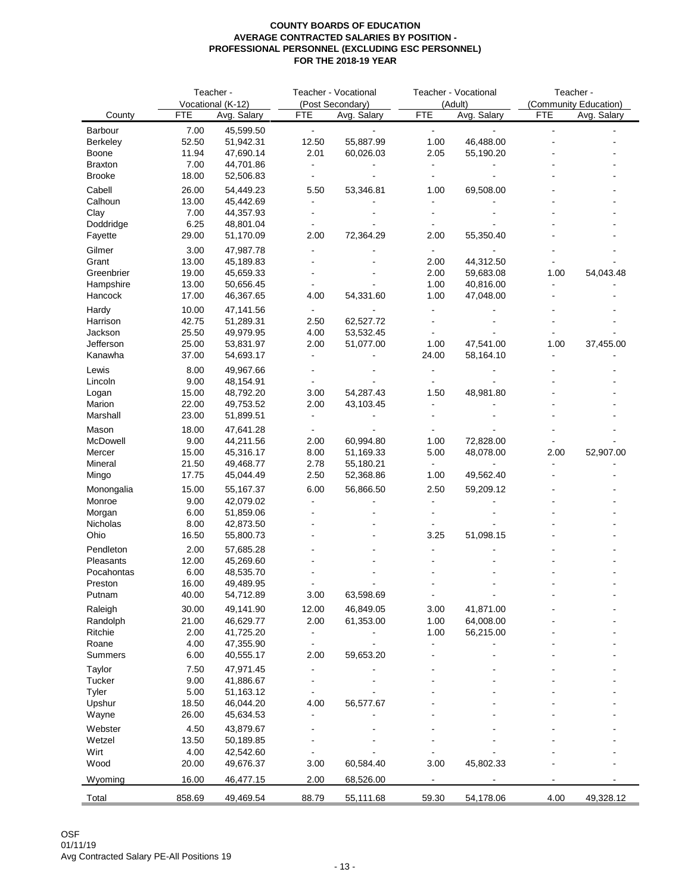|                          |                | Teacher -              |                | Teacher - Vocational   |                          | Teacher - Vocational   | Teacher -  |                       |  |
|--------------------------|----------------|------------------------|----------------|------------------------|--------------------------|------------------------|------------|-----------------------|--|
|                          |                | Vocational (K-12)      |                | (Post Secondary)       |                          | (Adult)                |            | (Community Education) |  |
| County                   | <b>FTE</b>     | Avg. Salary            | <b>FTE</b>     | Avg. Salary            | <b>FTE</b>               | Avg. Salary            | <b>FTE</b> | Avg. Salary           |  |
| Barbour                  | 7.00           | 45,599.50              | $\blacksquare$ | ÷                      | $\blacksquare$           |                        |            |                       |  |
| <b>Berkeley</b><br>Boone | 52.50<br>11.94 | 51,942.31<br>47,690.14 | 12.50<br>2.01  | 55,887.99<br>60,026.03 | 1.00<br>2.05             | 46,488.00<br>55,190.20 |            |                       |  |
| <b>Braxton</b>           | 7.00           | 44,701.86              |                |                        |                          |                        |            |                       |  |
| <b>Brooke</b>            | 18.00          | 52,506.83              | $\overline{a}$ |                        |                          |                        |            |                       |  |
| Cabell                   | 26.00          | 54,449.23              | 5.50           | 53,346.81              | 1.00                     | 69,508.00              |            |                       |  |
| Calhoun                  | 13.00          | 45,442.69              |                |                        |                          |                        |            |                       |  |
| Clay                     | 7.00           | 44,357.93              | $\overline{a}$ |                        |                          |                        |            |                       |  |
| Doddridge                | 6.25           | 48,801.04              | $\blacksquare$ |                        |                          |                        |            |                       |  |
| Fayette                  | 29.00          | 51,170.09              | 2.00           | 72,364.29              | 2.00                     | 55,350.40              |            |                       |  |
| Gilmer                   | 3.00           | 47,987.78              |                |                        |                          |                        |            |                       |  |
| Grant                    | 13.00          | 45,189.83              |                |                        | 2.00                     | 44,312.50              |            |                       |  |
| Greenbrier               | 19.00          | 45,659.33              |                |                        | 2.00                     | 59,683.08              | 1.00       | 54,043.48             |  |
| Hampshire                | 13.00          | 50,656.45              |                |                        | 1.00                     | 40,816.00              |            |                       |  |
| Hancock                  | 17.00          | 46,367.65              | 4.00           | 54,331.60              | 1.00                     | 47,048.00              |            |                       |  |
| Hardy                    | 10.00          | 47,141.56              |                |                        |                          |                        |            |                       |  |
| Harrison                 | 42.75          | 51,289.31              | 2.50           | 62,527.72              |                          |                        |            |                       |  |
| Jackson                  | 25.50          | 49,979.95              | 4.00           | 53,532.45              |                          |                        |            |                       |  |
| Jefferson                | 25.00          | 53,831.97              | 2.00           | 51,077.00              | 1.00                     | 47,541.00              | 1.00       | 37,455.00             |  |
| Kanawha                  | 37.00          | 54,693.17              | $\blacksquare$ |                        | 24.00                    | 58,164.10              |            |                       |  |
| Lewis                    | 8.00           | 49,967.66              |                |                        |                          |                        |            |                       |  |
| Lincoln                  | 9.00           | 48,154.91              |                |                        |                          |                        |            |                       |  |
| Logan                    | 15.00          | 48,792.20              | 3.00           | 54,287.43              | 1.50                     | 48,981.80              |            |                       |  |
| Marion                   | 22.00          | 49,753.52              | 2.00           | 43,103.45              |                          |                        |            |                       |  |
| Marshall                 | 23.00          | 51,899.51              | ä,             |                        |                          |                        |            |                       |  |
| Mason                    | 18.00          | 47,641.28              |                |                        |                          |                        |            |                       |  |
| McDowell                 | 9.00           | 44,211.56              | 2.00           | 60,994.80              | 1.00                     | 72,828.00              |            |                       |  |
| Mercer                   | 15.00          | 45,316.17              | 8.00           | 51,169.33              | 5.00                     | 48,078.00              | 2.00       | 52,907.00             |  |
| Mineral                  | 21.50          | 49,468.77              | 2.78           | 55,180.21              | $\blacksquare$           |                        |            |                       |  |
| Mingo                    | 17.75          | 45,044.49              | 2.50           | 52,368.86              | 1.00                     | 49,562.40              |            |                       |  |
| Monongalia               | 15.00          | 55,167.37              | 6.00           | 56,866.50              | 2.50                     | 59,209.12              |            |                       |  |
| Monroe                   | 9.00           | 42,079.02              |                |                        |                          |                        |            |                       |  |
| Morgan                   | 6.00           | 51,859.06              |                |                        |                          |                        |            |                       |  |
| Nicholas                 | 8.00           | 42,873.50              |                |                        |                          |                        |            |                       |  |
| Ohio                     | 16.50          | 55,800.73              |                |                        | 3.25                     | 51,098.15              |            |                       |  |
| Pendleton                | 2.00           | 57,685.28              |                |                        |                          |                        |            |                       |  |
| Pleasants                | 12.00          | 45,269.60              |                |                        |                          |                        |            |                       |  |
| Pocahontas               | 6.00           | 48,535.70              |                |                        |                          |                        |            |                       |  |
| Preston                  | 16.00          | 49,489.95              |                |                        |                          |                        |            |                       |  |
| Putnam                   | 40.00          | 54,712.89              | 3.00           | 63,598.69              |                          |                        |            |                       |  |
| Raleigh                  | 30.00          | 49,141.90              | 12.00          | 46,849.05              | 3.00                     | 41,871.00              |            |                       |  |
| Randolph                 | 21.00          | 46,629.77              | 2.00           | 61,353.00              | 1.00                     | 64,008.00              |            |                       |  |
| Ritchie<br>Roane         | 2.00<br>4.00   | 41,725.20<br>47,355.90 | $\blacksquare$ |                        | 1.00                     | 56,215.00              |            |                       |  |
| Summers                  | 6.00           | 40,555.17              | 2.00           | 59,653.20              |                          |                        |            |                       |  |
|                          |                |                        |                |                        |                          |                        |            |                       |  |
| Taylor<br>Tucker         | 7.50<br>9.00   | 47,971.45<br>41,886.67 |                |                        |                          |                        |            |                       |  |
| Tyler                    | 5.00           | 51,163.12              |                |                        |                          |                        |            |                       |  |
| Upshur                   | 18.50          | 46,044.20              | 4.00           | 56,577.67              |                          |                        |            |                       |  |
| Wayne                    | 26.00          | 45,634.53              |                |                        |                          |                        |            |                       |  |
| Webster                  | 4.50           | 43,879.67              |                |                        |                          |                        |            |                       |  |
| Wetzel                   | 13.50          | 50,189.85              |                |                        |                          |                        |            |                       |  |
| Wirt                     | 4.00           | 42,542.60              |                |                        |                          |                        |            |                       |  |
| Wood                     | 20.00          | 49,676.37              | 3.00           | 60,584.40              | 3.00                     | 45,802.33              |            |                       |  |
|                          |                |                        |                |                        |                          |                        |            |                       |  |
| Wyoming                  | 16.00          | 46,477.15              | 2.00           | 68,526.00              | $\overline{\phantom{a}}$ |                        |            |                       |  |
| Total                    | 858.69         | 49,469.54              | 88.79          | 55,111.68              | 59.30                    | 54,178.06              | 4.00       | 49,328.12             |  |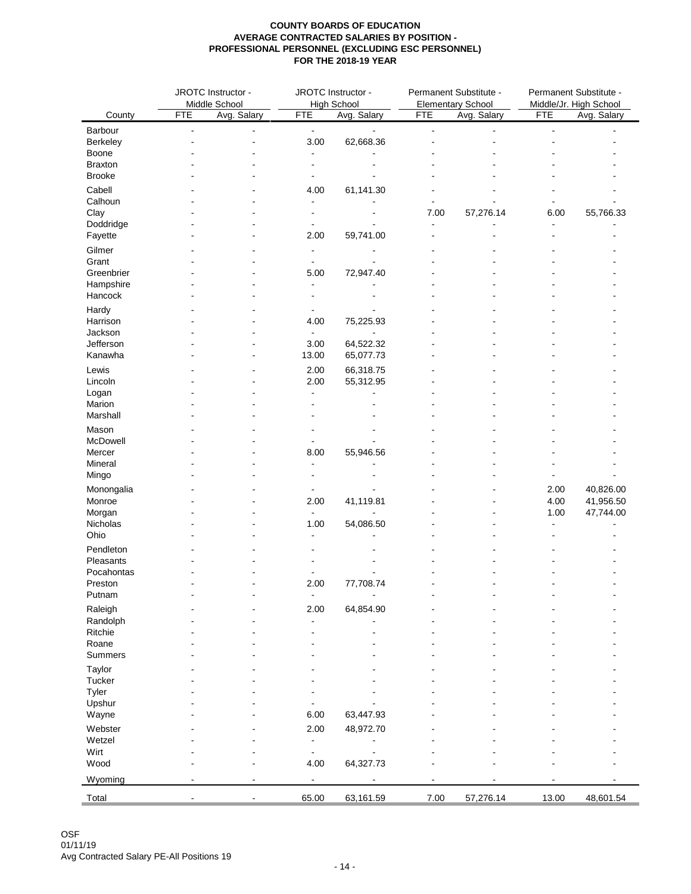|                      |                          | JROTC Instructor -<br>JROTC Instructor -<br>Permanent Substitute -<br>Middle School<br><b>High School</b><br><b>Elementary School</b> |                        |                             | Permanent Substitute -<br>Middle/Jr. High School |             |                |                           |  |
|----------------------|--------------------------|---------------------------------------------------------------------------------------------------------------------------------------|------------------------|-----------------------------|--------------------------------------------------|-------------|----------------|---------------------------|--|
| County               | <b>FTE</b>               | Avg. Salary                                                                                                                           | <b>FTE</b>             | Avg. Salary                 | <b>FTE</b>                                       | Avg. Salary |                | <b>FTE</b><br>Avg. Salary |  |
| Barbour              |                          |                                                                                                                                       |                        | ÷,                          | $\overline{a}$                                   |             | $\blacksquare$ |                           |  |
| Berkeley             | $\blacksquare$           | $\blacksquare$                                                                                                                        | $\blacksquare$<br>3.00 | 62,668.36                   |                                                  |             |                |                           |  |
| Boone                |                          |                                                                                                                                       | $\blacksquare$         |                             |                                                  |             |                |                           |  |
| <b>Braxton</b>       |                          |                                                                                                                                       |                        |                             |                                                  |             |                |                           |  |
| <b>Brooke</b>        |                          |                                                                                                                                       |                        |                             |                                                  |             |                |                           |  |
| Cabell               |                          |                                                                                                                                       | 4.00                   | 61,141.30                   |                                                  |             |                |                           |  |
| Calhoun              |                          |                                                                                                                                       | L,                     |                             |                                                  |             |                |                           |  |
| Clay                 |                          |                                                                                                                                       | $\blacksquare$         |                             | 7.00                                             | 57,276.14   | 6.00           | 55,766.33                 |  |
| Doddridge            |                          |                                                                                                                                       | $\blacksquare$         | $\blacksquare$              | $\blacksquare$                                   |             | $\blacksquare$ |                           |  |
| Fayette              |                          |                                                                                                                                       | 2.00                   | 59,741.00                   |                                                  |             |                |                           |  |
| Gilmer               |                          |                                                                                                                                       | $\blacksquare$         | ۰                           |                                                  |             |                |                           |  |
| Grant                |                          |                                                                                                                                       | $\blacksquare$         | $\overline{\phantom{a}}$    |                                                  |             |                |                           |  |
| Greenbrier           |                          |                                                                                                                                       | 5.00                   | 72,947.40                   |                                                  |             |                |                           |  |
| Hampshire            |                          |                                                                                                                                       | $\blacksquare$         |                             |                                                  |             |                |                           |  |
| Hancock              |                          |                                                                                                                                       | $\blacksquare$         | $\overline{a}$              |                                                  |             |                |                           |  |
| Hardy                |                          |                                                                                                                                       | $\blacksquare$         |                             |                                                  |             |                |                           |  |
| Harrison             |                          |                                                                                                                                       | 4.00                   | 75,225.93                   |                                                  |             |                |                           |  |
| Jackson              |                          |                                                                                                                                       | $\blacksquare$         | $\blacksquare$<br>64,522.32 |                                                  |             |                |                           |  |
| Jefferson<br>Kanawha |                          |                                                                                                                                       | 3.00<br>13.00          | 65,077.73                   |                                                  |             |                |                           |  |
|                      |                          |                                                                                                                                       |                        |                             |                                                  |             |                |                           |  |
| Lewis                |                          |                                                                                                                                       | 2.00                   | 66,318.75                   |                                                  |             |                |                           |  |
| Lincoln              |                          |                                                                                                                                       | 2.00<br>$\overline{a}$ | 55,312.95                   |                                                  |             |                |                           |  |
| Logan<br>Marion      |                          |                                                                                                                                       |                        |                             |                                                  |             |                |                           |  |
| Marshall             |                          |                                                                                                                                       |                        |                             |                                                  |             |                |                           |  |
|                      |                          |                                                                                                                                       |                        |                             |                                                  |             |                |                           |  |
| Mason<br>McDowell    |                          |                                                                                                                                       | $\blacksquare$         | $\blacksquare$              |                                                  |             |                |                           |  |
| Mercer               |                          |                                                                                                                                       | 8.00                   | 55,946.56                   |                                                  |             |                |                           |  |
| Mineral              |                          |                                                                                                                                       | $\blacksquare$         | ۰                           |                                                  |             |                |                           |  |
| Mingo                |                          |                                                                                                                                       | $\blacksquare$         |                             |                                                  |             |                |                           |  |
| Monongalia           |                          |                                                                                                                                       | $\blacksquare$         |                             |                                                  |             | 2.00           | 40,826.00                 |  |
| Monroe               |                          |                                                                                                                                       | 2.00                   | 41,119.81                   |                                                  |             | 4.00           | 41,956.50                 |  |
| Morgan               |                          |                                                                                                                                       | $\blacksquare$         |                             |                                                  |             | 1.00           | 47,744.00                 |  |
| Nicholas             |                          |                                                                                                                                       | 1.00                   | 54,086.50                   |                                                  |             | $\blacksquare$ |                           |  |
| Ohio                 |                          |                                                                                                                                       | $\blacksquare$         | $\blacksquare$              |                                                  |             |                |                           |  |
| Pendleton            |                          |                                                                                                                                       |                        |                             |                                                  |             |                |                           |  |
| Pleasants            |                          |                                                                                                                                       |                        |                             |                                                  |             |                |                           |  |
| Pocahontas           |                          |                                                                                                                                       |                        |                             |                                                  |             |                |                           |  |
| Preston              |                          |                                                                                                                                       | 2.00                   | 77,708.74                   |                                                  |             |                |                           |  |
| Putnam               |                          |                                                                                                                                       | $\blacksquare$         | $\blacksquare$              |                                                  |             |                |                           |  |
| Raleigh              |                          |                                                                                                                                       | 2.00                   | 64,854.90                   |                                                  |             |                |                           |  |
| Randolph             |                          |                                                                                                                                       | $\blacksquare$         |                             |                                                  |             |                |                           |  |
| Ritchie              |                          |                                                                                                                                       |                        |                             |                                                  |             |                |                           |  |
| Roane                |                          |                                                                                                                                       |                        |                             |                                                  |             |                |                           |  |
| Summers              |                          |                                                                                                                                       |                        |                             |                                                  |             |                |                           |  |
| Taylor               |                          |                                                                                                                                       |                        |                             |                                                  |             |                |                           |  |
| Tucker               |                          |                                                                                                                                       |                        |                             |                                                  |             |                |                           |  |
| Tyler                |                          |                                                                                                                                       |                        |                             |                                                  |             |                |                           |  |
| Upshur               |                          |                                                                                                                                       |                        |                             |                                                  |             |                |                           |  |
| Wayne                |                          |                                                                                                                                       | 6.00                   | 63,447.93                   |                                                  |             |                |                           |  |
| Webster              |                          |                                                                                                                                       | 2.00                   | 48,972.70                   |                                                  |             |                |                           |  |
| Wetzel               |                          |                                                                                                                                       | $\blacksquare$         | $\blacksquare$              |                                                  |             |                |                           |  |
| Wirt                 |                          |                                                                                                                                       | $\blacksquare$         | $\blacksquare$              |                                                  |             |                |                           |  |
| Wood                 |                          |                                                                                                                                       | 4.00                   | 64,327.73                   |                                                  |             |                |                           |  |
| Wyoming              | $\overline{\phantom{a}}$ | $\sim$                                                                                                                                | $\blacksquare$         | $\blacksquare$              | $\blacksquare$                                   |             |                |                           |  |
| Total                |                          |                                                                                                                                       | 65.00                  | 63,161.59                   | 7.00                                             | 57,276.14   | 13.00          | 48,601.54                 |  |
|                      |                          |                                                                                                                                       |                        |                             |                                                  |             |                |                           |  |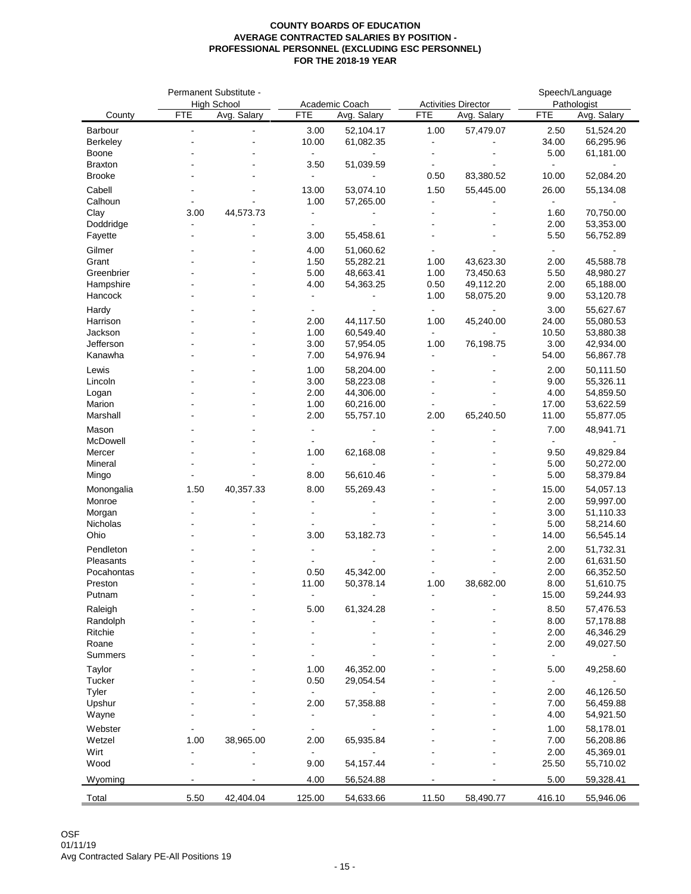|                | Permanent Substitute - |                    |                |                |                |                            | Speech/Language |             |
|----------------|------------------------|--------------------|----------------|----------------|----------------|----------------------------|-----------------|-------------|
|                |                        | <b>High School</b> |                | Academic Coach |                | <b>Activities Director</b> | Pathologist     |             |
| County         | <b>FTE</b>             | Avg. Salary        | <b>FTE</b>     | Avg. Salary    | <b>FTE</b>     | Avg. Salary                | <b>FTE</b>      | Avg. Salary |
| Barbour        | $\overline{a}$         |                    | 3.00           | 52,104.17      | 1.00           | 57,479.07                  | 2.50            | 51,524.20   |
| Berkeley       |                        |                    | 10.00          | 61,082.35      | $\blacksquare$ |                            | 34.00           | 66,295.96   |
| Boone          |                        |                    | $\blacksquare$ |                | $\blacksquare$ |                            | 5.00            | 61,181.00   |
| <b>Braxton</b> |                        |                    | 3.50           | 51,039.59      | $\blacksquare$ |                            | ÷.              |             |
| <b>Brooke</b>  |                        |                    | $\blacksquare$ |                | 0.50           | 83,380.52                  | 10.00           | 52,084.20   |
|                |                        |                    |                |                |                |                            |                 |             |
| Cabell         |                        |                    | 13.00          | 53,074.10      | 1.50           | 55,445.00                  | 26.00           | 55,134.08   |
| Calhoun        |                        |                    | 1.00           | 57,265.00      |                |                            | $\blacksquare$  |             |
| Clay           | 3.00                   | 44,573.73          | $\blacksquare$ |                |                |                            | 1.60            | 70,750.00   |
| Doddridge      |                        |                    | $\blacksquare$ |                |                |                            | 2.00            | 53,353.00   |
| Fayette        |                        |                    | 3.00           | 55,458.61      |                |                            | 5.50            | 56,752.89   |
| Gilmer         |                        |                    | 4.00           | 51,060.62      |                |                            | $\sim$          |             |
| Grant          |                        |                    | 1.50           | 55,282.21      | 1.00           | 43,623.30                  | 2.00            | 45,588.78   |
| Greenbrier     |                        |                    | 5.00           | 48,663.41      | 1.00           | 73,450.63                  | 5.50            | 48,980.27   |
|                |                        |                    |                |                |                |                            |                 |             |
| Hampshire      |                        |                    | 4.00           | 54,363.25      | 0.50           | 49,112.20                  | 2.00            | 65,188.00   |
| Hancock        |                        |                    | $\blacksquare$ |                | 1.00           | 58,075.20                  | 9.00            | 53,120.78   |
| Hardy          |                        |                    | $\blacksquare$ |                | $\sim$         |                            | 3.00            | 55,627.67   |
| Harrison       |                        |                    | 2.00           | 44,117.50      | 1.00           | 45,240.00                  | 24.00           | 55,080.53   |
| Jackson        |                        |                    | 1.00           | 60,549.40      | $\blacksquare$ | $\sim$                     | 10.50           | 53,880.38   |
| Jefferson      |                        |                    | 3.00           | 57,954.05      | 1.00           | 76,198.75                  | 3.00            | 42,934.00   |
| Kanawha        |                        |                    | 7.00           | 54,976.94      |                |                            | 54.00           | 56,867.78   |
|                |                        |                    |                |                |                |                            |                 |             |
| Lewis          |                        |                    | 1.00           | 58,204.00      |                |                            | 2.00            | 50,111.50   |
| Lincoln        |                        |                    | 3.00           | 58,223.08      |                |                            | 9.00            | 55,326.11   |
| Logan          |                        |                    | 2.00           | 44,306.00      |                |                            | 4.00            | 54,859.50   |
| Marion         |                        |                    | 1.00           | 60,216.00      |                |                            | 17.00           | 53,622.59   |
| Marshall       |                        |                    | 2.00           | 55,757.10      | 2.00           | 65,240.50                  | 11.00           | 55,877.05   |
| Mason          |                        |                    | $\blacksquare$ |                | $\blacksquare$ |                            | 7.00            | 48,941.71   |
| McDowell       |                        |                    | $\blacksquare$ |                |                |                            | $\blacksquare$  |             |
| Mercer         |                        |                    | 1.00           | 62,168.08      |                |                            | 9.50            | 49,829.84   |
| Mineral        |                        |                    | $\mathbf{r}$   |                |                |                            | 5.00            | 50,272.00   |
|                |                        |                    | 8.00           |                |                |                            | 5.00            |             |
| Mingo          |                        |                    |                | 56,610.46      |                |                            |                 | 58,379.84   |
| Monongalia     | 1.50                   | 40,357.33          | 8.00           | 55,269.43      |                |                            | 15.00           | 54,057.13   |
| Monroe         |                        |                    | $\overline{a}$ |                |                |                            | 2.00            | 59,997.00   |
| Morgan         |                        |                    | $\overline{a}$ |                |                |                            | 3.00            | 51,110.33   |
| Nicholas       |                        |                    | $\blacksquare$ |                |                |                            | 5.00            | 58,214.60   |
| Ohio           |                        |                    | 3.00           | 53,182.73      |                |                            | 14.00           | 56,545.14   |
| Pendleton      |                        |                    | $\blacksquare$ |                |                |                            | 2.00            | 51,732.31   |
|                |                        |                    |                |                |                |                            |                 |             |
| Pleasants      |                        |                    |                |                |                |                            | 2.00            | 61,631.50   |
| Pocahontas     |                        |                    | 0.50           | 45,342.00      |                |                            | 2.00            | 66,352.50   |
| Preston        |                        |                    | 11.00          | 50,378.14      | 1.00           | 38,682.00                  | 8.00            | 51,610.75   |
| Putnam         |                        |                    |                |                |                |                            | 15.00           | 59,244.93   |
| Raleigh        |                        |                    | 5.00           | 61,324.28      |                |                            | 8.50            | 57,476.53   |
| Randolph       |                        |                    |                |                |                |                            | 8.00            | 57,178.88   |
| Ritchie        |                        |                    |                |                |                |                            | 2.00            | 46,346.29   |
| Roane          |                        |                    |                |                |                |                            | 2.00            | 49,027.50   |
| Summers        |                        |                    |                |                |                |                            | $\blacksquare$  |             |
|                |                        |                    |                |                |                |                            |                 |             |
| Taylor         |                        |                    | 1.00           | 46,352.00      |                |                            | 5.00            | 49,258.60   |
| Tucker         |                        |                    | 0.50           | 29,054.54      |                |                            | $\blacksquare$  |             |
| Tyler          |                        |                    | $\blacksquare$ |                |                |                            | 2.00            | 46,126.50   |
| Upshur         |                        |                    | 2.00           | 57,358.88      |                |                            | 7.00            | 56,459.88   |
| Wayne          |                        |                    |                |                |                |                            | 4.00            | 54,921.50   |
| Webster        |                        |                    |                |                |                |                            | 1.00            | 58,178.01   |
| Wetzel         | 1.00                   | 38,965.00          | 2.00           | 65,935.84      |                |                            | 7.00            | 56,208.86   |
|                |                        |                    |                |                |                |                            | 2.00            |             |
| Wirt           |                        |                    |                |                |                |                            |                 | 45,369.01   |
| Wood           |                        |                    | 9.00           | 54,157.44      |                |                            | 25.50           | 55,710.02   |
| Wyoming        |                        |                    | 4.00           | 56,524.88      |                |                            | 5.00            | 59,328.41   |
|                |                        |                    |                |                |                |                            |                 |             |
| Total          | 5.50                   | 42,404.04          | 125.00         | 54,633.66      | 11.50          | 58,490.77                  | 416.10          | 55,946.06   |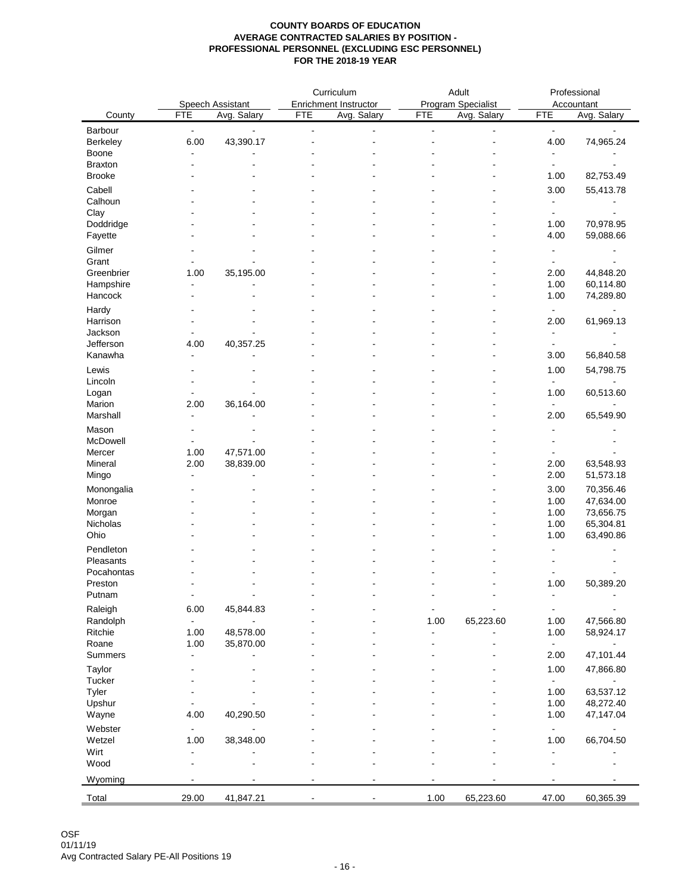| Program Specialist<br>Speech Assistant<br>Enrichment Instructor<br>Accountant<br><b>FTE</b><br>Avg. Salary<br><b>FTE</b><br>Avg. Salary<br><b>FTE</b><br>Avg. Salary<br><b>FTE</b><br>County<br>Avg. Salary<br>Barbour<br>$\blacksquare$<br>$\blacksquare$<br>$\blacksquare$<br>$\blacksquare$<br>$\blacksquare$<br>$\blacksquare$<br>$\blacksquare$<br>$\blacksquare$<br>6.00<br>43,390.17<br>4.00<br>74,965.24<br>Berkeley<br>Boone<br>$\overline{\phantom{a}}$<br><b>Braxton</b><br>$\blacksquare$<br>$\blacksquare$<br><b>Brooke</b><br>82,753.49<br>1.00<br>Cabell<br>3.00<br>55,413.78<br>Calhoun<br>$\blacksquare$<br>Clay<br>$\sim$<br>$\overline{\phantom{a}}$<br>Doddridge<br>70,978.95<br>1.00<br>59,088.66<br>Fayette<br>4.00<br>Gilmer<br>$\blacksquare$<br>Grant<br>$\overline{a}$<br>$\blacksquare$<br>35,195.00<br>Greenbrier<br>44,848.20<br>1.00<br>2.00<br>Hampshire<br>60,114.80<br>1.00<br>۰<br>74,289.80<br>Hancock<br>1.00<br>Hardy<br>$\blacksquare$<br>61,969.13<br>Harrison<br>2.00<br>Jackson<br>$\blacksquare$<br>Jefferson<br>40,357.25<br>4.00<br>$\blacksquare$<br>Kanawha<br>56,840.58<br>3.00<br>$\blacksquare$<br>1.00<br>54,798.75<br>Lincoln<br>$\blacksquare$<br>$\blacksquare$<br>Logan<br>1.00<br>60,513.60<br>Ĭ.<br>Marion<br>2.00<br>36,164.00<br>Marshall<br>65,549.90<br>2.00<br>$\blacksquare$<br>Mason<br>$\blacksquare$<br>٠<br>47,571.00<br>Mercer<br>1.00<br>2.00<br>38,839.00<br>63,548.93<br>Mineral<br>2.00<br>51,573.18<br>Mingo<br>2.00<br>$\blacksquare$<br>70,356.46<br>Monongalia<br>3.00<br>47,634.00<br>1.00<br>73,656.75<br>Morgan<br>1.00<br>65,304.81<br>1.00<br>1.00<br>63,490.86<br>Pendleton<br>Pocahontas<br>1.00<br>50,389.20<br>Putnam<br>$\blacksquare$<br>$\blacksquare$<br>$\overline{\phantom{0}}$<br>$\blacksquare$<br>$\blacksquare$<br>$\blacksquare$<br>45,844.83<br>Raleigh<br>6.00<br>$\blacksquare$<br>$\blacksquare$<br>65,223.60<br>Randolph<br>1.00<br>1.00<br>47,566.80<br>$\blacksquare$<br>$\blacksquare$<br>Ritchie<br>1.00<br>48,578.00<br>58,924.17<br>1.00<br>÷,<br>Roane<br>1.00<br>35,870.00<br>$\blacksquare$<br>$\blacksquare$<br>$\overline{\phantom{a}}$<br>Summers<br>2.00<br>47,101.44<br>$\blacksquare$<br>Taylor<br>1.00<br>47,866.80<br>Tucker<br>$\sim$<br>$\blacksquare$<br>63,537.12<br>Tyler<br>1.00<br>Upshur<br>48,272.40<br>1.00<br>40,290.50<br>Wayne<br>4.00<br>1.00<br>47,147.04<br>Webster<br>$\blacksquare$<br>$\blacksquare$<br>$\blacksquare$<br>Wetzel<br>1.00<br>38,348.00<br>66,704.50<br>1.00<br>Wirt<br>$\blacksquare$<br>$\blacksquare$<br>Wood<br>۰<br>$\overline{\phantom{a}}$<br>$\blacksquare$<br>29.00<br>41,847.21<br>1.00<br>65,223.60<br>47.00<br>60,365.39<br>Total |           | Curriculum<br>Adult |  | Professional |  |  |
|-----------------------------------------------------------------------------------------------------------------------------------------------------------------------------------------------------------------------------------------------------------------------------------------------------------------------------------------------------------------------------------------------------------------------------------------------------------------------------------------------------------------------------------------------------------------------------------------------------------------------------------------------------------------------------------------------------------------------------------------------------------------------------------------------------------------------------------------------------------------------------------------------------------------------------------------------------------------------------------------------------------------------------------------------------------------------------------------------------------------------------------------------------------------------------------------------------------------------------------------------------------------------------------------------------------------------------------------------------------------------------------------------------------------------------------------------------------------------------------------------------------------------------------------------------------------------------------------------------------------------------------------------------------------------------------------------------------------------------------------------------------------------------------------------------------------------------------------------------------------------------------------------------------------------------------------------------------------------------------------------------------------------------------------------------------------------------------------------------------------------------------------------------------------------------------------------------------------------------------------------------------------------------------------------------------------------------------------------------------------------------------------------------------------------------------------------------------------------------------------------------------------------------------------------------------------------------------------------------------------------------------------------------------------------------------------------------|-----------|---------------------|--|--------------|--|--|
|                                                                                                                                                                                                                                                                                                                                                                                                                                                                                                                                                                                                                                                                                                                                                                                                                                                                                                                                                                                                                                                                                                                                                                                                                                                                                                                                                                                                                                                                                                                                                                                                                                                                                                                                                                                                                                                                                                                                                                                                                                                                                                                                                                                                                                                                                                                                                                                                                                                                                                                                                                                                                                                                                                     |           |                     |  |              |  |  |
|                                                                                                                                                                                                                                                                                                                                                                                                                                                                                                                                                                                                                                                                                                                                                                                                                                                                                                                                                                                                                                                                                                                                                                                                                                                                                                                                                                                                                                                                                                                                                                                                                                                                                                                                                                                                                                                                                                                                                                                                                                                                                                                                                                                                                                                                                                                                                                                                                                                                                                                                                                                                                                                                                                     |           |                     |  |              |  |  |
|                                                                                                                                                                                                                                                                                                                                                                                                                                                                                                                                                                                                                                                                                                                                                                                                                                                                                                                                                                                                                                                                                                                                                                                                                                                                                                                                                                                                                                                                                                                                                                                                                                                                                                                                                                                                                                                                                                                                                                                                                                                                                                                                                                                                                                                                                                                                                                                                                                                                                                                                                                                                                                                                                                     |           |                     |  |              |  |  |
|                                                                                                                                                                                                                                                                                                                                                                                                                                                                                                                                                                                                                                                                                                                                                                                                                                                                                                                                                                                                                                                                                                                                                                                                                                                                                                                                                                                                                                                                                                                                                                                                                                                                                                                                                                                                                                                                                                                                                                                                                                                                                                                                                                                                                                                                                                                                                                                                                                                                                                                                                                                                                                                                                                     |           |                     |  |              |  |  |
|                                                                                                                                                                                                                                                                                                                                                                                                                                                                                                                                                                                                                                                                                                                                                                                                                                                                                                                                                                                                                                                                                                                                                                                                                                                                                                                                                                                                                                                                                                                                                                                                                                                                                                                                                                                                                                                                                                                                                                                                                                                                                                                                                                                                                                                                                                                                                                                                                                                                                                                                                                                                                                                                                                     |           |                     |  |              |  |  |
|                                                                                                                                                                                                                                                                                                                                                                                                                                                                                                                                                                                                                                                                                                                                                                                                                                                                                                                                                                                                                                                                                                                                                                                                                                                                                                                                                                                                                                                                                                                                                                                                                                                                                                                                                                                                                                                                                                                                                                                                                                                                                                                                                                                                                                                                                                                                                                                                                                                                                                                                                                                                                                                                                                     |           |                     |  |              |  |  |
|                                                                                                                                                                                                                                                                                                                                                                                                                                                                                                                                                                                                                                                                                                                                                                                                                                                                                                                                                                                                                                                                                                                                                                                                                                                                                                                                                                                                                                                                                                                                                                                                                                                                                                                                                                                                                                                                                                                                                                                                                                                                                                                                                                                                                                                                                                                                                                                                                                                                                                                                                                                                                                                                                                     |           |                     |  |              |  |  |
|                                                                                                                                                                                                                                                                                                                                                                                                                                                                                                                                                                                                                                                                                                                                                                                                                                                                                                                                                                                                                                                                                                                                                                                                                                                                                                                                                                                                                                                                                                                                                                                                                                                                                                                                                                                                                                                                                                                                                                                                                                                                                                                                                                                                                                                                                                                                                                                                                                                                                                                                                                                                                                                                                                     |           |                     |  |              |  |  |
|                                                                                                                                                                                                                                                                                                                                                                                                                                                                                                                                                                                                                                                                                                                                                                                                                                                                                                                                                                                                                                                                                                                                                                                                                                                                                                                                                                                                                                                                                                                                                                                                                                                                                                                                                                                                                                                                                                                                                                                                                                                                                                                                                                                                                                                                                                                                                                                                                                                                                                                                                                                                                                                                                                     |           |                     |  |              |  |  |
|                                                                                                                                                                                                                                                                                                                                                                                                                                                                                                                                                                                                                                                                                                                                                                                                                                                                                                                                                                                                                                                                                                                                                                                                                                                                                                                                                                                                                                                                                                                                                                                                                                                                                                                                                                                                                                                                                                                                                                                                                                                                                                                                                                                                                                                                                                                                                                                                                                                                                                                                                                                                                                                                                                     |           |                     |  |              |  |  |
|                                                                                                                                                                                                                                                                                                                                                                                                                                                                                                                                                                                                                                                                                                                                                                                                                                                                                                                                                                                                                                                                                                                                                                                                                                                                                                                                                                                                                                                                                                                                                                                                                                                                                                                                                                                                                                                                                                                                                                                                                                                                                                                                                                                                                                                                                                                                                                                                                                                                                                                                                                                                                                                                                                     |           |                     |  |              |  |  |
|                                                                                                                                                                                                                                                                                                                                                                                                                                                                                                                                                                                                                                                                                                                                                                                                                                                                                                                                                                                                                                                                                                                                                                                                                                                                                                                                                                                                                                                                                                                                                                                                                                                                                                                                                                                                                                                                                                                                                                                                                                                                                                                                                                                                                                                                                                                                                                                                                                                                                                                                                                                                                                                                                                     |           |                     |  |              |  |  |
|                                                                                                                                                                                                                                                                                                                                                                                                                                                                                                                                                                                                                                                                                                                                                                                                                                                                                                                                                                                                                                                                                                                                                                                                                                                                                                                                                                                                                                                                                                                                                                                                                                                                                                                                                                                                                                                                                                                                                                                                                                                                                                                                                                                                                                                                                                                                                                                                                                                                                                                                                                                                                                                                                                     |           |                     |  |              |  |  |
|                                                                                                                                                                                                                                                                                                                                                                                                                                                                                                                                                                                                                                                                                                                                                                                                                                                                                                                                                                                                                                                                                                                                                                                                                                                                                                                                                                                                                                                                                                                                                                                                                                                                                                                                                                                                                                                                                                                                                                                                                                                                                                                                                                                                                                                                                                                                                                                                                                                                                                                                                                                                                                                                                                     |           |                     |  |              |  |  |
|                                                                                                                                                                                                                                                                                                                                                                                                                                                                                                                                                                                                                                                                                                                                                                                                                                                                                                                                                                                                                                                                                                                                                                                                                                                                                                                                                                                                                                                                                                                                                                                                                                                                                                                                                                                                                                                                                                                                                                                                                                                                                                                                                                                                                                                                                                                                                                                                                                                                                                                                                                                                                                                                                                     |           |                     |  |              |  |  |
|                                                                                                                                                                                                                                                                                                                                                                                                                                                                                                                                                                                                                                                                                                                                                                                                                                                                                                                                                                                                                                                                                                                                                                                                                                                                                                                                                                                                                                                                                                                                                                                                                                                                                                                                                                                                                                                                                                                                                                                                                                                                                                                                                                                                                                                                                                                                                                                                                                                                                                                                                                                                                                                                                                     |           |                     |  |              |  |  |
|                                                                                                                                                                                                                                                                                                                                                                                                                                                                                                                                                                                                                                                                                                                                                                                                                                                                                                                                                                                                                                                                                                                                                                                                                                                                                                                                                                                                                                                                                                                                                                                                                                                                                                                                                                                                                                                                                                                                                                                                                                                                                                                                                                                                                                                                                                                                                                                                                                                                                                                                                                                                                                                                                                     |           |                     |  |              |  |  |
|                                                                                                                                                                                                                                                                                                                                                                                                                                                                                                                                                                                                                                                                                                                                                                                                                                                                                                                                                                                                                                                                                                                                                                                                                                                                                                                                                                                                                                                                                                                                                                                                                                                                                                                                                                                                                                                                                                                                                                                                                                                                                                                                                                                                                                                                                                                                                                                                                                                                                                                                                                                                                                                                                                     |           |                     |  |              |  |  |
|                                                                                                                                                                                                                                                                                                                                                                                                                                                                                                                                                                                                                                                                                                                                                                                                                                                                                                                                                                                                                                                                                                                                                                                                                                                                                                                                                                                                                                                                                                                                                                                                                                                                                                                                                                                                                                                                                                                                                                                                                                                                                                                                                                                                                                                                                                                                                                                                                                                                                                                                                                                                                                                                                                     |           |                     |  |              |  |  |
|                                                                                                                                                                                                                                                                                                                                                                                                                                                                                                                                                                                                                                                                                                                                                                                                                                                                                                                                                                                                                                                                                                                                                                                                                                                                                                                                                                                                                                                                                                                                                                                                                                                                                                                                                                                                                                                                                                                                                                                                                                                                                                                                                                                                                                                                                                                                                                                                                                                                                                                                                                                                                                                                                                     |           |                     |  |              |  |  |
|                                                                                                                                                                                                                                                                                                                                                                                                                                                                                                                                                                                                                                                                                                                                                                                                                                                                                                                                                                                                                                                                                                                                                                                                                                                                                                                                                                                                                                                                                                                                                                                                                                                                                                                                                                                                                                                                                                                                                                                                                                                                                                                                                                                                                                                                                                                                                                                                                                                                                                                                                                                                                                                                                                     |           |                     |  |              |  |  |
|                                                                                                                                                                                                                                                                                                                                                                                                                                                                                                                                                                                                                                                                                                                                                                                                                                                                                                                                                                                                                                                                                                                                                                                                                                                                                                                                                                                                                                                                                                                                                                                                                                                                                                                                                                                                                                                                                                                                                                                                                                                                                                                                                                                                                                                                                                                                                                                                                                                                                                                                                                                                                                                                                                     |           |                     |  |              |  |  |
|                                                                                                                                                                                                                                                                                                                                                                                                                                                                                                                                                                                                                                                                                                                                                                                                                                                                                                                                                                                                                                                                                                                                                                                                                                                                                                                                                                                                                                                                                                                                                                                                                                                                                                                                                                                                                                                                                                                                                                                                                                                                                                                                                                                                                                                                                                                                                                                                                                                                                                                                                                                                                                                                                                     | Lewis     |                     |  |              |  |  |
|                                                                                                                                                                                                                                                                                                                                                                                                                                                                                                                                                                                                                                                                                                                                                                                                                                                                                                                                                                                                                                                                                                                                                                                                                                                                                                                                                                                                                                                                                                                                                                                                                                                                                                                                                                                                                                                                                                                                                                                                                                                                                                                                                                                                                                                                                                                                                                                                                                                                                                                                                                                                                                                                                                     |           |                     |  |              |  |  |
|                                                                                                                                                                                                                                                                                                                                                                                                                                                                                                                                                                                                                                                                                                                                                                                                                                                                                                                                                                                                                                                                                                                                                                                                                                                                                                                                                                                                                                                                                                                                                                                                                                                                                                                                                                                                                                                                                                                                                                                                                                                                                                                                                                                                                                                                                                                                                                                                                                                                                                                                                                                                                                                                                                     |           |                     |  |              |  |  |
|                                                                                                                                                                                                                                                                                                                                                                                                                                                                                                                                                                                                                                                                                                                                                                                                                                                                                                                                                                                                                                                                                                                                                                                                                                                                                                                                                                                                                                                                                                                                                                                                                                                                                                                                                                                                                                                                                                                                                                                                                                                                                                                                                                                                                                                                                                                                                                                                                                                                                                                                                                                                                                                                                                     |           |                     |  |              |  |  |
|                                                                                                                                                                                                                                                                                                                                                                                                                                                                                                                                                                                                                                                                                                                                                                                                                                                                                                                                                                                                                                                                                                                                                                                                                                                                                                                                                                                                                                                                                                                                                                                                                                                                                                                                                                                                                                                                                                                                                                                                                                                                                                                                                                                                                                                                                                                                                                                                                                                                                                                                                                                                                                                                                                     |           |                     |  |              |  |  |
|                                                                                                                                                                                                                                                                                                                                                                                                                                                                                                                                                                                                                                                                                                                                                                                                                                                                                                                                                                                                                                                                                                                                                                                                                                                                                                                                                                                                                                                                                                                                                                                                                                                                                                                                                                                                                                                                                                                                                                                                                                                                                                                                                                                                                                                                                                                                                                                                                                                                                                                                                                                                                                                                                                     |           |                     |  |              |  |  |
|                                                                                                                                                                                                                                                                                                                                                                                                                                                                                                                                                                                                                                                                                                                                                                                                                                                                                                                                                                                                                                                                                                                                                                                                                                                                                                                                                                                                                                                                                                                                                                                                                                                                                                                                                                                                                                                                                                                                                                                                                                                                                                                                                                                                                                                                                                                                                                                                                                                                                                                                                                                                                                                                                                     | McDowell  |                     |  |              |  |  |
|                                                                                                                                                                                                                                                                                                                                                                                                                                                                                                                                                                                                                                                                                                                                                                                                                                                                                                                                                                                                                                                                                                                                                                                                                                                                                                                                                                                                                                                                                                                                                                                                                                                                                                                                                                                                                                                                                                                                                                                                                                                                                                                                                                                                                                                                                                                                                                                                                                                                                                                                                                                                                                                                                                     |           |                     |  |              |  |  |
|                                                                                                                                                                                                                                                                                                                                                                                                                                                                                                                                                                                                                                                                                                                                                                                                                                                                                                                                                                                                                                                                                                                                                                                                                                                                                                                                                                                                                                                                                                                                                                                                                                                                                                                                                                                                                                                                                                                                                                                                                                                                                                                                                                                                                                                                                                                                                                                                                                                                                                                                                                                                                                                                                                     |           |                     |  |              |  |  |
|                                                                                                                                                                                                                                                                                                                                                                                                                                                                                                                                                                                                                                                                                                                                                                                                                                                                                                                                                                                                                                                                                                                                                                                                                                                                                                                                                                                                                                                                                                                                                                                                                                                                                                                                                                                                                                                                                                                                                                                                                                                                                                                                                                                                                                                                                                                                                                                                                                                                                                                                                                                                                                                                                                     |           |                     |  |              |  |  |
|                                                                                                                                                                                                                                                                                                                                                                                                                                                                                                                                                                                                                                                                                                                                                                                                                                                                                                                                                                                                                                                                                                                                                                                                                                                                                                                                                                                                                                                                                                                                                                                                                                                                                                                                                                                                                                                                                                                                                                                                                                                                                                                                                                                                                                                                                                                                                                                                                                                                                                                                                                                                                                                                                                     |           |                     |  |              |  |  |
|                                                                                                                                                                                                                                                                                                                                                                                                                                                                                                                                                                                                                                                                                                                                                                                                                                                                                                                                                                                                                                                                                                                                                                                                                                                                                                                                                                                                                                                                                                                                                                                                                                                                                                                                                                                                                                                                                                                                                                                                                                                                                                                                                                                                                                                                                                                                                                                                                                                                                                                                                                                                                                                                                                     | Monroe    |                     |  |              |  |  |
|                                                                                                                                                                                                                                                                                                                                                                                                                                                                                                                                                                                                                                                                                                                                                                                                                                                                                                                                                                                                                                                                                                                                                                                                                                                                                                                                                                                                                                                                                                                                                                                                                                                                                                                                                                                                                                                                                                                                                                                                                                                                                                                                                                                                                                                                                                                                                                                                                                                                                                                                                                                                                                                                                                     |           |                     |  |              |  |  |
|                                                                                                                                                                                                                                                                                                                                                                                                                                                                                                                                                                                                                                                                                                                                                                                                                                                                                                                                                                                                                                                                                                                                                                                                                                                                                                                                                                                                                                                                                                                                                                                                                                                                                                                                                                                                                                                                                                                                                                                                                                                                                                                                                                                                                                                                                                                                                                                                                                                                                                                                                                                                                                                                                                     | Nicholas  |                     |  |              |  |  |
|                                                                                                                                                                                                                                                                                                                                                                                                                                                                                                                                                                                                                                                                                                                                                                                                                                                                                                                                                                                                                                                                                                                                                                                                                                                                                                                                                                                                                                                                                                                                                                                                                                                                                                                                                                                                                                                                                                                                                                                                                                                                                                                                                                                                                                                                                                                                                                                                                                                                                                                                                                                                                                                                                                     | Ohio      |                     |  |              |  |  |
|                                                                                                                                                                                                                                                                                                                                                                                                                                                                                                                                                                                                                                                                                                                                                                                                                                                                                                                                                                                                                                                                                                                                                                                                                                                                                                                                                                                                                                                                                                                                                                                                                                                                                                                                                                                                                                                                                                                                                                                                                                                                                                                                                                                                                                                                                                                                                                                                                                                                                                                                                                                                                                                                                                     |           |                     |  |              |  |  |
|                                                                                                                                                                                                                                                                                                                                                                                                                                                                                                                                                                                                                                                                                                                                                                                                                                                                                                                                                                                                                                                                                                                                                                                                                                                                                                                                                                                                                                                                                                                                                                                                                                                                                                                                                                                                                                                                                                                                                                                                                                                                                                                                                                                                                                                                                                                                                                                                                                                                                                                                                                                                                                                                                                     | Pleasants |                     |  |              |  |  |
|                                                                                                                                                                                                                                                                                                                                                                                                                                                                                                                                                                                                                                                                                                                                                                                                                                                                                                                                                                                                                                                                                                                                                                                                                                                                                                                                                                                                                                                                                                                                                                                                                                                                                                                                                                                                                                                                                                                                                                                                                                                                                                                                                                                                                                                                                                                                                                                                                                                                                                                                                                                                                                                                                                     |           |                     |  |              |  |  |
|                                                                                                                                                                                                                                                                                                                                                                                                                                                                                                                                                                                                                                                                                                                                                                                                                                                                                                                                                                                                                                                                                                                                                                                                                                                                                                                                                                                                                                                                                                                                                                                                                                                                                                                                                                                                                                                                                                                                                                                                                                                                                                                                                                                                                                                                                                                                                                                                                                                                                                                                                                                                                                                                                                     | Preston   |                     |  |              |  |  |
|                                                                                                                                                                                                                                                                                                                                                                                                                                                                                                                                                                                                                                                                                                                                                                                                                                                                                                                                                                                                                                                                                                                                                                                                                                                                                                                                                                                                                                                                                                                                                                                                                                                                                                                                                                                                                                                                                                                                                                                                                                                                                                                                                                                                                                                                                                                                                                                                                                                                                                                                                                                                                                                                                                     |           |                     |  |              |  |  |
|                                                                                                                                                                                                                                                                                                                                                                                                                                                                                                                                                                                                                                                                                                                                                                                                                                                                                                                                                                                                                                                                                                                                                                                                                                                                                                                                                                                                                                                                                                                                                                                                                                                                                                                                                                                                                                                                                                                                                                                                                                                                                                                                                                                                                                                                                                                                                                                                                                                                                                                                                                                                                                                                                                     |           |                     |  |              |  |  |
|                                                                                                                                                                                                                                                                                                                                                                                                                                                                                                                                                                                                                                                                                                                                                                                                                                                                                                                                                                                                                                                                                                                                                                                                                                                                                                                                                                                                                                                                                                                                                                                                                                                                                                                                                                                                                                                                                                                                                                                                                                                                                                                                                                                                                                                                                                                                                                                                                                                                                                                                                                                                                                                                                                     |           |                     |  |              |  |  |
|                                                                                                                                                                                                                                                                                                                                                                                                                                                                                                                                                                                                                                                                                                                                                                                                                                                                                                                                                                                                                                                                                                                                                                                                                                                                                                                                                                                                                                                                                                                                                                                                                                                                                                                                                                                                                                                                                                                                                                                                                                                                                                                                                                                                                                                                                                                                                                                                                                                                                                                                                                                                                                                                                                     |           |                     |  |              |  |  |
|                                                                                                                                                                                                                                                                                                                                                                                                                                                                                                                                                                                                                                                                                                                                                                                                                                                                                                                                                                                                                                                                                                                                                                                                                                                                                                                                                                                                                                                                                                                                                                                                                                                                                                                                                                                                                                                                                                                                                                                                                                                                                                                                                                                                                                                                                                                                                                                                                                                                                                                                                                                                                                                                                                     |           |                     |  |              |  |  |
|                                                                                                                                                                                                                                                                                                                                                                                                                                                                                                                                                                                                                                                                                                                                                                                                                                                                                                                                                                                                                                                                                                                                                                                                                                                                                                                                                                                                                                                                                                                                                                                                                                                                                                                                                                                                                                                                                                                                                                                                                                                                                                                                                                                                                                                                                                                                                                                                                                                                                                                                                                                                                                                                                                     |           |                     |  |              |  |  |
|                                                                                                                                                                                                                                                                                                                                                                                                                                                                                                                                                                                                                                                                                                                                                                                                                                                                                                                                                                                                                                                                                                                                                                                                                                                                                                                                                                                                                                                                                                                                                                                                                                                                                                                                                                                                                                                                                                                                                                                                                                                                                                                                                                                                                                                                                                                                                                                                                                                                                                                                                                                                                                                                                                     |           |                     |  |              |  |  |
|                                                                                                                                                                                                                                                                                                                                                                                                                                                                                                                                                                                                                                                                                                                                                                                                                                                                                                                                                                                                                                                                                                                                                                                                                                                                                                                                                                                                                                                                                                                                                                                                                                                                                                                                                                                                                                                                                                                                                                                                                                                                                                                                                                                                                                                                                                                                                                                                                                                                                                                                                                                                                                                                                                     |           |                     |  |              |  |  |
|                                                                                                                                                                                                                                                                                                                                                                                                                                                                                                                                                                                                                                                                                                                                                                                                                                                                                                                                                                                                                                                                                                                                                                                                                                                                                                                                                                                                                                                                                                                                                                                                                                                                                                                                                                                                                                                                                                                                                                                                                                                                                                                                                                                                                                                                                                                                                                                                                                                                                                                                                                                                                                                                                                     |           |                     |  |              |  |  |
|                                                                                                                                                                                                                                                                                                                                                                                                                                                                                                                                                                                                                                                                                                                                                                                                                                                                                                                                                                                                                                                                                                                                                                                                                                                                                                                                                                                                                                                                                                                                                                                                                                                                                                                                                                                                                                                                                                                                                                                                                                                                                                                                                                                                                                                                                                                                                                                                                                                                                                                                                                                                                                                                                                     |           |                     |  |              |  |  |
|                                                                                                                                                                                                                                                                                                                                                                                                                                                                                                                                                                                                                                                                                                                                                                                                                                                                                                                                                                                                                                                                                                                                                                                                                                                                                                                                                                                                                                                                                                                                                                                                                                                                                                                                                                                                                                                                                                                                                                                                                                                                                                                                                                                                                                                                                                                                                                                                                                                                                                                                                                                                                                                                                                     |           |                     |  |              |  |  |
|                                                                                                                                                                                                                                                                                                                                                                                                                                                                                                                                                                                                                                                                                                                                                                                                                                                                                                                                                                                                                                                                                                                                                                                                                                                                                                                                                                                                                                                                                                                                                                                                                                                                                                                                                                                                                                                                                                                                                                                                                                                                                                                                                                                                                                                                                                                                                                                                                                                                                                                                                                                                                                                                                                     |           |                     |  |              |  |  |
|                                                                                                                                                                                                                                                                                                                                                                                                                                                                                                                                                                                                                                                                                                                                                                                                                                                                                                                                                                                                                                                                                                                                                                                                                                                                                                                                                                                                                                                                                                                                                                                                                                                                                                                                                                                                                                                                                                                                                                                                                                                                                                                                                                                                                                                                                                                                                                                                                                                                                                                                                                                                                                                                                                     |           |                     |  |              |  |  |
|                                                                                                                                                                                                                                                                                                                                                                                                                                                                                                                                                                                                                                                                                                                                                                                                                                                                                                                                                                                                                                                                                                                                                                                                                                                                                                                                                                                                                                                                                                                                                                                                                                                                                                                                                                                                                                                                                                                                                                                                                                                                                                                                                                                                                                                                                                                                                                                                                                                                                                                                                                                                                                                                                                     |           |                     |  |              |  |  |
|                                                                                                                                                                                                                                                                                                                                                                                                                                                                                                                                                                                                                                                                                                                                                                                                                                                                                                                                                                                                                                                                                                                                                                                                                                                                                                                                                                                                                                                                                                                                                                                                                                                                                                                                                                                                                                                                                                                                                                                                                                                                                                                                                                                                                                                                                                                                                                                                                                                                                                                                                                                                                                                                                                     |           |                     |  |              |  |  |
|                                                                                                                                                                                                                                                                                                                                                                                                                                                                                                                                                                                                                                                                                                                                                                                                                                                                                                                                                                                                                                                                                                                                                                                                                                                                                                                                                                                                                                                                                                                                                                                                                                                                                                                                                                                                                                                                                                                                                                                                                                                                                                                                                                                                                                                                                                                                                                                                                                                                                                                                                                                                                                                                                                     |           |                     |  |              |  |  |
|                                                                                                                                                                                                                                                                                                                                                                                                                                                                                                                                                                                                                                                                                                                                                                                                                                                                                                                                                                                                                                                                                                                                                                                                                                                                                                                                                                                                                                                                                                                                                                                                                                                                                                                                                                                                                                                                                                                                                                                                                                                                                                                                                                                                                                                                                                                                                                                                                                                                                                                                                                                                                                                                                                     | Wyoming   |                     |  |              |  |  |
|                                                                                                                                                                                                                                                                                                                                                                                                                                                                                                                                                                                                                                                                                                                                                                                                                                                                                                                                                                                                                                                                                                                                                                                                                                                                                                                                                                                                                                                                                                                                                                                                                                                                                                                                                                                                                                                                                                                                                                                                                                                                                                                                                                                                                                                                                                                                                                                                                                                                                                                                                                                                                                                                                                     |           |                     |  |              |  |  |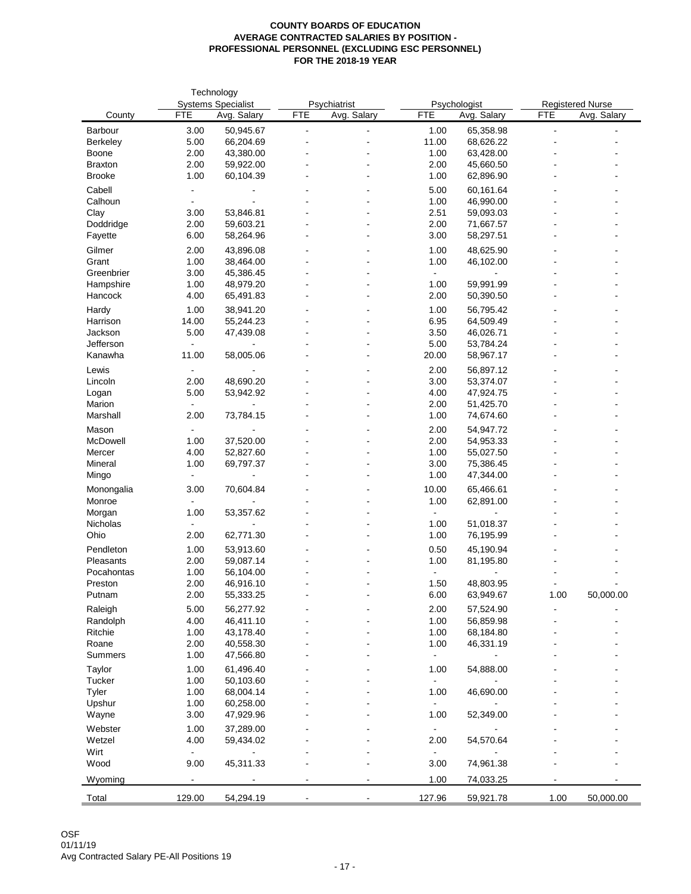|                      |                | Technology                |            |              |                |                        |                         |             |
|----------------------|----------------|---------------------------|------------|--------------|----------------|------------------------|-------------------------|-------------|
|                      |                | <b>Systems Specialist</b> |            | Psychiatrist |                | Psychologist           | <b>Registered Nurse</b> |             |
| County               | <b>FTE</b>     | Avg. Salary               | <b>FTE</b> | Avg. Salary  | <b>FTE</b>     | Avg. Salary            | <b>FTE</b>              | Avg. Salary |
| Barbour              | 3.00           | 50,945.67                 |            |              | 1.00           | 65,358.98              |                         |             |
| Berkeley             | 5.00           | 66,204.69                 |            |              | 11.00          | 68,626.22              |                         |             |
| Boone                | 2.00           | 43,380.00                 |            |              | 1.00           | 63,428.00              |                         |             |
| <b>Braxton</b>       | 2.00           | 59,922.00                 |            |              | 2.00           | 45,660.50              |                         |             |
| <b>Brooke</b>        | 1.00           | 60,104.39                 |            |              | 1.00           | 62,896.90              |                         |             |
| Cabell               |                |                           |            |              | 5.00           | 60,161.64              |                         |             |
| Calhoun              |                |                           |            |              | 1.00           | 46,990.00              |                         |             |
| Clay                 | 3.00           | 53,846.81                 |            |              | 2.51           | 59,093.03              |                         |             |
| Doddridge            | 2.00           | 59,603.21                 |            |              | 2.00           | 71,667.57              |                         |             |
| Fayette              | 6.00           | 58,264.96                 |            |              | 3.00           | 58,297.51              |                         |             |
| Gilmer               | 2.00           | 43,896.08                 |            |              | 1.00           | 48,625.90              |                         |             |
| Grant                | 1.00           | 38,464.00                 |            |              | 1.00           | 46,102.00              |                         |             |
| Greenbrier           | 3.00           | 45,386.45                 |            |              | $\sim$         |                        |                         |             |
| Hampshire            | 1.00           | 48,979.20                 |            |              | 1.00           | 59,991.99              |                         |             |
| Hancock              | 4.00           | 65,491.83                 |            |              | 2.00           | 50,390.50              |                         |             |
|                      |                |                           |            |              |                |                        |                         |             |
| Hardy                | 1.00           | 38,941.20                 |            |              | 1.00           | 56,795.42              |                         |             |
| Harrison<br>Jackson  | 14.00          | 55,244.23                 |            |              | 6.95           | 64,509.49<br>46,026.71 |                         |             |
|                      | 5.00           | 47,439.08                 |            |              | 3.50           |                        |                         |             |
| Jefferson<br>Kanawha | 11.00          |                           |            |              | 5.00<br>20.00  | 53,784.24              |                         |             |
|                      |                | 58,005.06                 |            |              |                | 58,967.17              |                         |             |
| Lewis                |                |                           |            |              | 2.00           | 56,897.12              |                         |             |
| Lincoln              | 2.00           | 48,690.20                 |            |              | 3.00           | 53,374.07              |                         |             |
| Logan                | 5.00           | 53,942.92                 |            |              | 4.00           | 47,924.75              |                         |             |
| Marion               | $\blacksquare$ |                           |            |              | 2.00           | 51,425.70              |                         |             |
| Marshall             | 2.00           | 73,784.15                 |            |              | 1.00           | 74,674.60              |                         |             |
| Mason                | $\blacksquare$ |                           |            |              | 2.00           | 54,947.72              |                         |             |
| McDowell             | 1.00           | 37,520.00                 |            |              | 2.00           | 54,953.33              |                         |             |
| Mercer               | 4.00           | 52,827.60                 |            |              | 1.00           | 55,027.50              |                         |             |
| Mineral              | 1.00           | 69,797.37                 |            |              | 3.00           | 75,386.45              |                         |             |
| Mingo                |                |                           |            |              | 1.00           | 47,344.00              |                         |             |
| Monongalia           | 3.00           | 70,604.84                 |            |              | 10.00          | 65,466.61              |                         |             |
| Monroe               |                |                           |            |              | 1.00           | 62,891.00              |                         |             |
| Morgan               | 1.00           | 53,357.62                 |            |              | $\blacksquare$ |                        |                         |             |
| Nicholas             | $\blacksquare$ |                           |            |              | 1.00           | 51,018.37              |                         |             |
| Ohio                 | 2.00           | 62,771.30                 |            |              | 1.00           | 76,195.99              |                         |             |
| Pendleton            | 1.00           | 53,913.60                 |            |              | 0.50           | 45,190.94              |                         |             |
| Pleasants            | 2.00           | 59,087.14                 |            |              | 1.00           | 81,195.80              |                         |             |
| Pocahontas           | 1.00           | 56,104.00                 |            |              | $\blacksquare$ |                        |                         |             |
| Preston              | 2.00           | 46,916.10                 |            |              | 1.50           | 48,803.95              |                         |             |
| Putnam               | 2.00           | 55,333.25                 |            |              | 6.00           | 63,949.67              | 1.00                    | 50,000.00   |
|                      |                |                           |            |              |                |                        |                         |             |
| Raleigh              | 5.00           | 56,277.92                 |            |              | 2.00           | 57,524.90              |                         |             |
| Randolph             | 4.00           | 46,411.10<br>43,178.40    |            |              | 1.00           | 56,859.98              |                         |             |
| Ritchie              | 1.00           |                           |            |              | 1.00           | 68,184.80              |                         |             |
| Roane                | 2.00           | 40,558.30                 |            |              | 1.00           | 46,331.19              |                         |             |
| Summers              | 1.00           | 47,566.80                 |            |              | $\sim$         |                        |                         |             |
| Taylor               | 1.00           | 61,496.40                 |            |              | 1.00           | 54,888.00              |                         |             |
| Tucker               | 1.00           | 50,103.60                 |            |              | $\sim$         |                        |                         |             |
| Tyler                | 1.00           | 68,004.14                 |            |              | 1.00           | 46,690.00              |                         |             |
| Upshur               | 1.00           | 60,258.00                 |            |              |                |                        |                         |             |
| Wayne                | 3.00           | 47,929.96                 |            |              | 1.00           | 52,349.00              |                         |             |
| Webster              | 1.00           | 37,289.00                 |            |              | $\sim$         |                        |                         |             |
| Wetzel               | 4.00           | 59,434.02                 |            |              | 2.00           | 54,570.64              |                         |             |
| Wirt                 | $\blacksquare$ |                           |            |              | $\sim$         |                        |                         |             |
| Wood                 | 9.00           | 45,311.33                 |            |              | 3.00           | 74,961.38              |                         |             |
|                      | $\blacksquare$ |                           |            |              |                |                        |                         |             |
| Wyoming              |                |                           |            |              | 1.00           | 74,033.25              |                         |             |
| Total                | 129.00         | 54,294.19                 |            |              | 127.96         | 59,921.78              | 1.00                    | 50,000.00   |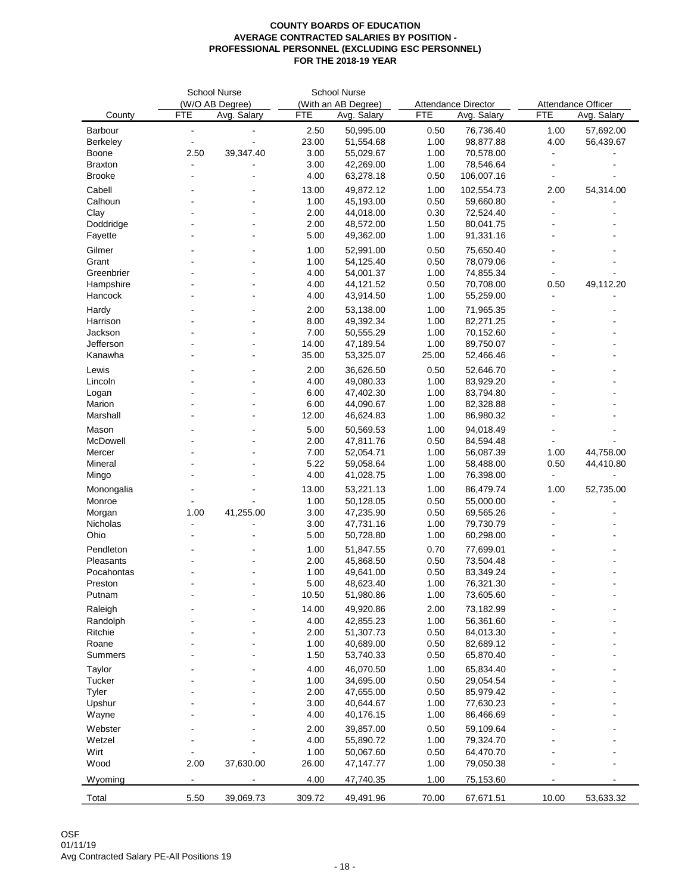|                   |                 | <b>School Nurse</b> |                     | <b>School Nurse</b> |              |                        |                    |             |  |
|-------------------|-----------------|---------------------|---------------------|---------------------|--------------|------------------------|--------------------|-------------|--|
|                   | (W/O AB Degree) |                     | (With an AB Degree) |                     |              | Attendance Director    | Attendance Officer |             |  |
| County            | <b>FTE</b>      | Avg. Salary         | <b>FTE</b>          | Avg. Salary         | <b>FTE</b>   | Avg. Salary            | <b>FTE</b>         | Avg. Salary |  |
| Barbour           | $\blacksquare$  |                     | 2.50                | 50,995.00           | 0.50         | 76,736.40              | 1.00               | 57,692.00   |  |
| Berkeley          | $\sim$          | $\overline{a}$      | 23.00               | 51,554.68           | 1.00         | 98,877.88              | 4.00               | 56,439.67   |  |
| Boone             | 2.50            | 39,347.40           | 3.00                | 55,029.67           | 1.00         | 70,578.00              |                    |             |  |
| <b>Braxton</b>    |                 |                     | 3.00                | 42,269.00           | 1.00         | 78,546.64              |                    |             |  |
| <b>Brooke</b>     |                 |                     | 4.00                | 63,278.18           | 0.50         | 106,007.16             |                    |             |  |
| Cabell            |                 |                     | 13.00               | 49,872.12           | 1.00         | 102,554.73             | 2.00               | 54,314.00   |  |
| Calhoun           |                 |                     | 1.00                | 45,193.00           | 0.50         | 59,660.80              |                    |             |  |
| Clay              |                 |                     | 2.00                | 44,018.00           | 0.30         | 72,524.40              |                    |             |  |
| Doddridge         |                 |                     | 2.00                | 48,572.00           | 1.50         | 80,041.75              |                    |             |  |
| Fayette           |                 |                     | 5.00                | 49,362.00           | 1.00         | 91,331.16              |                    |             |  |
| Gilmer            |                 |                     | 1.00                | 52,991.00           | 0.50         | 75,650.40              |                    |             |  |
| Grant             |                 |                     | 1.00                | 54,125.40           | 0.50         | 78,079.06              |                    |             |  |
| Greenbrier        |                 |                     | 4.00                | 54,001.37           | 1.00         | 74,855.34              |                    |             |  |
| Hampshire         |                 |                     | 4.00                | 44,121.52           | 0.50         | 70,708.00              | 0.50               | 49,112.20   |  |
| Hancock           |                 |                     | 4.00                | 43,914.50           | 1.00         | 55,259.00              |                    |             |  |
|                   |                 |                     |                     |                     |              |                        |                    |             |  |
| Hardy             |                 |                     | 2.00                | 53,138.00           | 1.00         | 71,965.35              |                    |             |  |
| Harrison          |                 |                     | 8.00                | 49,392.34           | 1.00         | 82,271.25              |                    |             |  |
| Jackson           |                 |                     | 7.00                | 50,555.29           | 1.00         | 70,152.60              |                    |             |  |
| Jefferson         |                 |                     | 14.00               | 47,189.54           | 1.00         | 89,750.07              |                    |             |  |
| Kanawha           |                 |                     | 35.00               | 53,325.07           | 25.00        | 52,466.46              |                    |             |  |
| Lewis             |                 |                     | 2.00                | 36,626.50           | 0.50         | 52,646.70              |                    |             |  |
| Lincoln           |                 |                     | 4.00                | 49,080.33           | 1.00         | 83,929.20              |                    |             |  |
| Logan             |                 |                     | 6.00                | 47,402.30           | 1.00         | 83,794.80              |                    |             |  |
| Marion            |                 |                     | 6.00                | 44,090.67           | 1.00         | 82,328.88              |                    |             |  |
| Marshall          |                 |                     | 12.00               | 46,624.83           | 1.00         | 86,980.32              |                    |             |  |
| Mason             |                 |                     | 5.00                | 50,569.53           | 1.00         | 94,018.49              |                    |             |  |
| McDowell          |                 |                     | 2.00                | 47,811.76           | 0.50         | 84,594.48              |                    |             |  |
| Mercer            |                 |                     | 7.00                | 52,054.71           | 1.00         | 56,087.39              | 1.00               | 44,758.00   |  |
| Mineral           |                 |                     | 5.22                | 59,058.64           | 1.00         | 58,488.00              | 0.50               | 44,410.80   |  |
| Mingo             |                 |                     | 4.00                | 41,028.75           | 1.00         | 76,398.00              |                    |             |  |
| Monongalia        |                 |                     | 13.00               | 53,221.13           | 1.00         | 86,479.74              | 1.00               | 52,735.00   |  |
| Monroe            |                 |                     | 1.00                | 50,128.05           | 0.50         | 55,000.00              |                    |             |  |
| Morgan            | 1.00            | 41,255.00           | 3.00                | 47,235.90           | 0.50         | 69,565.26              |                    |             |  |
| Nicholas          | $\blacksquare$  |                     | 3.00                | 47,731.16           | 1.00         | 79,730.79              |                    |             |  |
| Ohio              |                 |                     | 5.00                | 50,728.80           | 1.00         | 60,298.00              |                    |             |  |
| Pendleton         |                 |                     | 1.00                | 51,847.55           | 0.70         | 77,699.01              |                    |             |  |
| Pleasants         |                 |                     | 2.00                | 45,868.50           | 0.50         | 73,504.48              |                    |             |  |
|                   |                 |                     |                     | 49,641.00           |              |                        |                    |             |  |
| Pocahontas        |                 |                     | 1.00<br>5.00        | 48,623.40           | 0.50<br>1.00 | 83,349.24<br>76,321.30 |                    |             |  |
| Preston<br>Putnam |                 |                     | 10.50               |                     | 1.00         | 73,605.60              |                    |             |  |
|                   |                 |                     |                     | 51,980.86           |              |                        |                    |             |  |
| Raleigh           |                 |                     | 14.00               | 49,920.86           | 2.00         | 73,182.99              |                    |             |  |
| Randolph          |                 |                     | 4.00                | 42,855.23           | 1.00         | 56,361.60              |                    |             |  |
| Ritchie           |                 |                     | 2.00                | 51,307.73           | 0.50         | 84,013.30              |                    |             |  |
| Roane             |                 |                     | 1.00                | 40,689.00           | 0.50         | 82,689.12              |                    |             |  |
| Summers           |                 |                     | 1.50                | 53,740.33           | 0.50         | 65,870.40              |                    |             |  |
| Taylor            |                 |                     | 4.00                | 46,070.50           | 1.00         | 65,834.40              |                    |             |  |
| Tucker            |                 |                     | 1.00                | 34,695.00           | 0.50         | 29,054.54              |                    |             |  |
| Tyler             |                 |                     | 2.00                | 47,655.00           | 0.50         | 85,979.42              |                    |             |  |
| Upshur            |                 |                     | 3.00                | 40,644.67           | 1.00         | 77,630.23              |                    |             |  |
| Wayne             |                 |                     | 4.00                | 40,176.15           | 1.00         | 86,466.69              |                    |             |  |
| Webster           |                 |                     | 2.00                | 39,857.00           | 0.50         | 59,109.64              |                    |             |  |
| Wetzel            |                 |                     | 4.00                | 55,890.72           | 1.00         | 79,324.70              |                    |             |  |
| Wirt              |                 |                     | 1.00                | 50,067.60           | 0.50         | 64,470.70              |                    |             |  |
| Wood              | 2.00            | 37,630.00           | 26.00               | 47,147.77           | 1.00         | 79,050.38              |                    |             |  |
|                   |                 |                     |                     |                     |              |                        |                    |             |  |
| Wyoming           | $\blacksquare$  |                     | 4.00                | 47,740.35           | 1.00         | 75,153.60              |                    |             |  |
| Total             | 5.50            | 39,069.73           | 309.72              | 49,491.96           | 70.00        | 67,671.51              | 10.00              | 53,633.32   |  |
|                   |                 |                     |                     |                     |              |                        |                    |             |  |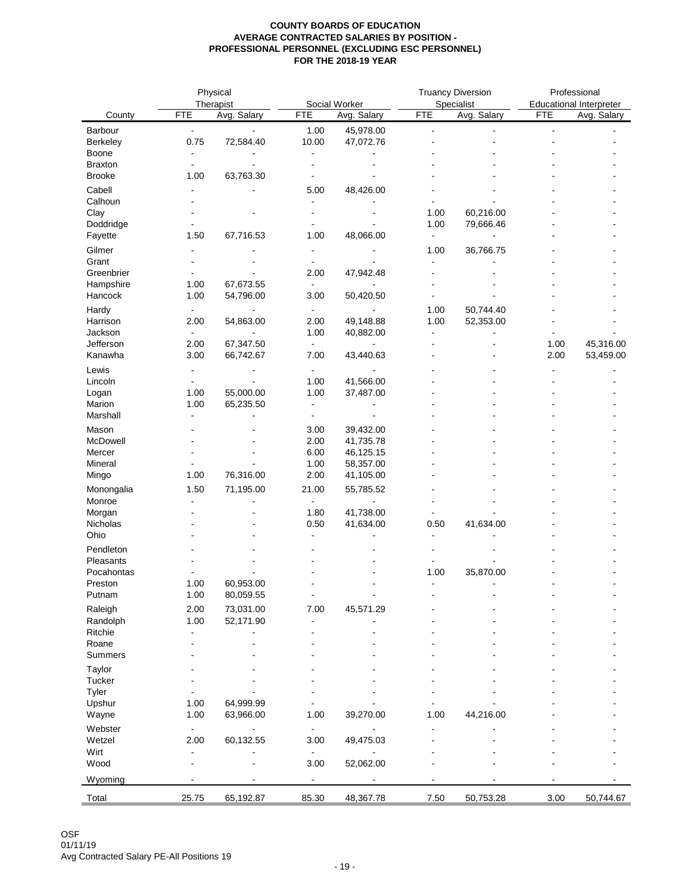|                |                | Physical       |                |                |                | <b>Truancy Diversion</b> | Professional   |                                |  |
|----------------|----------------|----------------|----------------|----------------|----------------|--------------------------|----------------|--------------------------------|--|
|                |                | Therapist      |                | Social Worker  |                | Specialist               |                | <b>Educational Interpreter</b> |  |
| County         | <b>FTE</b>     | Avg. Salary    | <b>FTE</b>     | Avg. Salary    | <b>FTE</b>     | Avg. Salary              | <b>FTE</b>     | Avg. Salary                    |  |
| Barbour        | $\blacksquare$ | $\blacksquare$ | 1.00           | 45,978.00      | $\blacksquare$ |                          | $\blacksquare$ |                                |  |
| Berkeley       | 0.75           | 72,584.40      | 10.00          | 47,072.76      |                |                          |                |                                |  |
| Boone          | $\sim$         |                | $\blacksquare$ |                |                |                          |                |                                |  |
| <b>Braxton</b> | $\blacksquare$ |                |                |                |                |                          |                |                                |  |
| <b>Brooke</b>  | 1.00           | 63,763.30      |                |                |                |                          |                |                                |  |
| Cabell         | $\blacksquare$ |                | 5.00           | 48,426.00      |                |                          |                |                                |  |
| Calhoun        |                |                | $\blacksquare$ |                |                |                          |                |                                |  |
| Clay           |                |                |                |                | 1.00           | 60,216.00                |                |                                |  |
| Doddridge      |                |                |                |                | 1.00           | 79,666.46                |                |                                |  |
| Fayette        | 1.50           | 67,716.53      | 1.00           | 48,066.00      | $\blacksquare$ | $\blacksquare$           |                |                                |  |
| Gilmer         |                |                | $\blacksquare$ |                | 1.00           | 36,766.75                |                |                                |  |
| Grant          |                |                | $\blacksquare$ |                | $\blacksquare$ |                          |                |                                |  |
| Greenbrier     | $\blacksquare$ |                | 2.00           | 47,942.48      |                |                          |                |                                |  |
| Hampshire      | 1.00           | 67,673.55      | $\blacksquare$ |                |                |                          |                |                                |  |
| Hancock        | 1.00           | 54,796.00      | 3.00           | 50,420.50      |                |                          |                |                                |  |
| Hardy          | $\blacksquare$ |                | $\blacksquare$ | $\overline{a}$ | 1.00           | 50,744.40                |                |                                |  |
| Harrison       | 2.00           | 54,863.00      | 2.00           | 49,148.88      | 1.00           | 52,353.00                |                |                                |  |
| Jackson        | $\blacksquare$ | $\overline{a}$ | 1.00           | 40,882.00      | $\blacksquare$ |                          |                |                                |  |
| Jefferson      | 2.00           | 67,347.50      | $\blacksquare$ | $\sim$         | $\overline{a}$ |                          | 1.00           | 45,316.00                      |  |
| Kanawha        | 3.00           | 66,742.67      | 7.00           | 43,440.63      |                |                          | 2.00           | 53,459.00                      |  |
| Lewis          | $\sim$         |                | $\blacksquare$ | $\blacksquare$ |                |                          |                |                                |  |
| Lincoln        | $\blacksquare$ |                | 1.00           | 41,566.00      |                |                          |                |                                |  |
| Logan          | 1.00           | 55,000.00      | 1.00           | 37,487.00      |                |                          |                |                                |  |
| Marion         | 1.00           | 65,235.50      | $\blacksquare$ |                |                |                          |                |                                |  |
| Marshall       | $\blacksquare$ |                | $\blacksquare$ | $\blacksquare$ |                |                          |                |                                |  |
| Mason          |                |                | 3.00           | 39,432.00      |                |                          |                |                                |  |
| McDowell       |                |                | 2.00           | 41,735.78      |                |                          |                |                                |  |
| Mercer         |                |                | 6.00           | 46,125.15      |                |                          |                |                                |  |
| Mineral        |                |                | 1.00           | 58,357.00      |                |                          |                |                                |  |
| Mingo          | 1.00           | 76,316.00      | 2.00           | 41,105.00      |                |                          |                |                                |  |
| Monongalia     | 1.50           | 71,195.00      | 21.00          | 55,785.52      |                |                          |                |                                |  |
| Monroe         | $\blacksquare$ |                | $\mathbf{r}$   |                |                |                          |                |                                |  |
| Morgan         |                |                | 1.80           | 41,738.00      |                |                          |                |                                |  |
| Nicholas       |                |                | 0.50           | 41,634.00      | 0.50           | 41,634.00                |                |                                |  |
| Ohio           |                |                | $\sim$         |                | $\sim$         |                          |                |                                |  |
|                |                |                |                |                |                |                          |                |                                |  |
| Pendleton      |                |                |                |                |                |                          |                |                                |  |
| Pleasants      |                |                |                |                | $\overline{a}$ |                          |                |                                |  |
| Pocahontas     |                | 60,953.00      |                |                | 1.00           | 35,870.00                |                |                                |  |
| Preston        | 1.00           |                |                |                | $\blacksquare$ |                          |                |                                |  |
| Putnam         | 1.00           | 80,059.55      |                |                |                |                          |                |                                |  |
| Raleigh        | 2.00           | 73,031.00      | 7.00           | 45,571.29      |                |                          |                |                                |  |
| Randolph       | 1.00           | 52,171.90      | $\blacksquare$ |                |                |                          |                |                                |  |
| Ritchie        | $\blacksquare$ |                |                |                |                |                          |                |                                |  |
| Roane          |                |                |                |                |                |                          |                |                                |  |
| Summers        |                |                |                |                |                |                          |                |                                |  |
| Taylor         |                |                |                |                |                |                          |                |                                |  |
| Tucker         |                |                |                |                |                |                          |                |                                |  |
| Tyler          |                |                |                |                |                |                          |                |                                |  |
| Upshur         | 1.00           | 64,999.99      |                |                |                |                          |                |                                |  |
| Wayne          | 1.00           | 63,966.00      | 1.00           | 39,270.00      | 1.00           | 44,216.00                |                |                                |  |
| Webster        | $\blacksquare$ |                | $\blacksquare$ |                |                |                          |                |                                |  |
| Wetzel         | 2.00           | 60,132.55      | 3.00           | 49,475.03      |                |                          |                |                                |  |
| Wirt           | $\blacksquare$ |                | $\blacksquare$ |                |                |                          |                |                                |  |
| Wood           | L,             |                | 3.00           | 52,062.00      |                |                          |                |                                |  |
| Wyoming        | $\blacksquare$ |                | $\overline{a}$ |                |                |                          |                |                                |  |
|                |                |                |                |                |                |                          |                |                                |  |
| Total          | 25.75          | 65,192.87      | 85.30          | 48,367.78      | 7.50           | 50,753.28                | 3.00           | 50,744.67                      |  |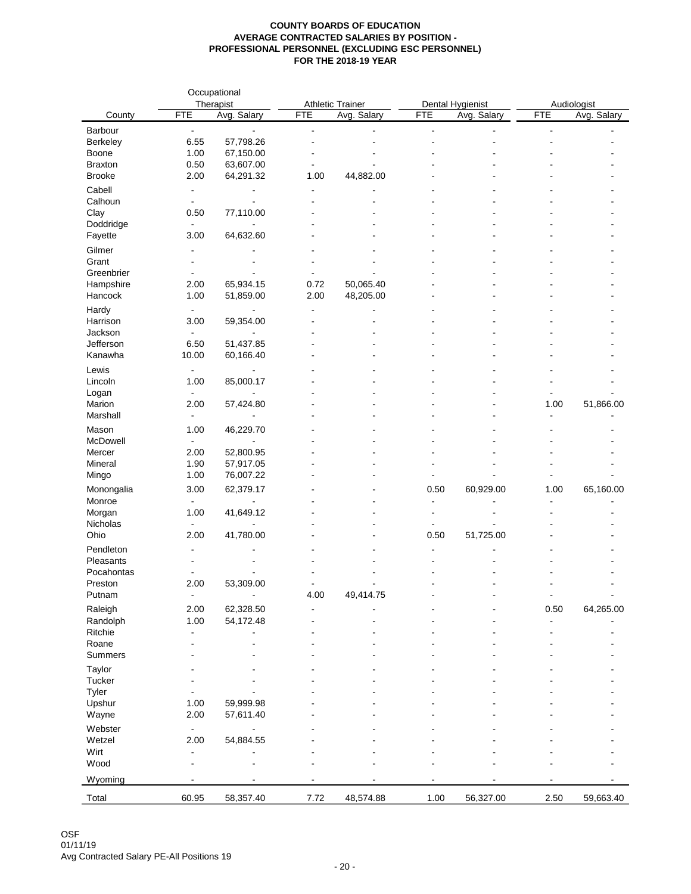| <b>Athletic Trainer</b><br>Therapist<br>Dental Hygienist<br>Audiologist<br><b>FTE</b><br><b>FTE</b><br><b>FTE</b><br><b>FTE</b><br>Avg. Salary<br>Avg. Salary<br>Avg. Salary<br>County<br>Barbour<br>$\blacksquare$<br>$\blacksquare$<br>$\blacksquare$<br>$\blacksquare$<br>$\blacksquare$<br>$\blacksquare$<br>$\sim$<br>57,798.26<br>6.55<br>Berkeley<br>L,<br>$\blacksquare$<br>1.00<br>67,150.00<br>Boone<br>0.50<br>63,607.00<br><b>Braxton</b><br>$\blacksquare$<br>$\blacksquare$<br>2.00<br>64,291.32<br>44,882.00<br><b>Brooke</b><br>1.00<br>Cabell<br>$\blacksquare$<br>$\blacksquare$<br>Calhoun<br>$\blacksquare$<br>$\blacksquare$<br>$\blacksquare$<br>$\overline{a}$<br>Clay<br>0.50<br>77,110.00<br>Doddridge<br>$\blacksquare$<br>L. | Avg. Salary    |
|---------------------------------------------------------------------------------------------------------------------------------------------------------------------------------------------------------------------------------------------------------------------------------------------------------------------------------------------------------------------------------------------------------------------------------------------------------------------------------------------------------------------------------------------------------------------------------------------------------------------------------------------------------------------------------------------------------------------------------------------------------|----------------|
|                                                                                                                                                                                                                                                                                                                                                                                                                                                                                                                                                                                                                                                                                                                                                         |                |
|                                                                                                                                                                                                                                                                                                                                                                                                                                                                                                                                                                                                                                                                                                                                                         |                |
|                                                                                                                                                                                                                                                                                                                                                                                                                                                                                                                                                                                                                                                                                                                                                         |                |
|                                                                                                                                                                                                                                                                                                                                                                                                                                                                                                                                                                                                                                                                                                                                                         |                |
|                                                                                                                                                                                                                                                                                                                                                                                                                                                                                                                                                                                                                                                                                                                                                         |                |
|                                                                                                                                                                                                                                                                                                                                                                                                                                                                                                                                                                                                                                                                                                                                                         |                |
|                                                                                                                                                                                                                                                                                                                                                                                                                                                                                                                                                                                                                                                                                                                                                         |                |
|                                                                                                                                                                                                                                                                                                                                                                                                                                                                                                                                                                                                                                                                                                                                                         |                |
|                                                                                                                                                                                                                                                                                                                                                                                                                                                                                                                                                                                                                                                                                                                                                         |                |
|                                                                                                                                                                                                                                                                                                                                                                                                                                                                                                                                                                                                                                                                                                                                                         |                |
| 3.00<br>64,632.60<br>Fayette                                                                                                                                                                                                                                                                                                                                                                                                                                                                                                                                                                                                                                                                                                                            |                |
| Gilmer<br>$\ddot{\phantom{a}}$                                                                                                                                                                                                                                                                                                                                                                                                                                                                                                                                                                                                                                                                                                                          |                |
| Grant                                                                                                                                                                                                                                                                                                                                                                                                                                                                                                                                                                                                                                                                                                                                                   |                |
| Greenbrier<br>$\blacksquare$<br>$\blacksquare$                                                                                                                                                                                                                                                                                                                                                                                                                                                                                                                                                                                                                                                                                                          |                |
| Hampshire<br>65,934.15<br>50,065.40<br>2.00<br>0.72                                                                                                                                                                                                                                                                                                                                                                                                                                                                                                                                                                                                                                                                                                     |                |
| 1.00<br>51,859.00<br>2.00<br>48,205.00<br>Hancock                                                                                                                                                                                                                                                                                                                                                                                                                                                                                                                                                                                                                                                                                                       |                |
| Hardy<br>$\blacksquare$<br>$\blacksquare$                                                                                                                                                                                                                                                                                                                                                                                                                                                                                                                                                                                                                                                                                                               |                |
| 59,354.00<br>Harrison<br>3.00                                                                                                                                                                                                                                                                                                                                                                                                                                                                                                                                                                                                                                                                                                                           |                |
| Jackson<br>$\blacksquare$                                                                                                                                                                                                                                                                                                                                                                                                                                                                                                                                                                                                                                                                                                                               |                |
| Jefferson<br>6.50<br>51,437.85                                                                                                                                                                                                                                                                                                                                                                                                                                                                                                                                                                                                                                                                                                                          |                |
| 10.00<br>60,166.40<br>Kanawha                                                                                                                                                                                                                                                                                                                                                                                                                                                                                                                                                                                                                                                                                                                           |                |
| Lewis<br>$\blacksquare$                                                                                                                                                                                                                                                                                                                                                                                                                                                                                                                                                                                                                                                                                                                                 |                |
| Lincoln<br>1.00<br>85,000.17                                                                                                                                                                                                                                                                                                                                                                                                                                                                                                                                                                                                                                                                                                                            |                |
| Logan<br>$\blacksquare$<br>$\blacksquare$                                                                                                                                                                                                                                                                                                                                                                                                                                                                                                                                                                                                                                                                                                               |                |
| Marion<br>2.00<br>1.00<br>57,424.80                                                                                                                                                                                                                                                                                                                                                                                                                                                                                                                                                                                                                                                                                                                     | 51,866.00      |
| Marshall<br>$\blacksquare$<br>$\blacksquare$                                                                                                                                                                                                                                                                                                                                                                                                                                                                                                                                                                                                                                                                                                            |                |
| 46,229.70<br>Mason<br>1.00                                                                                                                                                                                                                                                                                                                                                                                                                                                                                                                                                                                                                                                                                                                              |                |
| McDowell<br>$\blacksquare$                                                                                                                                                                                                                                                                                                                                                                                                                                                                                                                                                                                                                                                                                                                              |                |
| 2.00<br>52,800.95<br>Mercer                                                                                                                                                                                                                                                                                                                                                                                                                                                                                                                                                                                                                                                                                                                             |                |
| 57,917.05<br>Mineral<br>1.90                                                                                                                                                                                                                                                                                                                                                                                                                                                                                                                                                                                                                                                                                                                            |                |
| 1.00<br>Mingo<br>76,007.22                                                                                                                                                                                                                                                                                                                                                                                                                                                                                                                                                                                                                                                                                                                              |                |
| 3.00<br>62,379.17<br>60,929.00<br>Monongalia<br>0.50<br>1.00                                                                                                                                                                                                                                                                                                                                                                                                                                                                                                                                                                                                                                                                                            | 65,160.00      |
| Monroe<br>$\blacksquare$<br>$\blacksquare$<br>$\sim$                                                                                                                                                                                                                                                                                                                                                                                                                                                                                                                                                                                                                                                                                                    |                |
| 1.00<br>41,649.12<br>Morgan<br>$\blacksquare$<br>$\sim$                                                                                                                                                                                                                                                                                                                                                                                                                                                                                                                                                                                                                                                                                                 |                |
| Nicholas<br>$\blacksquare$<br>$\blacksquare$                                                                                                                                                                                                                                                                                                                                                                                                                                                                                                                                                                                                                                                                                                            |                |
| Ohio<br>41,780.00<br>0.50<br>51,725.00<br>2.00                                                                                                                                                                                                                                                                                                                                                                                                                                                                                                                                                                                                                                                                                                          |                |
| Pendleton<br>$\blacksquare$                                                                                                                                                                                                                                                                                                                                                                                                                                                                                                                                                                                                                                                                                                                             |                |
| Pleasants<br>$\blacksquare$                                                                                                                                                                                                                                                                                                                                                                                                                                                                                                                                                                                                                                                                                                                             |                |
| Pocahontas                                                                                                                                                                                                                                                                                                                                                                                                                                                                                                                                                                                                                                                                                                                                              |                |
| 2.00<br>53,309.00<br>Preston                                                                                                                                                                                                                                                                                                                                                                                                                                                                                                                                                                                                                                                                                                                            |                |
| Putnam<br>4.00<br>49,414.75<br>$\blacksquare$<br>$\overline{\phantom{0}}$<br>$\blacksquare$                                                                                                                                                                                                                                                                                                                                                                                                                                                                                                                                                                                                                                                             | $\blacksquare$ |
| Raleigh<br>2.00<br>62,328.50<br>0.50<br>$\overline{a}$                                                                                                                                                                                                                                                                                                                                                                                                                                                                                                                                                                                                                                                                                                  | 64,265.00      |
| Randolph<br>1.00<br>54,172.48<br>$\blacksquare$                                                                                                                                                                                                                                                                                                                                                                                                                                                                                                                                                                                                                                                                                                         |                |
| Ritchie<br>$\blacksquare$                                                                                                                                                                                                                                                                                                                                                                                                                                                                                                                                                                                                                                                                                                                               |                |
| Roane<br>$\overline{a}$                                                                                                                                                                                                                                                                                                                                                                                                                                                                                                                                                                                                                                                                                                                                 |                |
| Summers                                                                                                                                                                                                                                                                                                                                                                                                                                                                                                                                                                                                                                                                                                                                                 |                |
| Taylor                                                                                                                                                                                                                                                                                                                                                                                                                                                                                                                                                                                                                                                                                                                                                  |                |
| Tucker                                                                                                                                                                                                                                                                                                                                                                                                                                                                                                                                                                                                                                                                                                                                                  |                |
| Tyler                                                                                                                                                                                                                                                                                                                                                                                                                                                                                                                                                                                                                                                                                                                                                   |                |
| Upshur<br>1.00<br>59,999.98                                                                                                                                                                                                                                                                                                                                                                                                                                                                                                                                                                                                                                                                                                                             |                |
| Wayne<br>2.00<br>57,611.40                                                                                                                                                                                                                                                                                                                                                                                                                                                                                                                                                                                                                                                                                                                              |                |
|                                                                                                                                                                                                                                                                                                                                                                                                                                                                                                                                                                                                                                                                                                                                                         |                |
| Webster<br>$\blacksquare$                                                                                                                                                                                                                                                                                                                                                                                                                                                                                                                                                                                                                                                                                                                               |                |
| Wetzel<br>2.00<br>54,884.55                                                                                                                                                                                                                                                                                                                                                                                                                                                                                                                                                                                                                                                                                                                             |                |
| Wirt<br>$\blacksquare$<br>٠                                                                                                                                                                                                                                                                                                                                                                                                                                                                                                                                                                                                                                                                                                                             |                |
| Wood                                                                                                                                                                                                                                                                                                                                                                                                                                                                                                                                                                                                                                                                                                                                                    |                |
| Wyoming<br>$\blacksquare$<br>$\overline{a}$                                                                                                                                                                                                                                                                                                                                                                                                                                                                                                                                                                                                                                                                                                             |                |
| 60.95<br>58,357.40<br>7.72<br>48,574.88<br>1.00<br>56,327.00<br>2.50<br>Total                                                                                                                                                                                                                                                                                                                                                                                                                                                                                                                                                                                                                                                                           | 59,663.40      |